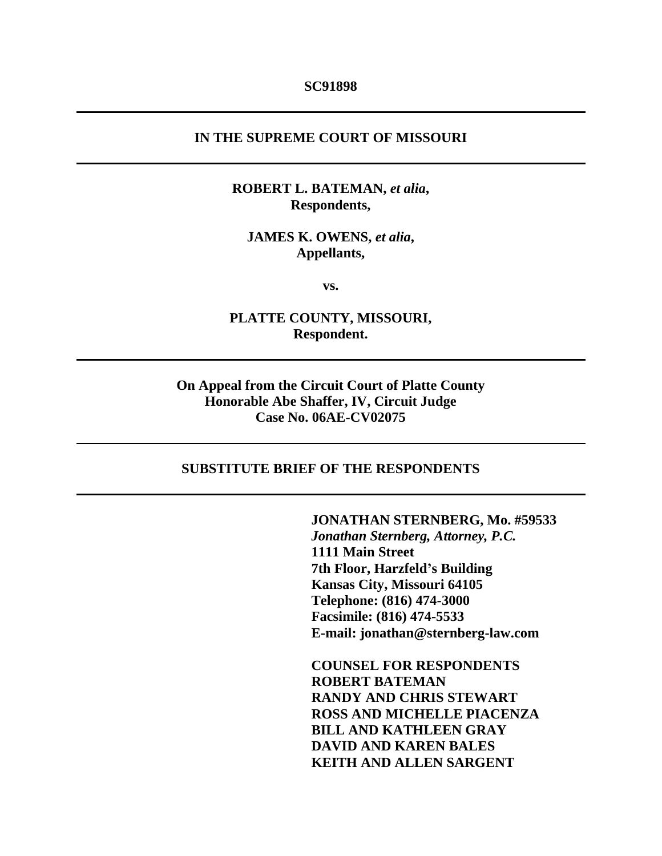#### **SC91898**

## **IN THE SUPREME COURT OF MISSOURI**

## **ROBERT L. BATEMAN,** *et alia***, Respondents,**

### **JAMES K. OWENS,** *et alia***, Appellants,**

**vs.**

# **PLATTE COUNTY, MISSOURI, Respondent.**

# **On Appeal from the Circuit Court of Platte County Honorable Abe Shaffer, IV, Circuit Judge Case No. 06AE-CV02075**

#### **SUBSTITUTE BRIEF OF THE RESPONDENTS**

**JONATHAN STERNBERG, Mo. #59533** *Jonathan Sternberg, Attorney, P.C.* **1111 Main Street 7th Floor, Harzfeld's Building Kansas City, Missouri 64105 Telephone: (816) 474-3000 Facsimile: (816) 474-5533 E-mail: jonathan@sternberg-law.com**

**COUNSEL FOR RESPONDENTS ROBERT BATEMAN RANDY AND CHRIS STEWART ROSS AND MICHELLE PIACENZA BILL AND KATHLEEN GRAY DAVID AND KAREN BALES KEITH AND ALLEN SARGENT**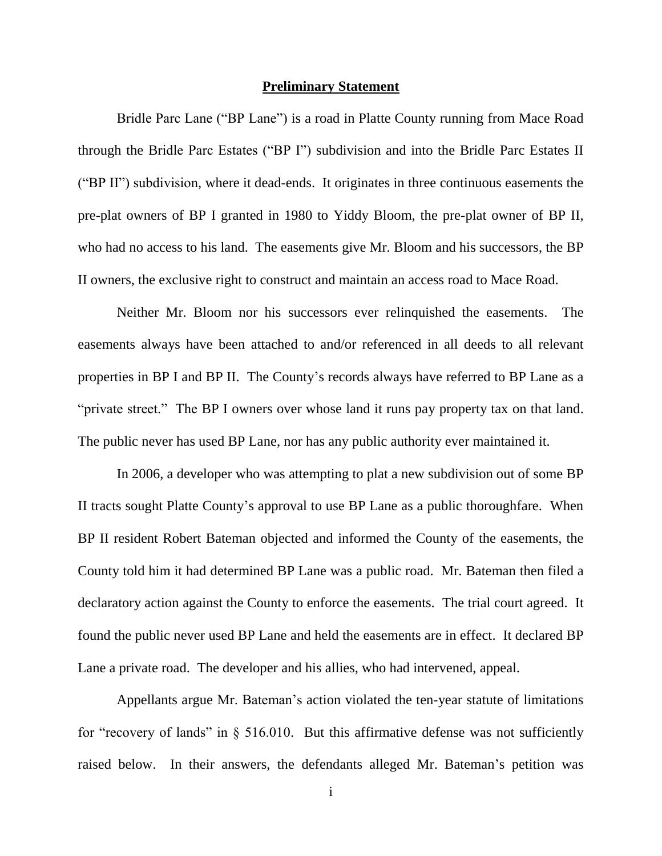#### **Preliminary Statement**

Bridle Parc Lane ("BP Lane") is a road in Platte County running from Mace Road through the Bridle Parc Estates ("BP I") subdivision and into the Bridle Parc Estates II ("BP II") subdivision, where it dead-ends. It originates in three continuous easements the pre-plat owners of BP I granted in 1980 to Yiddy Bloom, the pre-plat owner of BP II, who had no access to his land. The easements give Mr. Bloom and his successors, the BP II owners, the exclusive right to construct and maintain an access road to Mace Road.

Neither Mr. Bloom nor his successors ever relinquished the easements. The easements always have been attached to and/or referenced in all deeds to all relevant properties in BP I and BP II. The County's records always have referred to BP Lane as a "private street." The BP I owners over whose land it runs pay property tax on that land. The public never has used BP Lane, nor has any public authority ever maintained it.

In 2006, a developer who was attempting to plat a new subdivision out of some BP II tracts sought Platte County's approval to use BP Lane as a public thoroughfare. When BP II resident Robert Bateman objected and informed the County of the easements, the County told him it had determined BP Lane was a public road. Mr. Bateman then filed a declaratory action against the County to enforce the easements. The trial court agreed. It found the public never used BP Lane and held the easements are in effect. It declared BP Lane a private road. The developer and his allies, who had intervened, appeal.

Appellants argue Mr. Bateman's action violated the ten-year statute of limitations for "recovery of lands" in  $\S$  516.010. But this affirmative defense was not sufficiently raised below. In their answers, the defendants alleged Mr. Bateman's petition was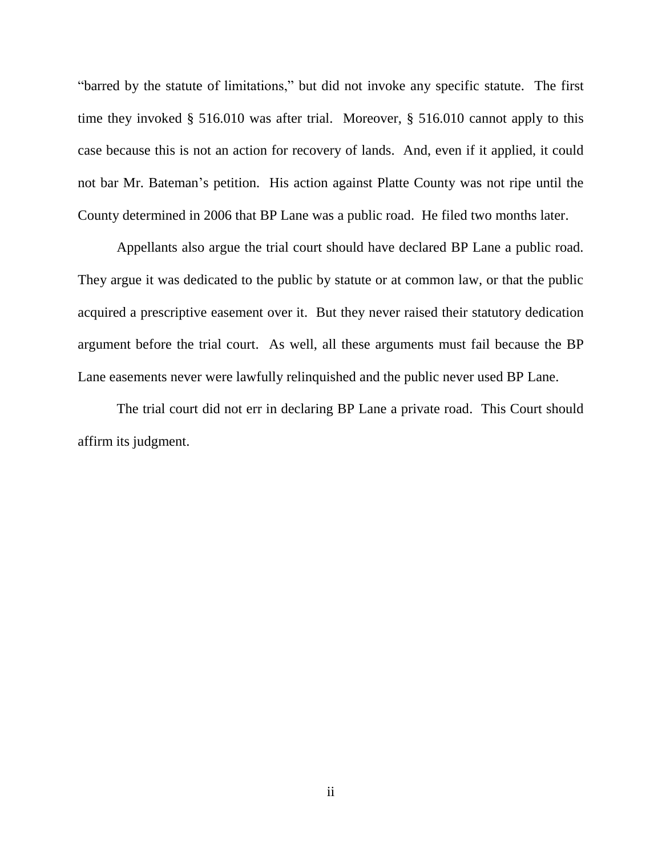"barred by the statute of limitations," but did not invoke any specific statute. The first time they invoked § 516.010 was after trial. Moreover, § 516.010 cannot apply to this case because this is not an action for recovery of lands. And, even if it applied, it could not bar Mr. Bateman's petition. His action against Platte County was not ripe until the County determined in 2006 that BP Lane was a public road. He filed two months later.

Appellants also argue the trial court should have declared BP Lane a public road. They argue it was dedicated to the public by statute or at common law, or that the public acquired a prescriptive easement over it. But they never raised their statutory dedication argument before the trial court. As well, all these arguments must fail because the BP Lane easements never were lawfully relinquished and the public never used BP Lane.

The trial court did not err in declaring BP Lane a private road. This Court should affirm its judgment.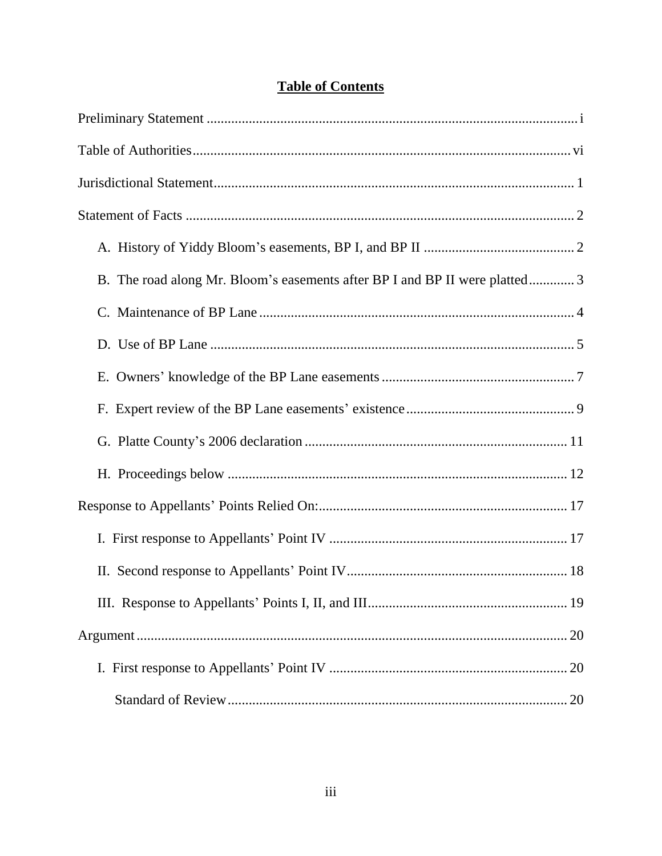|  | <b>Table of Contents</b> |
|--|--------------------------|
|  |                          |

| B. The road along Mr. Bloom's easements after BP I and BP II were platted 3 |
|-----------------------------------------------------------------------------|
|                                                                             |
|                                                                             |
|                                                                             |
|                                                                             |
|                                                                             |
|                                                                             |
|                                                                             |
|                                                                             |
|                                                                             |
|                                                                             |
|                                                                             |
|                                                                             |
|                                                                             |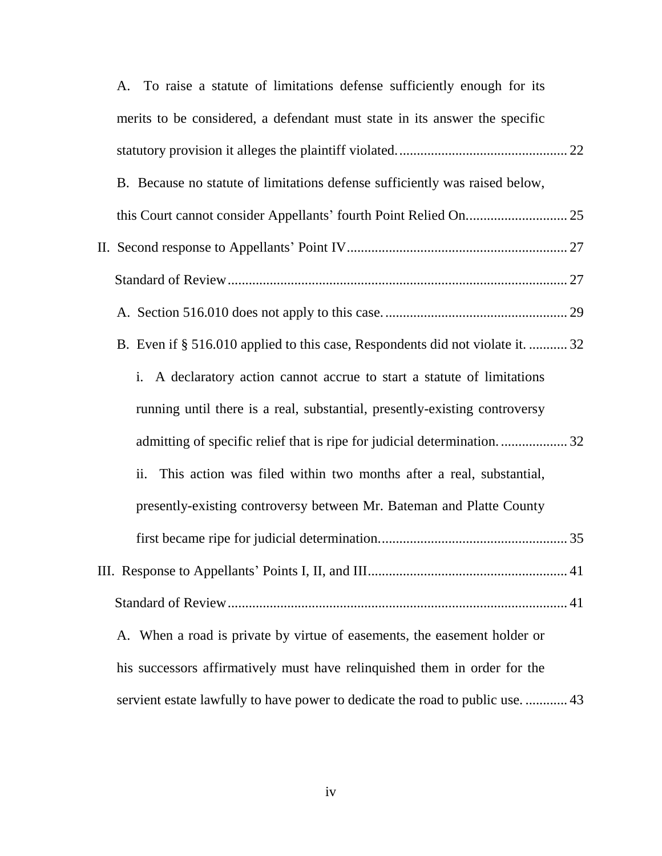|  | A. To raise a statute of limitations defense sufficiently enough for its       |  |
|--|--------------------------------------------------------------------------------|--|
|  | merits to be considered, a defendant must state in its answer the specific     |  |
|  |                                                                                |  |
|  | B. Because no statute of limitations defense sufficiently was raised below,    |  |
|  |                                                                                |  |
|  |                                                                                |  |
|  |                                                                                |  |
|  |                                                                                |  |
|  | B. Even if § 516.010 applied to this case, Respondents did not violate it.  32 |  |
|  | i. A declaratory action cannot accrue to start a statute of limitations        |  |
|  | running until there is a real, substantial, presently-existing controversy     |  |
|  | admitting of specific relief that is ripe for judicial determination32         |  |
|  | This action was filed within two months after a real, substantial,<br>ii.      |  |
|  | presently-existing controversy between Mr. Bateman and Platte County           |  |
|  |                                                                                |  |
|  |                                                                                |  |
|  |                                                                                |  |
|  | A. When a road is private by virtue of easements, the easement holder or       |  |
|  | his successors affirmatively must have relinquished them in order for the      |  |
|  | servient estate lawfully to have power to dedicate the road to public use.  43 |  |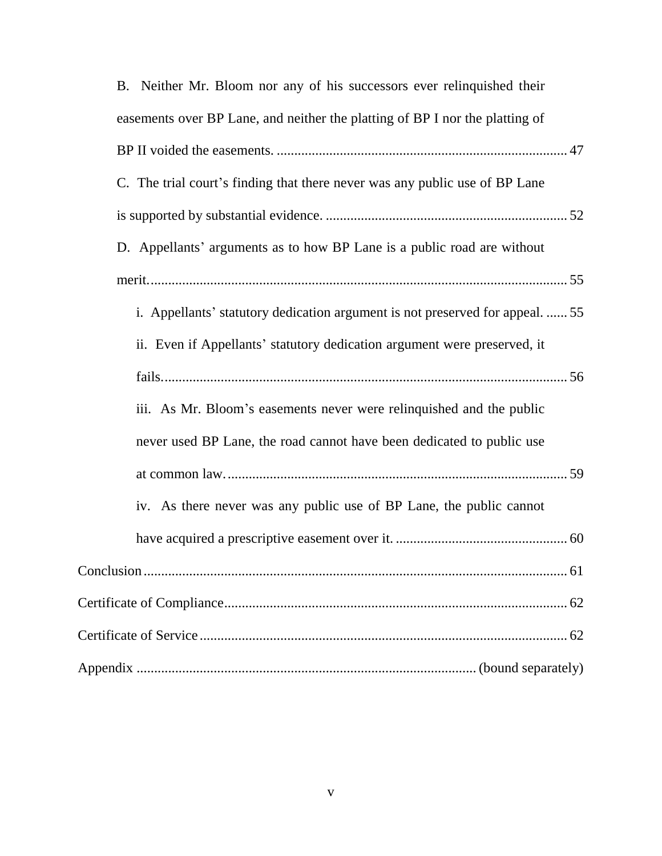| B. Neither Mr. Bloom nor any of his successors ever relinquished their        |
|-------------------------------------------------------------------------------|
| easements over BP Lane, and neither the platting of BP I nor the platting of  |
|                                                                               |
| C. The trial court's finding that there never was any public use of BP Lane   |
|                                                                               |
| D. Appellants' arguments as to how BP Lane is a public road are without       |
|                                                                               |
| i. Appellants' statutory dedication argument is not preserved for appeal.  55 |
| ii. Even if Appellants' statutory dedication argument were preserved, it      |
|                                                                               |
| iii. As Mr. Bloom's easements never were relinquished and the public          |
| never used BP Lane, the road cannot have been dedicated to public use         |
|                                                                               |
| iv. As there never was any public use of BP Lane, the public cannot           |
|                                                                               |
|                                                                               |
|                                                                               |
|                                                                               |
|                                                                               |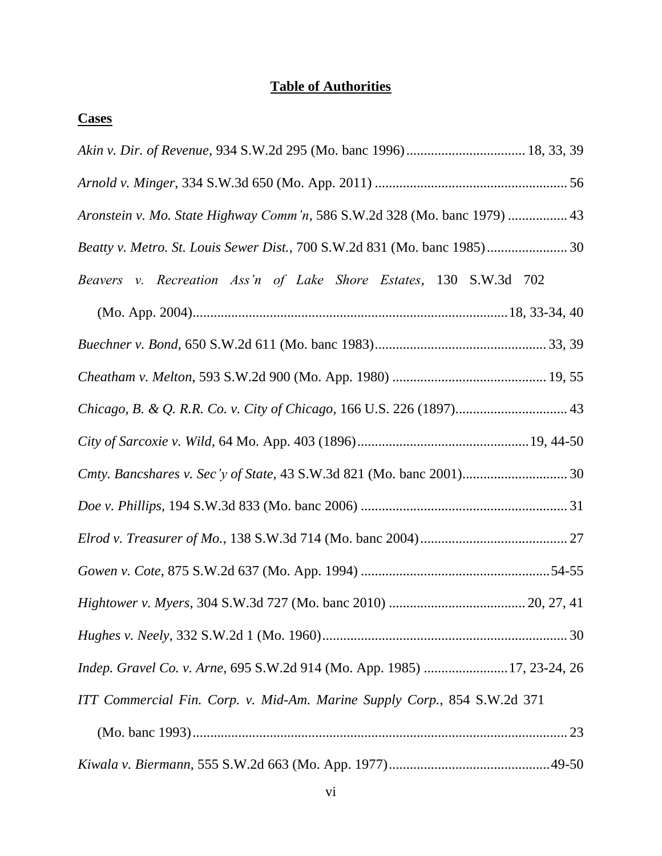# **Table of Authorities**

| <b>Cases</b>                                                              |
|---------------------------------------------------------------------------|
|                                                                           |
|                                                                           |
| Aronstein v. Mo. State Highway Comm'n, 586 S.W.2d 328 (Mo. banc 1979)  43 |
| Beatty v. Metro. St. Louis Sewer Dist., 700 S.W.2d 831 (Mo. banc 1985) 30 |
| Beavers v. Recreation Ass'n of Lake Shore Estates, 130 S.W.3d 702         |
|                                                                           |
|                                                                           |
|                                                                           |
| Chicago, B. & Q. R.R. Co. v. City of Chicago, 166 U.S. 226 (1897) 43      |
|                                                                           |
|                                                                           |
|                                                                           |
|                                                                           |
|                                                                           |
|                                                                           |
|                                                                           |
| Indep. Gravel Co. v. Arne, 695 S.W.2d 914 (Mo. App. 1985) 17, 23-24, 26   |
| ITT Commercial Fin. Corp. v. Mid-Am. Marine Supply Corp., 854 S.W.2d 371  |
|                                                                           |
|                                                                           |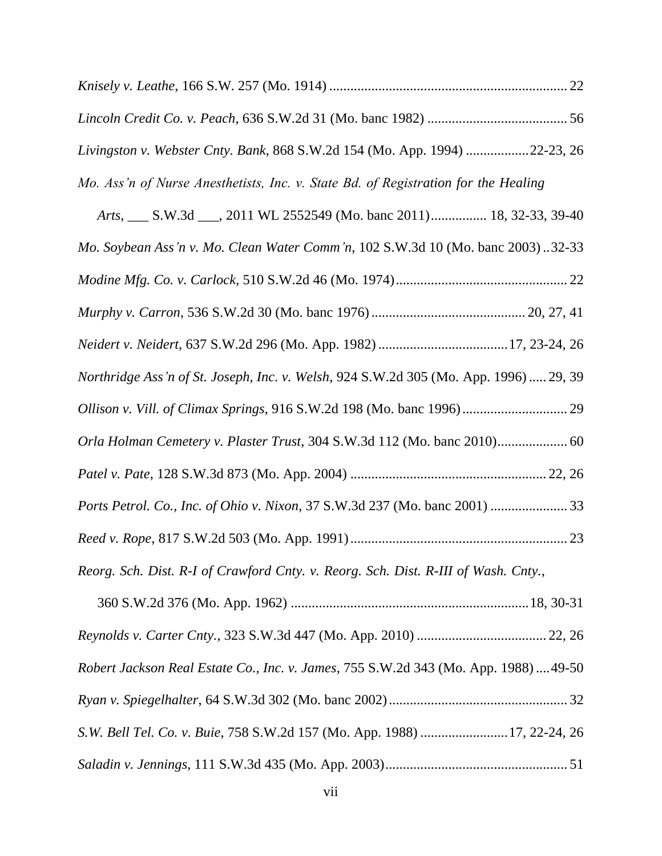| Livingston v. Webster Cnty. Bank, 868 S.W.2d 154 (Mo. App. 1994) 22-23, 26            |  |
|---------------------------------------------------------------------------------------|--|
| Mo. Ass'n of Nurse Anesthetists, Inc. v. State Bd. of Registration for the Healing    |  |
| Arts, S.W.3d Same 2011 WL 2552549 (Mo. banc 2011) 18, 32-33, 39-40                    |  |
| Mo. Soybean Ass'n v. Mo. Clean Water Comm'n, 102 S.W.3d 10 (Mo. banc 2003)32-33       |  |
|                                                                                       |  |
|                                                                                       |  |
| Neidert v. Neidert, 637 S.W.2d 296 (Mo. App. 1982) 17, 23-24, 26                      |  |
| Northridge Ass'n of St. Joseph, Inc. v. Welsh, 924 S.W.2d 305 (Mo. App. 1996)  29, 39 |  |
|                                                                                       |  |
| Orla Holman Cemetery v. Plaster Trust, 304 S.W.3d 112 (Mo. banc 2010) 60              |  |
|                                                                                       |  |
| Ports Petrol. Co., Inc. of Ohio v. Nixon, 37 S.W.3d 237 (Mo. banc 2001)  33           |  |
|                                                                                       |  |
| Reorg. Sch. Dist. R-I of Crawford Cnty. v. Reorg. Sch. Dist. R-III of Wash. Cnty.,    |  |
|                                                                                       |  |
|                                                                                       |  |
| Robert Jackson Real Estate Co., Inc. v. James, 755 S.W.2d 343 (Mo. App. 1988)  49-50  |  |
|                                                                                       |  |
| S.W. Bell Tel. Co. v. Buie, 758 S.W.2d 157 (Mo. App. 1988) 17, 22-24, 26              |  |
|                                                                                       |  |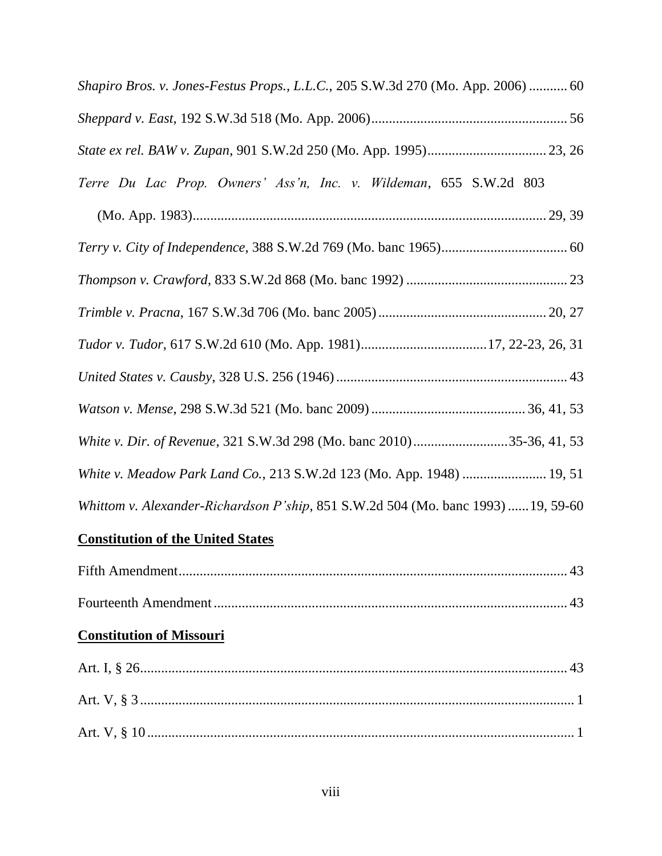| Shapiro Bros. v. Jones-Festus Props., L.L.C., 205 S.W.3d 270 (Mo. App. 2006)  60  |
|-----------------------------------------------------------------------------------|
|                                                                                   |
|                                                                                   |
| Terre Du Lac Prop. Owners' Ass'n, Inc. v. Wildeman, 655 S.W.2d 803                |
|                                                                                   |
|                                                                                   |
|                                                                                   |
|                                                                                   |
|                                                                                   |
|                                                                                   |
|                                                                                   |
| White v. Dir. of Revenue, 321 S.W.3d 298 (Mo. banc 2010)35-36, 41, 53             |
| White v. Meadow Park Land Co., 213 S.W.2d 123 (Mo. App. 1948)  19, 51             |
| Whittom v. Alexander-Richardson P'ship, 851 S.W.2d 504 (Mo. banc 1993)  19, 59-60 |

# **Constitution of the United States**

# **Constitution of Missouri**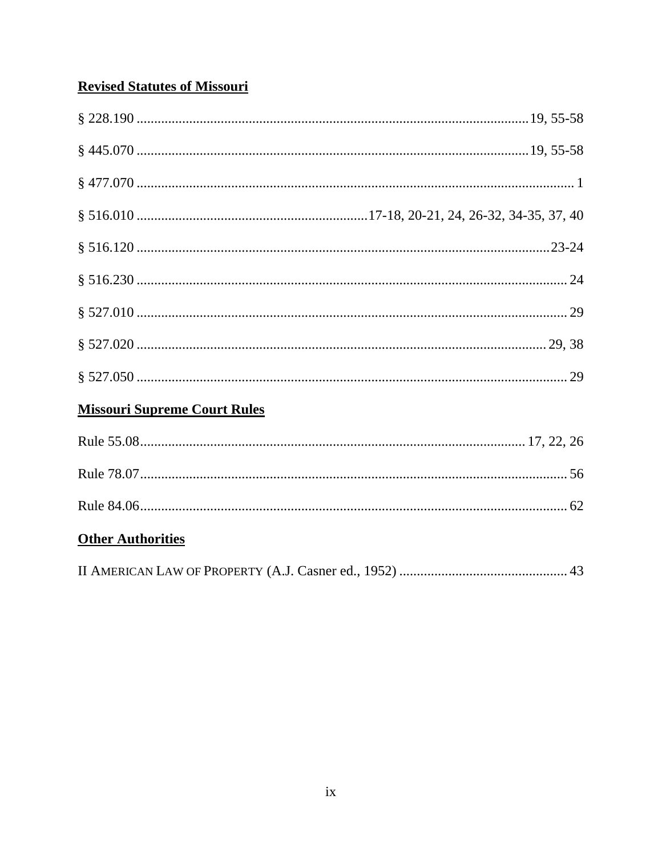# **Revised Statutes of Missouri**

| <b>Missouri Supreme Court Rules</b> |
|-------------------------------------|
|                                     |
|                                     |
|                                     |
| <b>Other Authorities</b>            |
|                                     |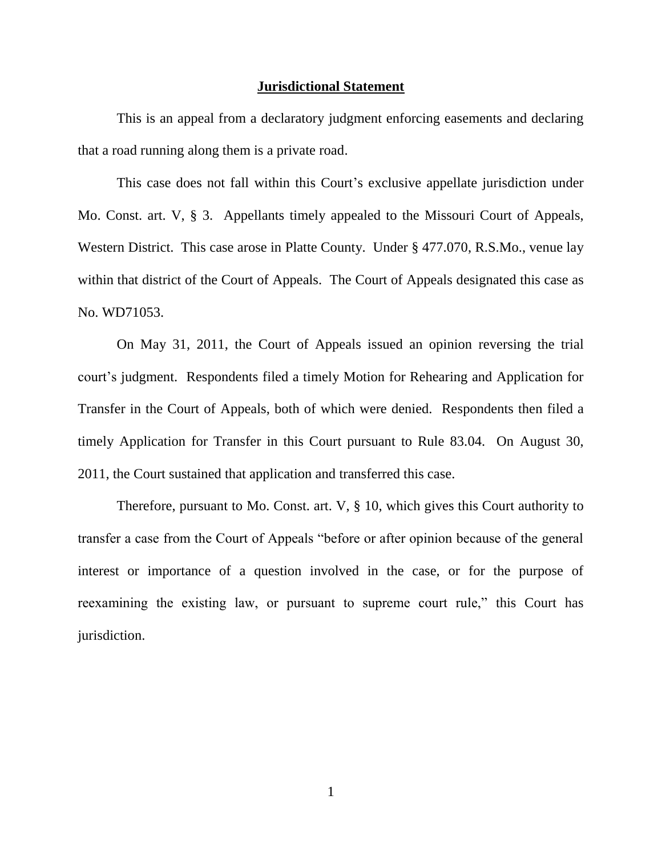#### **Jurisdictional Statement**

This is an appeal from a declaratory judgment enforcing easements and declaring that a road running along them is a private road.

This case does not fall within this Court's exclusive appellate jurisdiction under Mo. Const. art. V, § 3. Appellants timely appealed to the Missouri Court of Appeals, Western District. This case arose in Platte County. Under § 477.070, R.S.Mo., venue lay within that district of the Court of Appeals. The Court of Appeals designated this case as No. WD71053.

On May 31, 2011, the Court of Appeals issued an opinion reversing the trial court's judgment. Respondents filed a timely Motion for Rehearing and Application for Transfer in the Court of Appeals, both of which were denied. Respondents then filed a timely Application for Transfer in this Court pursuant to Rule 83.04. On August 30, 2011, the Court sustained that application and transferred this case.

Therefore, pursuant to Mo. Const. art. V, § 10, which gives this Court authority to transfer a case from the Court of Appeals "before or after opinion because of the general interest or importance of a question involved in the case, or for the purpose of reexamining the existing law, or pursuant to supreme court rule," this Court has jurisdiction.

1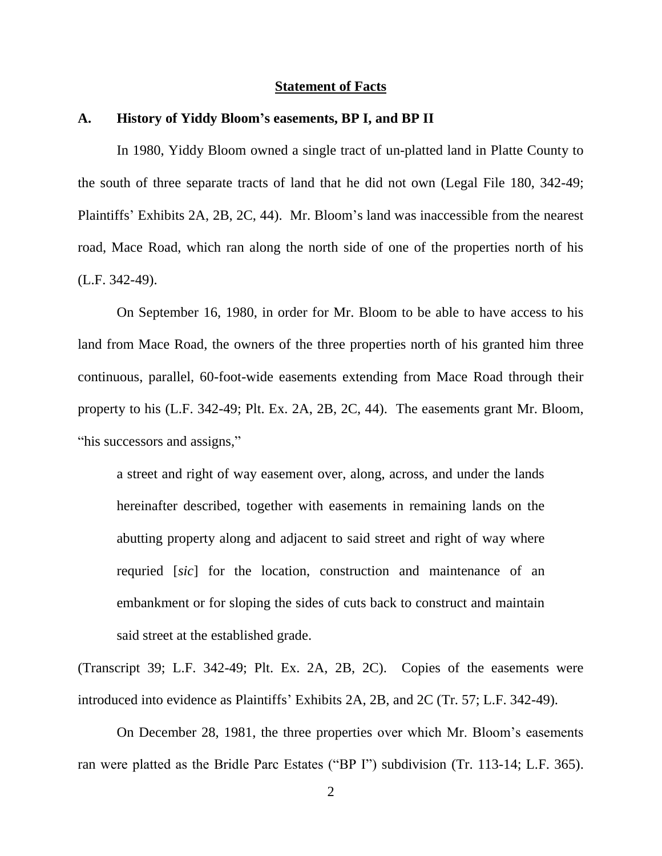#### **Statement of Facts**

#### **A. History of Yiddy Bloom's easements, BP I, and BP II**

In 1980, Yiddy Bloom owned a single tract of un-platted land in Platte County to the south of three separate tracts of land that he did not own (Legal File 180, 342-49; Plaintiffs' Exhibits 2A, 2B, 2C, 44). Mr. Bloom's land was inaccessible from the nearest road, Mace Road, which ran along the north side of one of the properties north of his (L.F. 342-49).

On September 16, 1980, in order for Mr. Bloom to be able to have access to his land from Mace Road, the owners of the three properties north of his granted him three continuous, parallel, 60-foot-wide easements extending from Mace Road through their property to his (L.F. 342-49; Plt. Ex. 2A, 2B, 2C, 44). The easements grant Mr. Bloom, "his successors and assigns,"

a street and right of way easement over, along, across, and under the lands hereinafter described, together with easements in remaining lands on the abutting property along and adjacent to said street and right of way where requried [*sic*] for the location, construction and maintenance of an embankment or for sloping the sides of cuts back to construct and maintain said street at the established grade.

(Transcript 39; L.F. 342-49; Plt. Ex. 2A, 2B, 2C). Copies of the easements were introduced into evidence as Plaintiffs' Exhibits 2A, 2B, and 2C (Tr. 57; L.F. 342-49).

On December 28, 1981, the three properties over which Mr. Bloom's easements ran were platted as the Bridle Parc Estates ("BP I") subdivision (Tr. 113-14; L.F. 365).

2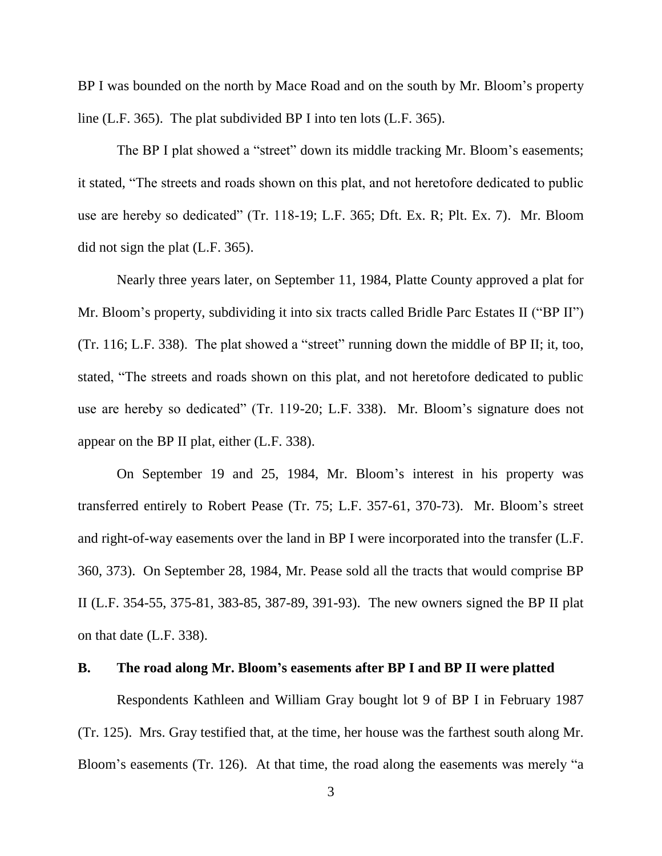BP I was bounded on the north by Mace Road and on the south by Mr. Bloom's property line (L.F. 365). The plat subdivided BP I into ten lots (L.F. 365).

The BP I plat showed a "street" down its middle tracking Mr. Bloom's easements; it stated, "The streets and roads shown on this plat, and not heretofore dedicated to public use are hereby so dedicated" (Tr. 118-19; L.F. 365; Dft. Ex. R; Plt. Ex. 7). Mr. Bloom did not sign the plat (L.F. 365).

Nearly three years later, on September 11, 1984, Platte County approved a plat for Mr. Bloom's property, subdividing it into six tracts called Bridle Parc Estates II ("BP II") (Tr. 116; L.F. 338). The plat showed a "street" running down the middle of BP II; it, too, stated, "The streets and roads shown on this plat, and not heretofore dedicated to public use are hereby so dedicated" (Tr. 119-20; L.F. 338). Mr. Bloom's signature does not appear on the BP II plat, either (L.F. 338).

On September 19 and 25, 1984, Mr. Bloom's interest in his property was transferred entirely to Robert Pease (Tr. 75; L.F. 357-61, 370-73). Mr. Bloom's street and right-of-way easements over the land in BP I were incorporated into the transfer (L.F. 360, 373). On September 28, 1984, Mr. Pease sold all the tracts that would comprise BP II (L.F. 354-55, 375-81, 383-85, 387-89, 391-93). The new owners signed the BP II plat on that date (L.F. 338).

#### **B. The road along Mr. Bloom's easements after BP I and BP II were platted**

Respondents Kathleen and William Gray bought lot 9 of BP I in February 1987 (Tr. 125). Mrs. Gray testified that, at the time, her house was the farthest south along Mr. Bloom's easements (Tr. 126). At that time, the road along the easements was merely "a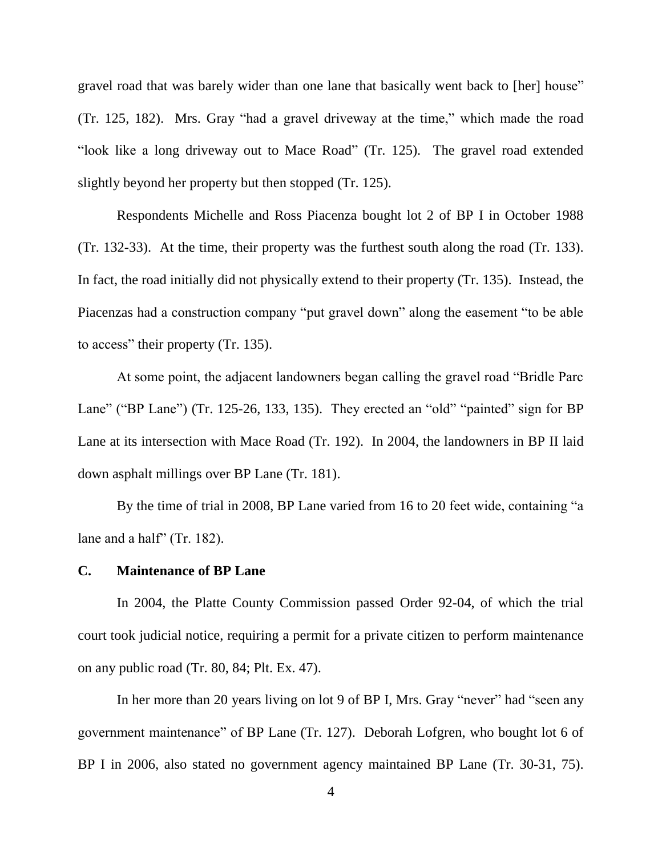gravel road that was barely wider than one lane that basically went back to [her] house" (Tr. 125, 182). Mrs. Gray "had a gravel driveway at the time," which made the road "look like a long driveway out to Mace Road" (Tr. 125). The gravel road extended slightly beyond her property but then stopped (Tr. 125).

Respondents Michelle and Ross Piacenza bought lot 2 of BP I in October 1988 (Tr. 132-33). At the time, their property was the furthest south along the road (Tr. 133). In fact, the road initially did not physically extend to their property (Tr. 135). Instead, the Piacenzas had a construction company "put gravel down" along the easement "to be able to access" their property (Tr. 135).

At some point, the adjacent landowners began calling the gravel road "Bridle Parc Lane" ("BP Lane") (Tr. 125-26, 133, 135). They erected an "old" "painted" sign for BP Lane at its intersection with Mace Road (Tr. 192). In 2004, the landowners in BP II laid down asphalt millings over BP Lane (Tr. 181).

By the time of trial in 2008, BP Lane varied from 16 to 20 feet wide, containing "a lane and a half" (Tr. 182).

### **C. Maintenance of BP Lane**

In 2004, the Platte County Commission passed Order 92-04, of which the trial court took judicial notice, requiring a permit for a private citizen to perform maintenance on any public road (Tr. 80, 84; Plt. Ex. 47).

In her more than 20 years living on lot 9 of BP I, Mrs. Gray "never" had "seen any government maintenance" of BP Lane (Tr. 127). Deborah Lofgren, who bought lot 6 of BP I in 2006, also stated no government agency maintained BP Lane (Tr. 30-31, 75).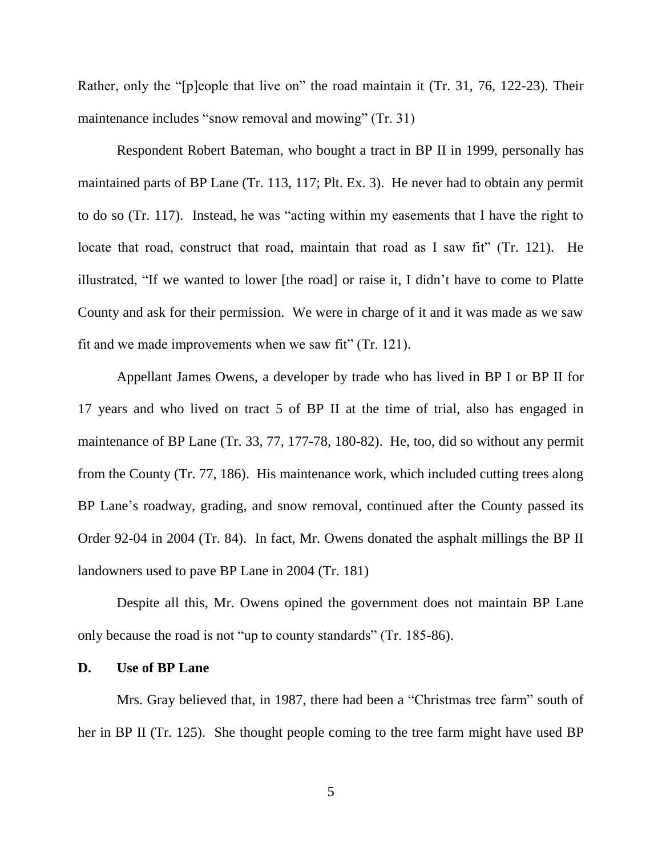Rather, only the "[p]eople that live on" the road maintain it (Tr. 31, 76, 122-23). Their maintenance includes "snow removal and mowing" (Tr. 31)

Respondent Robert Bateman, who bought a tract in BP II in 1999, personally has maintained parts of BP Lane (Tr. 113, 117; Plt. Ex. 3). He never had to obtain any permit to do so (Tr. 117). Instead, he was "acting within my easements that I have the right to locate that road, construct that road, maintain that road as I saw fit" (Tr. 121). He illustrated, "If we wanted to lower [the road] or raise it, I didn't have to come to Platte County and ask for their permission. We were in charge of it and it was made as we saw fit and we made improvements when we saw fit" (Tr. 121).

Appellant James Owens, a developer by trade who has lived in BP I or BP II for 17 years and who lived on tract 5 of BP II at the time of trial, also has engaged in maintenance of BP Lane (Tr. 33, 77, 177-78, 180-82). He, too, did so without any permit from the County (Tr. 77, 186). His maintenance work, which included cutting trees along BP Lane's roadway, grading, and snow removal, continued after the County passed its Order 92-04 in 2004 (Tr. 84). In fact, Mr. Owens donated the asphalt millings the BP II landowners used to pave BP Lane in 2004 (Tr. 181)

Despite all this, Mr. Owens opined the government does not maintain BP Lane only because the road is not "up to county standards" (Tr. 185-86).

### **D. Use of BP Lane**

Mrs. Gray believed that, in 1987, there had been a "Christmas tree farm" south of her in BP II (Tr. 125). She thought people coming to the tree farm might have used BP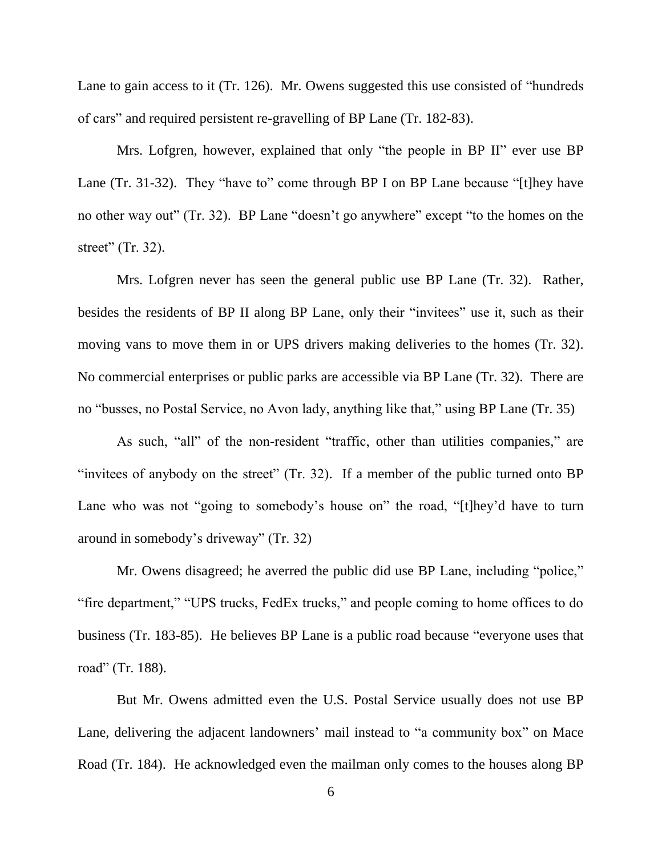Lane to gain access to it (Tr. 126). Mr. Owens suggested this use consisted of "hundreds of cars" and required persistent re-gravelling of BP Lane (Tr. 182-83).

Mrs. Lofgren, however, explained that only "the people in BP II" ever use BP Lane (Tr. 31-32). They "have to" come through BP I on BP Lane because "[t]hey have no other way out" (Tr. 32). BP Lane "doesn't go anywhere" except "to the homes on the street" (Tr. 32).

Mrs. Lofgren never has seen the general public use BP Lane (Tr. 32). Rather, besides the residents of BP II along BP Lane, only their "invitees" use it, such as their moving vans to move them in or UPS drivers making deliveries to the homes (Tr. 32). No commercial enterprises or public parks are accessible via BP Lane (Tr. 32). There are no "busses, no Postal Service, no Avon lady, anything like that," using BP Lane (Tr. 35)

As such, "all" of the non-resident "traffic, other than utilities companies," are "invitees of anybody on the street" (Tr. 32). If a member of the public turned onto BP Lane who was not "going to somebody's house on" the road, "[t]hey'd have to turn around in somebody's driveway" (Tr. 32)

Mr. Owens disagreed; he averred the public did use BP Lane, including "police," "fire department," "UPS trucks, FedEx trucks," and people coming to home offices to do business (Tr. 183-85). He believes BP Lane is a public road because "everyone uses that road" (Tr. 188).

But Mr. Owens admitted even the U.S. Postal Service usually does not use BP Lane, delivering the adjacent landowners' mail instead to "a community box" on Mace Road (Tr. 184). He acknowledged even the mailman only comes to the houses along BP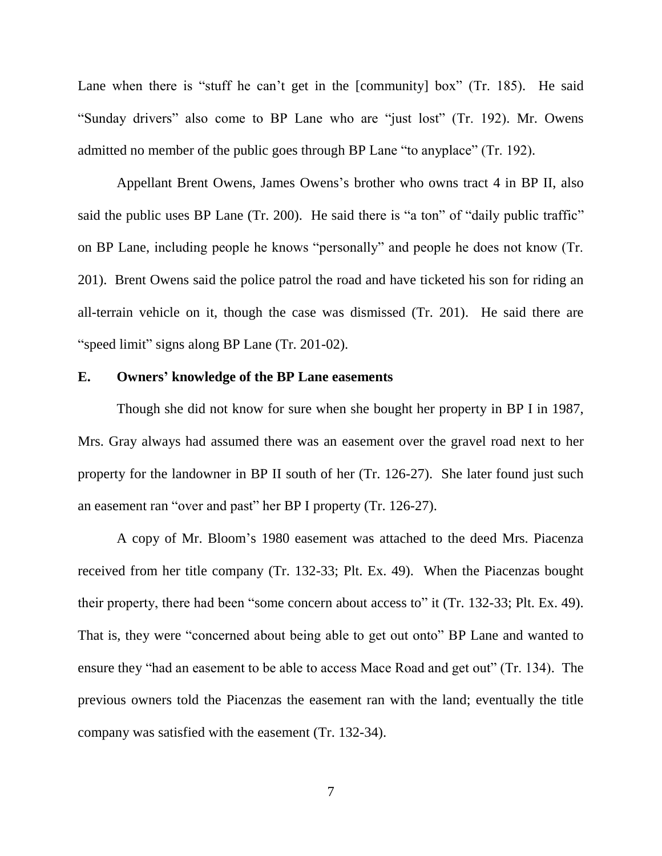Lane when there is "stuff he can't get in the [community] box" (Tr. 185). He said "Sunday drivers" also come to BP Lane who are "just lost" (Tr. 192). Mr. Owens admitted no member of the public goes through BP Lane "to anyplace" (Tr. 192).

Appellant Brent Owens, James Owens's brother who owns tract 4 in BP II, also said the public uses BP Lane (Tr. 200). He said there is "a ton" of "daily public traffic" on BP Lane, including people he knows "personally" and people he does not know (Tr. 201). Brent Owens said the police patrol the road and have ticketed his son for riding an all-terrain vehicle on it, though the case was dismissed (Tr. 201). He said there are "speed limit" signs along BP Lane (Tr. 201-02).

#### **E. Owners' knowledge of the BP Lane easements**

Though she did not know for sure when she bought her property in BP I in 1987, Mrs. Gray always had assumed there was an easement over the gravel road next to her property for the landowner in BP II south of her (Tr. 126-27). She later found just such an easement ran "over and past" her BP I property (Tr. 126-27).

A copy of Mr. Bloom's 1980 easement was attached to the deed Mrs. Piacenza received from her title company (Tr. 132-33; Plt. Ex. 49). When the Piacenzas bought their property, there had been "some concern about access to" it (Tr. 132-33; Plt. Ex. 49). That is, they were "concerned about being able to get out onto" BP Lane and wanted to ensure they "had an easement to be able to access Mace Road and get out" (Tr. 134). The previous owners told the Piacenzas the easement ran with the land; eventually the title company was satisfied with the easement (Tr. 132-34).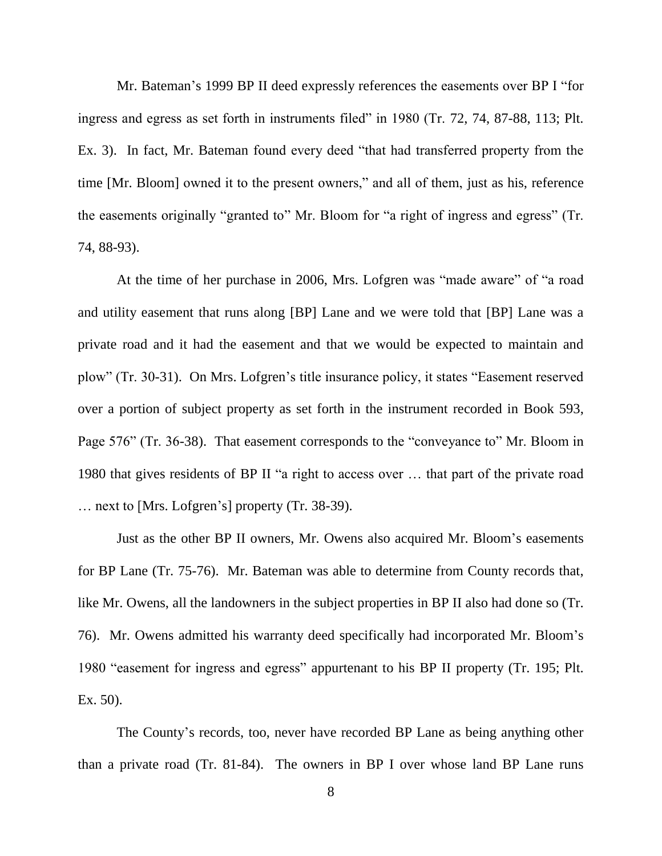Mr. Bateman's 1999 BP II deed expressly references the easements over BP I "for ingress and egress as set forth in instruments filed" in 1980 (Tr. 72, 74, 87-88, 113; Plt. Ex. 3). In fact, Mr. Bateman found every deed "that had transferred property from the time [Mr. Bloom] owned it to the present owners," and all of them, just as his, reference the easements originally "granted to" Mr. Bloom for "a right of ingress and egress" (Tr. 74, 88-93).

At the time of her purchase in 2006, Mrs. Lofgren was "made aware" of "a road and utility easement that runs along [BP] Lane and we were told that [BP] Lane was a private road and it had the easement and that we would be expected to maintain and plow" (Tr. 30-31). On Mrs. Lofgren's title insurance policy, it states "Easement reserved over a portion of subject property as set forth in the instrument recorded in Book 593, Page 576" (Tr. 36-38). That easement corresponds to the "conveyance to" Mr. Bloom in 1980 that gives residents of BP II "a right to access over … that part of the private road … next to [Mrs. Lofgren's] property (Tr. 38-39).

Just as the other BP II owners, Mr. Owens also acquired Mr. Bloom's easements for BP Lane (Tr. 75-76). Mr. Bateman was able to determine from County records that, like Mr. Owens, all the landowners in the subject properties in BP II also had done so (Tr. 76). Mr. Owens admitted his warranty deed specifically had incorporated Mr. Bloom's 1980 "easement for ingress and egress" appurtenant to his BP II property (Tr. 195; Plt. Ex. 50).

The County's records, too, never have recorded BP Lane as being anything other than a private road (Tr. 81-84). The owners in BP I over whose land BP Lane runs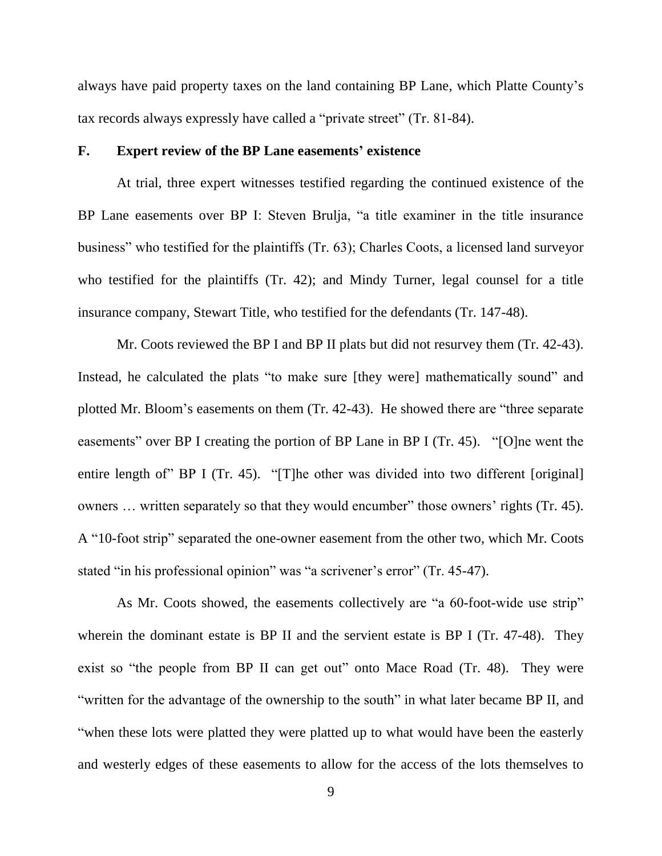always have paid property taxes on the land containing BP Lane, which Platte County's tax records always expressly have called a "private street" (Tr. 81-84).

#### **F. Expert review of the BP Lane easements' existence**

At trial, three expert witnesses testified regarding the continued existence of the BP Lane easements over BP I: Steven Brulja, "a title examiner in the title insurance business" who testified for the plaintiffs (Tr. 63); Charles Coots, a licensed land surveyor who testified for the plaintiffs (Tr. 42); and Mindy Turner, legal counsel for a title insurance company, Stewart Title, who testified for the defendants (Tr. 147-48).

Mr. Coots reviewed the BP I and BP II plats but did not resurvey them (Tr. 42-43). Instead, he calculated the plats "to make sure [they were] mathematically sound" and plotted Mr. Bloom's easements on them (Tr. 42-43). He showed there are "three separate easements" over BP I creating the portion of BP Lane in BP I (Tr. 45). "[O]ne went the entire length of" BP I (Tr. 45). "[T]he other was divided into two different [original] owners … written separately so that they would encumber" those owners' rights (Tr. 45). A "10-foot strip" separated the one-owner easement from the other two, which Mr. Coots stated "in his professional opinion" was "a scrivener's error" (Tr. 45-47).

As Mr. Coots showed, the easements collectively are "a 60-foot-wide use strip" wherein the dominant estate is BP II and the servient estate is BP I (Tr. 47-48). They exist so "the people from BP II can get out" onto Mace Road (Tr. 48). They were "written for the advantage of the ownership to the south" in what later became BP II, and "when these lots were platted they were platted up to what would have been the easterly and westerly edges of these easements to allow for the access of the lots themselves to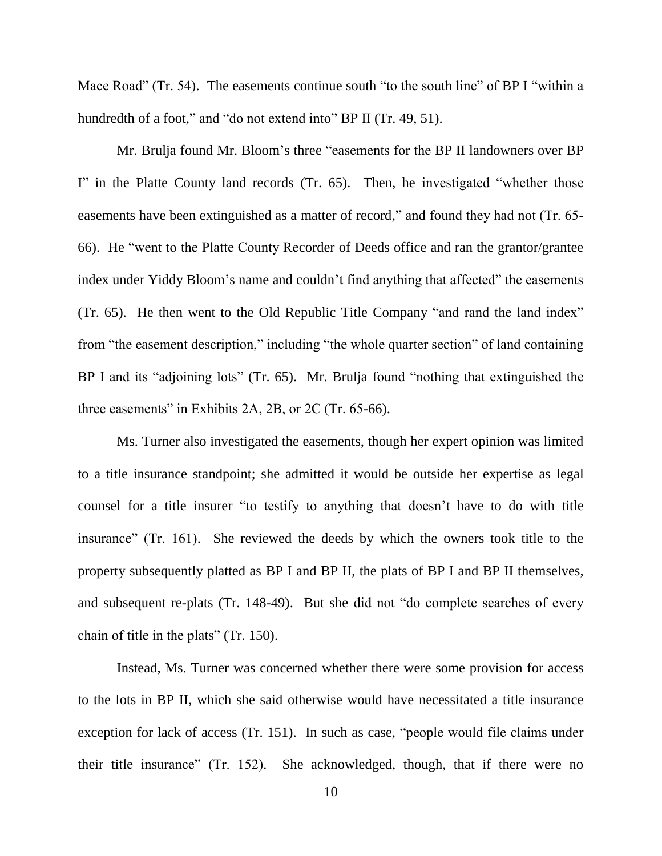Mace Road" (Tr. 54). The easements continue south "to the south line" of BP I "within a hundredth of a foot," and "do not extend into" BP II (Tr. 49, 51).

Mr. Brulja found Mr. Bloom's three "easements for the BP II landowners over BP I" in the Platte County land records (Tr. 65). Then, he investigated "whether those easements have been extinguished as a matter of record," and found they had not (Tr. 65- 66). He "went to the Platte County Recorder of Deeds office and ran the grantor/grantee index under Yiddy Bloom's name and couldn't find anything that affected" the easements (Tr. 65). He then went to the Old Republic Title Company "and rand the land index" from "the easement description," including "the whole quarter section" of land containing BP I and its "adjoining lots" (Tr. 65). Mr. Brulja found "nothing that extinguished the three easements" in Exhibits 2A, 2B, or 2C (Tr. 65-66).

Ms. Turner also investigated the easements, though her expert opinion was limited to a title insurance standpoint; she admitted it would be outside her expertise as legal counsel for a title insurer "to testify to anything that doesn't have to do with title insurance" (Tr. 161). She reviewed the deeds by which the owners took title to the property subsequently platted as BP I and BP II, the plats of BP I and BP II themselves, and subsequent re-plats (Tr. 148-49). But she did not "do complete searches of every chain of title in the plats" (Tr. 150).

Instead, Ms. Turner was concerned whether there were some provision for access to the lots in BP II, which she said otherwise would have necessitated a title insurance exception for lack of access (Tr. 151). In such as case, "people would file claims under their title insurance" (Tr. 152). She acknowledged, though, that if there were no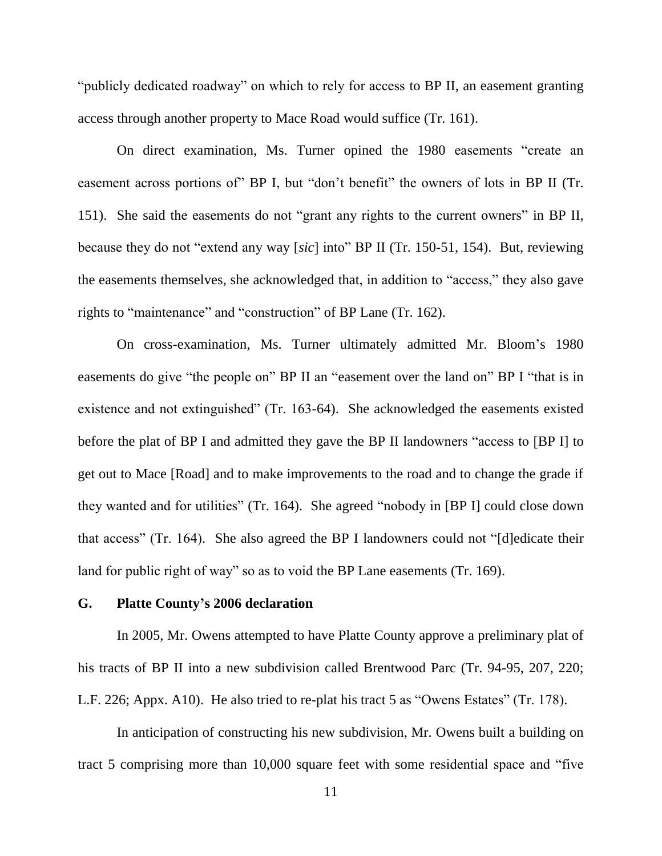"publicly dedicated roadway" on which to rely for access to BP II, an easement granting access through another property to Mace Road would suffice (Tr. 161).

On direct examination, Ms. Turner opined the 1980 easements "create an easement across portions of" BP I, but "don't benefit" the owners of lots in BP II (Tr. 151). She said the easements do not "grant any rights to the current owners" in BP II, because they do not "extend any way [*sic*] into" BP II (Tr. 150-51, 154). But, reviewing the easements themselves, she acknowledged that, in addition to "access," they also gave rights to "maintenance" and "construction" of BP Lane (Tr. 162).

On cross-examination, Ms. Turner ultimately admitted Mr. Bloom's 1980 easements do give "the people on" BP II an "easement over the land on" BP I "that is in existence and not extinguished" (Tr. 163-64). She acknowledged the easements existed before the plat of BP I and admitted they gave the BP II landowners "access to [BP I] to get out to Mace [Road] and to make improvements to the road and to change the grade if they wanted and for utilities" (Tr. 164). She agreed "nobody in [BP I] could close down that access" (Tr. 164). She also agreed the BP I landowners could not "[d]edicate their land for public right of way" so as to void the BP Lane easements (Tr. 169).

#### **G. Platte County's 2006 declaration**

In 2005, Mr. Owens attempted to have Platte County approve a preliminary plat of his tracts of BP II into a new subdivision called Brentwood Parc (Tr. 94-95, 207, 220; L.F. 226; Appx. A10). He also tried to re-plat his tract 5 as "Owens Estates" (Tr. 178).

In anticipation of constructing his new subdivision, Mr. Owens built a building on tract 5 comprising more than 10,000 square feet with some residential space and "five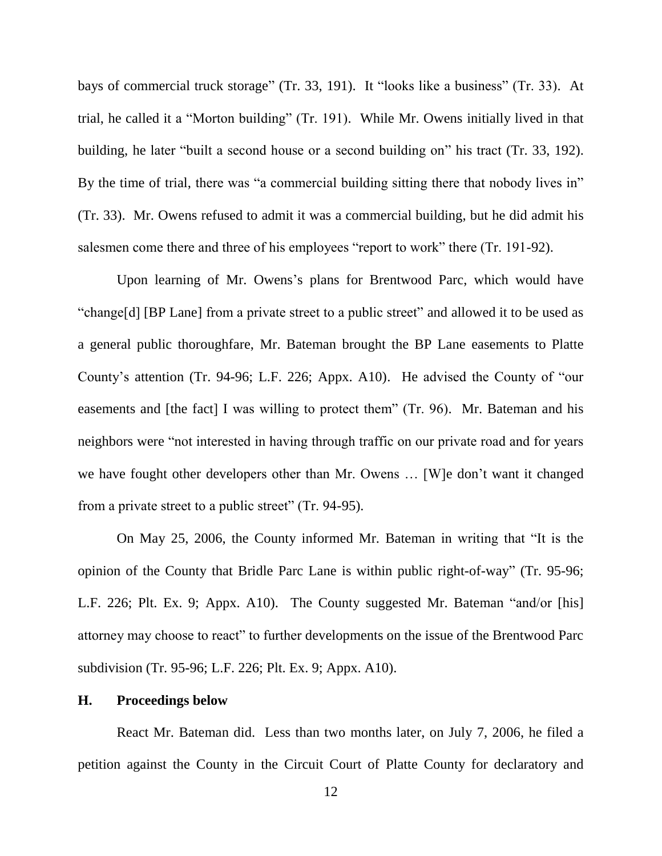bays of commercial truck storage" (Tr. 33, 191). It "looks like a business" (Tr. 33). At trial, he called it a "Morton building" (Tr. 191). While Mr. Owens initially lived in that building, he later "built a second house or a second building on" his tract (Tr. 33, 192). By the time of trial, there was "a commercial building sitting there that nobody lives in" (Tr. 33). Mr. Owens refused to admit it was a commercial building, but he did admit his salesmen come there and three of his employees "report to work" there (Tr. 191-92).

Upon learning of Mr. Owens's plans for Brentwood Parc, which would have "change[d] [BP Lane] from a private street to a public street" and allowed it to be used as a general public thoroughfare, Mr. Bateman brought the BP Lane easements to Platte County's attention (Tr. 94-96; L.F. 226; Appx. A10). He advised the County of "our easements and [the fact] I was willing to protect them" (Tr. 96). Mr. Bateman and his neighbors were "not interested in having through traffic on our private road and for years we have fought other developers other than Mr. Owens … [W]e don't want it changed from a private street to a public street" (Tr. 94-95).

On May 25, 2006, the County informed Mr. Bateman in writing that "It is the opinion of the County that Bridle Parc Lane is within public right-of-way" (Tr. 95-96; L.F. 226; Plt. Ex. 9; Appx. A10). The County suggested Mr. Bateman "and/or [his] attorney may choose to react" to further developments on the issue of the Brentwood Parc subdivision (Tr. 95-96; L.F. 226; Plt. Ex. 9; Appx. A10).

#### **H. Proceedings below**

React Mr. Bateman did. Less than two months later, on July 7, 2006, he filed a petition against the County in the Circuit Court of Platte County for declaratory and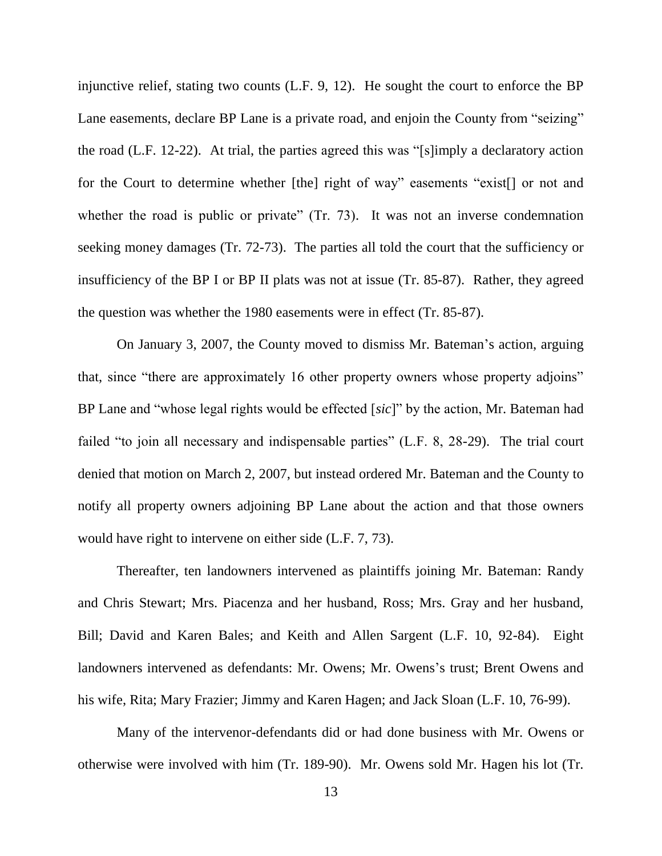injunctive relief, stating two counts (L.F. 9, 12). He sought the court to enforce the BP Lane easements, declare BP Lane is a private road, and enjoin the County from "seizing" the road (L.F. 12-22). At trial, the parties agreed this was "[s]imply a declaratory action for the Court to determine whether [the] right of way" easements "exist[] or not and whether the road is public or private" (Tr. 73). It was not an inverse condemnation seeking money damages (Tr. 72-73). The parties all told the court that the sufficiency or insufficiency of the BP I or BP II plats was not at issue (Tr. 85-87). Rather, they agreed the question was whether the 1980 easements were in effect (Tr. 85-87).

On January 3, 2007, the County moved to dismiss Mr. Bateman's action, arguing that, since "there are approximately 16 other property owners whose property adjoins" BP Lane and "whose legal rights would be effected [*sic*]" by the action, Mr. Bateman had failed "to join all necessary and indispensable parties" (L.F. 8, 28-29). The trial court denied that motion on March 2, 2007, but instead ordered Mr. Bateman and the County to notify all property owners adjoining BP Lane about the action and that those owners would have right to intervene on either side (L.F. 7, 73).

Thereafter, ten landowners intervened as plaintiffs joining Mr. Bateman: Randy and Chris Stewart; Mrs. Piacenza and her husband, Ross; Mrs. Gray and her husband, Bill; David and Karen Bales; and Keith and Allen Sargent (L.F. 10, 92-84). Eight landowners intervened as defendants: Mr. Owens; Mr. Owens's trust; Brent Owens and his wife, Rita; Mary Frazier; Jimmy and Karen Hagen; and Jack Sloan (L.F. 10, 76-99).

Many of the intervenor-defendants did or had done business with Mr. Owens or otherwise were involved with him (Tr. 189-90). Mr. Owens sold Mr. Hagen his lot (Tr.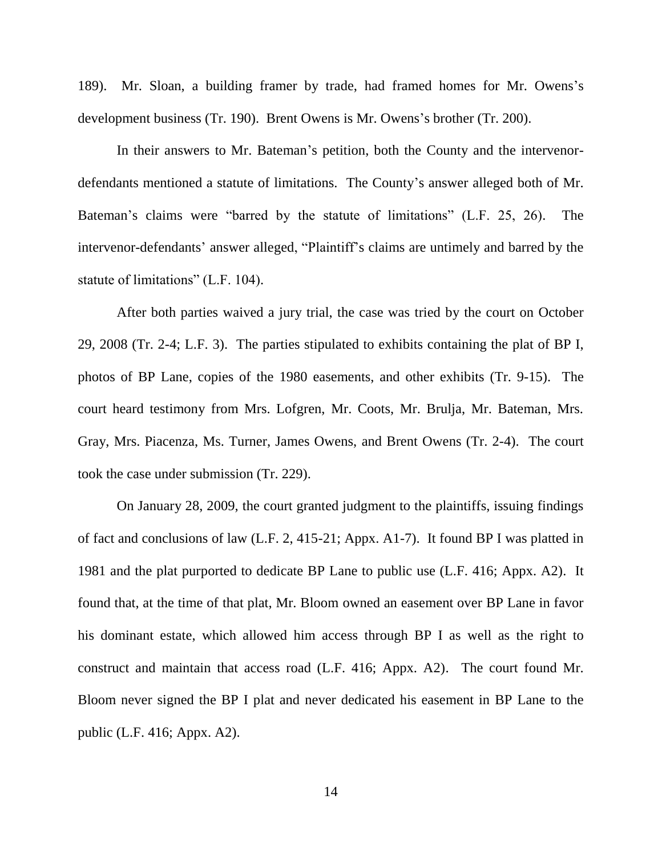189). Mr. Sloan, a building framer by trade, had framed homes for Mr. Owens's development business (Tr. 190). Brent Owens is Mr. Owens's brother (Tr. 200).

In their answers to Mr. Bateman's petition, both the County and the intervenordefendants mentioned a statute of limitations. The County's answer alleged both of Mr. Bateman's claims were "barred by the statute of limitations" (L.F. 25, 26). The intervenor-defendants' answer alleged, "Plaintiff's claims are untimely and barred by the statute of limitations" (L.F. 104).

After both parties waived a jury trial, the case was tried by the court on October 29, 2008 (Tr. 2-4; L.F. 3). The parties stipulated to exhibits containing the plat of BP I, photos of BP Lane, copies of the 1980 easements, and other exhibits (Tr. 9-15). The court heard testimony from Mrs. Lofgren, Mr. Coots, Mr. Brulja, Mr. Bateman, Mrs. Gray, Mrs. Piacenza, Ms. Turner, James Owens, and Brent Owens (Tr. 2-4). The court took the case under submission (Tr. 229).

On January 28, 2009, the court granted judgment to the plaintiffs, issuing findings of fact and conclusions of law (L.F. 2, 415-21; Appx. A1-7). It found BP I was platted in 1981 and the plat purported to dedicate BP Lane to public use (L.F. 416; Appx. A2). It found that, at the time of that plat, Mr. Bloom owned an easement over BP Lane in favor his dominant estate, which allowed him access through BP I as well as the right to construct and maintain that access road (L.F. 416; Appx. A2). The court found Mr. Bloom never signed the BP I plat and never dedicated his easement in BP Lane to the public (L.F. 416; Appx. A2).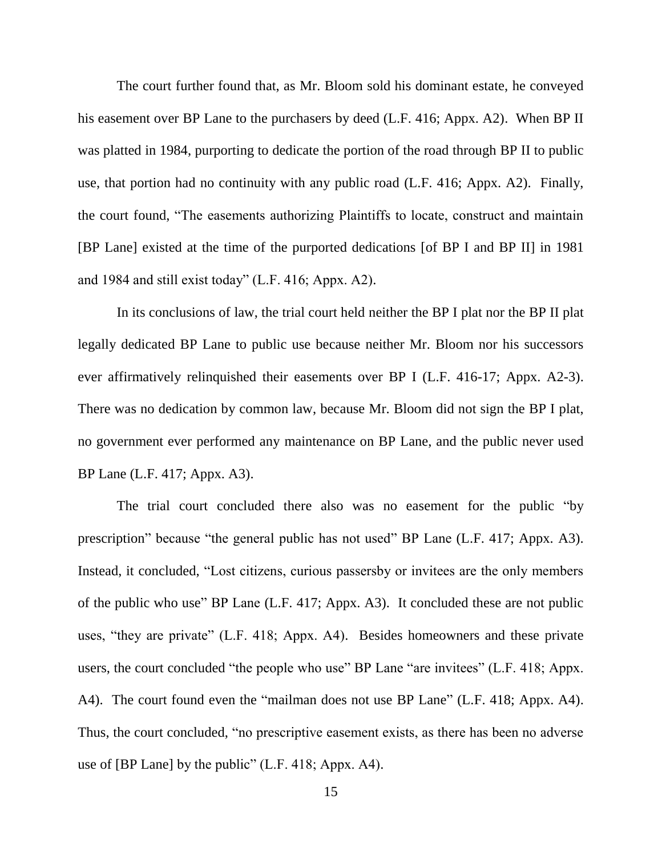The court further found that, as Mr. Bloom sold his dominant estate, he conveyed his easement over BP Lane to the purchasers by deed (L.F. 416; Appx. A2). When BP II was platted in 1984, purporting to dedicate the portion of the road through BP II to public use, that portion had no continuity with any public road (L.F. 416; Appx. A2). Finally, the court found, "The easements authorizing Plaintiffs to locate, construct and maintain [BP Lane] existed at the time of the purported dedications [of BP I and BP II] in 1981 and 1984 and still exist today" (L.F. 416; Appx. A2).

In its conclusions of law, the trial court held neither the BP I plat nor the BP II plat legally dedicated BP Lane to public use because neither Mr. Bloom nor his successors ever affirmatively relinquished their easements over BP I (L.F. 416-17; Appx. A2-3). There was no dedication by common law, because Mr. Bloom did not sign the BP I plat, no government ever performed any maintenance on BP Lane, and the public never used BP Lane (L.F. 417; Appx. A3).

The trial court concluded there also was no easement for the public "by prescription" because "the general public has not used" BP Lane (L.F. 417; Appx. A3). Instead, it concluded, "Lost citizens, curious passersby or invitees are the only members of the public who use" BP Lane (L.F. 417; Appx. A3). It concluded these are not public uses, "they are private" (L.F. 418; Appx. A4). Besides homeowners and these private users, the court concluded "the people who use" BP Lane "are invitees" (L.F. 418; Appx. A4). The court found even the "mailman does not use BP Lane" (L.F. 418; Appx. A4). Thus, the court concluded, "no prescriptive easement exists, as there has been no adverse use of [BP Lane] by the public" (L.F. 418; Appx. A4).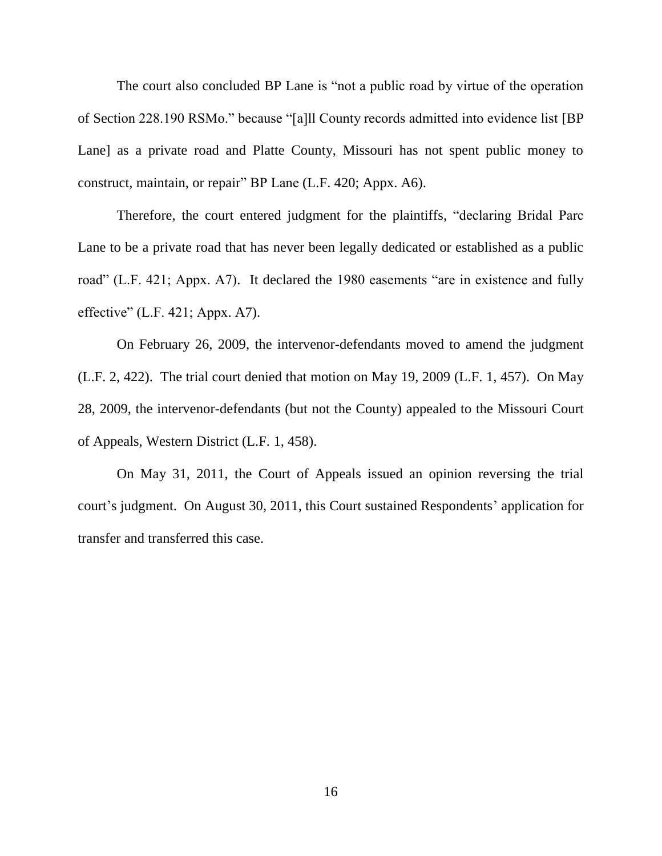The court also concluded BP Lane is "not a public road by virtue of the operation of Section 228.190 RSMo." because "[a]ll County records admitted into evidence list [BP Lane] as a private road and Platte County, Missouri has not spent public money to construct, maintain, or repair" BP Lane (L.F. 420; Appx. A6).

Therefore, the court entered judgment for the plaintiffs, "declaring Bridal Parc Lane to be a private road that has never been legally dedicated or established as a public road" (L.F. 421; Appx. A7). It declared the 1980 easements "are in existence and fully effective" (L.F. 421; Appx. A7).

On February 26, 2009, the intervenor-defendants moved to amend the judgment (L.F. 2, 422). The trial court denied that motion on May 19, 2009 (L.F. 1, 457). On May 28, 2009, the intervenor-defendants (but not the County) appealed to the Missouri Court of Appeals, Western District (L.F. 1, 458).

On May 31, 2011, the Court of Appeals issued an opinion reversing the trial court's judgment. On August 30, 2011, this Court sustained Respondents' application for transfer and transferred this case.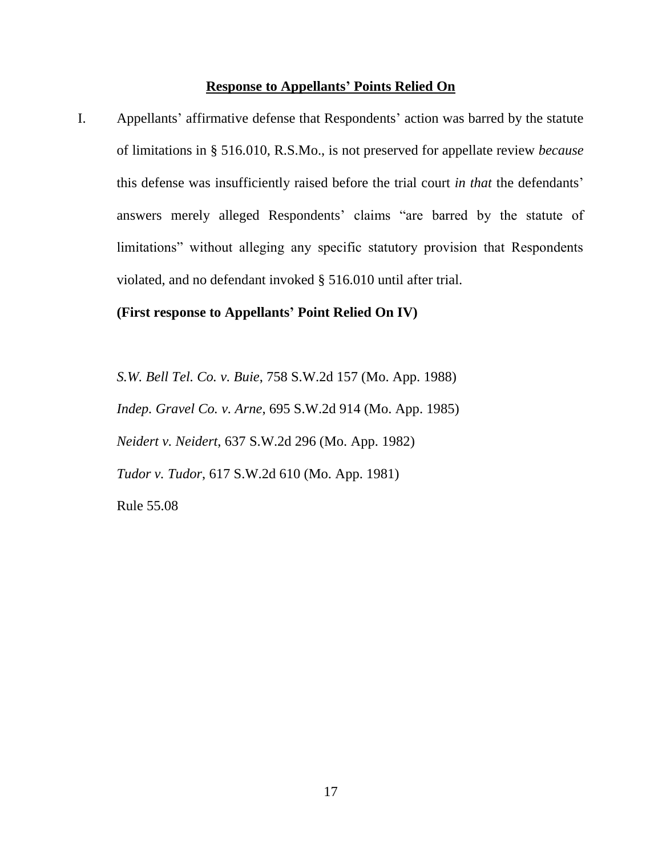# **Response to Appellants' Points Relied On**

I. Appellants' affirmative defense that Respondents' action was barred by the statute of limitations in § 516.010, R.S.Mo., is not preserved for appellate review *because* this defense was insufficiently raised before the trial court *in that* the defendants' answers merely alleged Respondents' claims "are barred by the statute of limitations" without alleging any specific statutory provision that Respondents violated, and no defendant invoked § 516.010 until after trial.

### **(First response to Appellants' Point Relied On IV)**

*S.W. Bell Tel. Co. v. Buie*, 758 S.W.2d 157 (Mo. App. 1988) *Indep. Gravel Co. v. Arne*, 695 S.W.2d 914 (Mo. App. 1985) *Neidert v. Neidert*, 637 S.W.2d 296 (Mo. App. 1982) *Tudor v. Tudor*, 617 S.W.2d 610 (Mo. App. 1981) Rule 55.08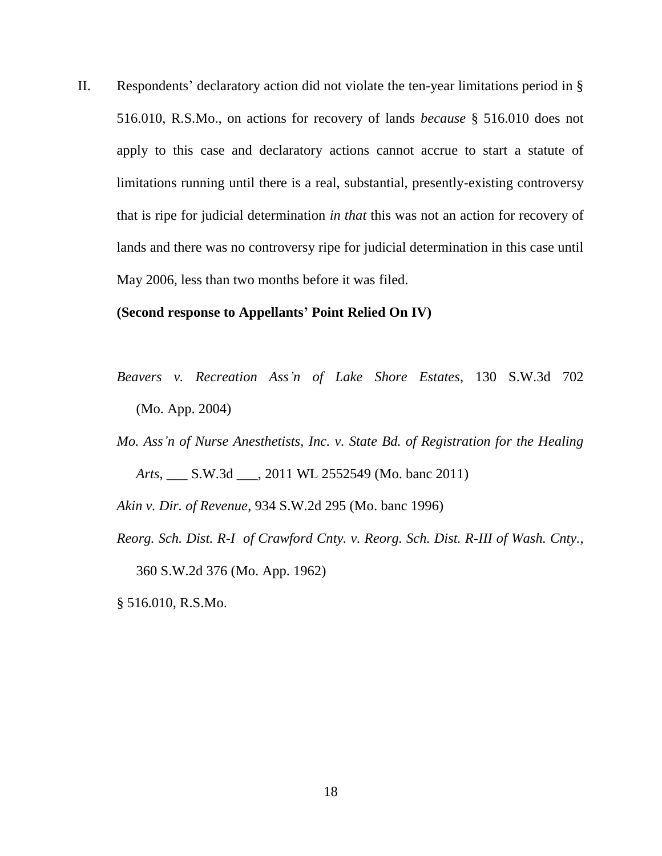II. Respondents' declaratory action did not violate the ten-year limitations period in § 516.010, R.S.Mo., on actions for recovery of lands *because* § 516.010 does not apply to this case and declaratory actions cannot accrue to start a statute of limitations running until there is a real, substantial, presently-existing controversy that is ripe for judicial determination *in that* this was not an action for recovery of lands and there was no controversy ripe for judicial determination in this case until May 2006, less than two months before it was filed.

#### **(Second response to Appellants' Point Relied On IV)**

- *Beavers v. Recreation Ass'n of Lake Shore Estates*, 130 S.W.3d 702 (Mo. App. 2004)
- *Mo. Ass'n of Nurse Anesthetists, Inc. v. State Bd. of Registration for the Healing Arts*, \_\_\_ S.W.3d \_\_\_, 2011 WL 2552549 (Mo. banc 2011)

*Akin v. Dir. of Revenue*, 934 S.W.2d 295 (Mo. banc 1996)

*Reorg. Sch. Dist. R-I of Crawford Cnty. v. Reorg. Sch. Dist. R-III of Wash. Cnty.*, 360 S.W.2d 376 (Mo. App. 1962)

§ 516.010, R.S.Mo.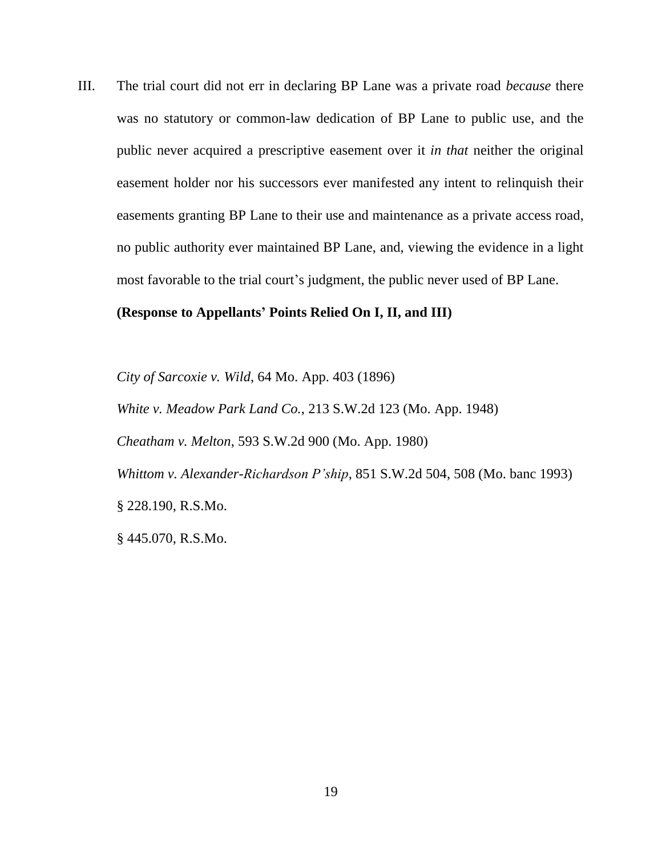III. The trial court did not err in declaring BP Lane was a private road *because* there was no statutory or common-law dedication of BP Lane to public use, and the public never acquired a prescriptive easement over it *in that* neither the original easement holder nor his successors ever manifested any intent to relinquish their easements granting BP Lane to their use and maintenance as a private access road, no public authority ever maintained BP Lane, and, viewing the evidence in a light most favorable to the trial court's judgment, the public never used of BP Lane.

### **(Response to Appellants' Points Relied On I, II, and III)**

*City of Sarcoxie v. Wild*, 64 Mo. App. 403 (1896) *White v. Meadow Park Land Co.*, 213 S.W.2d 123 (Mo. App. 1948) *Cheatham v. Melton*, 593 S.W.2d 900 (Mo. App. 1980) *Whittom v. Alexander-Richardson P'ship*, 851 S.W.2d 504, 508 (Mo. banc 1993) § 228.190, R.S.Mo.

§ 445.070, R.S.Mo.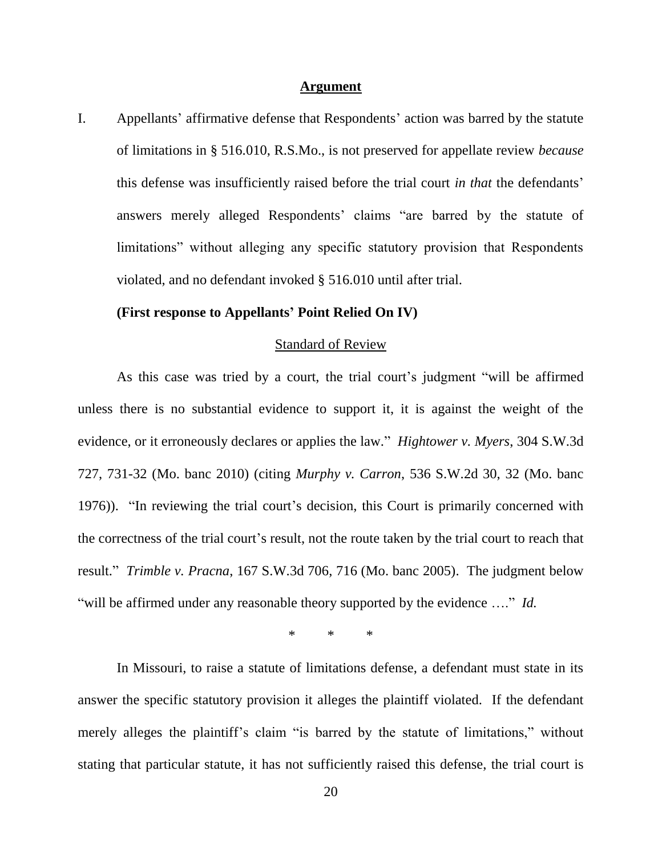#### **Argument**

I. Appellants' affirmative defense that Respondents' action was barred by the statute of limitations in § 516.010, R.S.Mo., is not preserved for appellate review *because* this defense was insufficiently raised before the trial court *in that* the defendants' answers merely alleged Respondents' claims "are barred by the statute of limitations" without alleging any specific statutory provision that Respondents violated, and no defendant invoked § 516.010 until after trial.

#### **(First response to Appellants' Point Relied On IV)**

#### Standard of Review

As this case was tried by a court, the trial court's judgment "will be affirmed unless there is no substantial evidence to support it, it is against the weight of the evidence, or it erroneously declares or applies the law." *Hightower v. Myers*, 304 S.W.3d 727, 731-32 (Mo. banc 2010) (citing *Murphy v. Carron*, 536 S.W.2d 30, 32 (Mo. banc 1976)). "In reviewing the trial court's decision, this Court is primarily concerned with the correctness of the trial court's result, not the route taken by the trial court to reach that result." *Trimble v. Pracna*, 167 S.W.3d 706, 716 (Mo. banc 2005). The judgment below "will be affirmed under any reasonable theory supported by the evidence …." *Id.*

\* \* \*

In Missouri, to raise a statute of limitations defense, a defendant must state in its answer the specific statutory provision it alleges the plaintiff violated. If the defendant merely alleges the plaintiff's claim "is barred by the statute of limitations," without stating that particular statute, it has not sufficiently raised this defense, the trial court is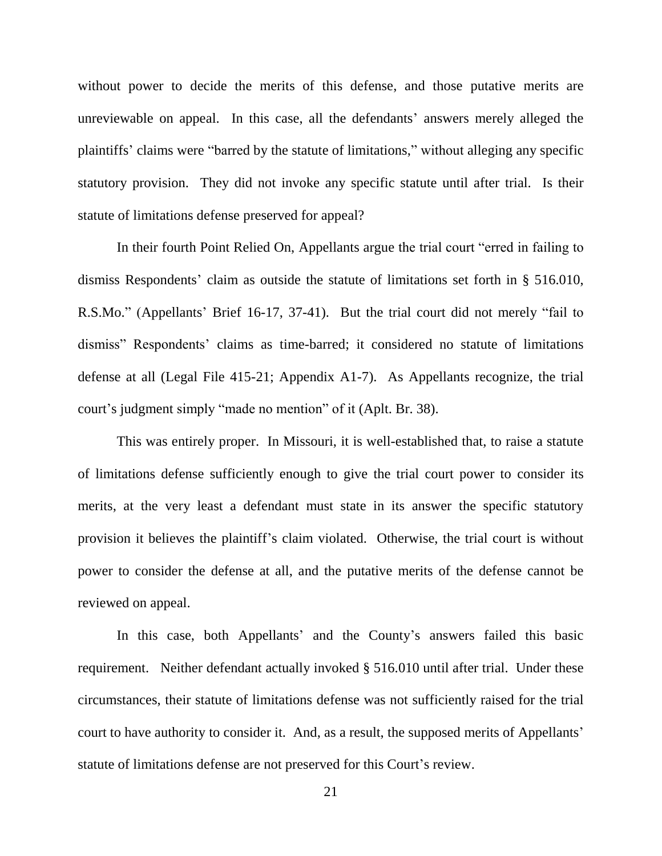without power to decide the merits of this defense, and those putative merits are unreviewable on appeal. In this case, all the defendants' answers merely alleged the plaintiffs' claims were "barred by the statute of limitations," without alleging any specific statutory provision. They did not invoke any specific statute until after trial. Is their statute of limitations defense preserved for appeal?

In their fourth Point Relied On, Appellants argue the trial court "erred in failing to dismiss Respondents' claim as outside the statute of limitations set forth in § 516.010, R.S.Mo." (Appellants' Brief 16-17, 37-41). But the trial court did not merely "fail to dismiss" Respondents' claims as time-barred; it considered no statute of limitations defense at all (Legal File 415-21; Appendix A1-7). As Appellants recognize, the trial court's judgment simply "made no mention" of it (Aplt. Br. 38).

This was entirely proper. In Missouri, it is well-established that, to raise a statute of limitations defense sufficiently enough to give the trial court power to consider its merits, at the very least a defendant must state in its answer the specific statutory provision it believes the plaintiff's claim violated. Otherwise, the trial court is without power to consider the defense at all, and the putative merits of the defense cannot be reviewed on appeal.

In this case, both Appellants' and the County's answers failed this basic requirement. Neither defendant actually invoked § 516.010 until after trial. Under these circumstances, their statute of limitations defense was not sufficiently raised for the trial court to have authority to consider it. And, as a result, the supposed merits of Appellants' statute of limitations defense are not preserved for this Court's review.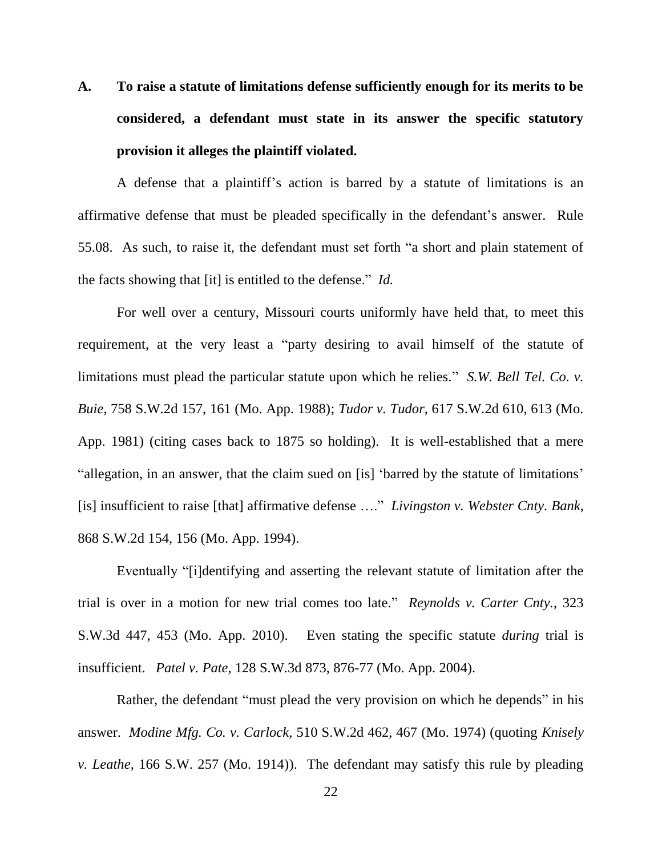**A. To raise a statute of limitations defense sufficiently enough for its merits to be considered, a defendant must state in its answer the specific statutory provision it alleges the plaintiff violated.**

A defense that a plaintiff's action is barred by a statute of limitations is an affirmative defense that must be pleaded specifically in the defendant's answer. Rule 55.08. As such, to raise it, the defendant must set forth "a short and plain statement of the facts showing that [it] is entitled to the defense." *Id.*

For well over a century, Missouri courts uniformly have held that, to meet this requirement, at the very least a "party desiring to avail himself of the statute of limitations must plead the particular statute upon which he relies." *S.W. Bell Tel. Co. v. Buie*, 758 S.W.2d 157, 161 (Mo. App. 1988); *Tudor v. Tudor*, 617 S.W.2d 610, 613 (Mo. App. 1981) (citing cases back to 1875 so holding). It is well-established that a mere "allegation, in an answer, that the claim sued on [is] 'barred by the statute of limitations' [is] insufficient to raise [that] affirmative defense …." *Livingston v. Webster Cnty. Bank*, 868 S.W.2d 154, 156 (Mo. App. 1994).

Eventually "[i]dentifying and asserting the relevant statute of limitation after the trial is over in a motion for new trial comes too late." *Reynolds v. Carter Cnty.*, 323 S.W.3d 447, 453 (Mo. App. 2010). Even stating the specific statute *during* trial is insufficient. *Patel v. Pate*, 128 S.W.3d 873, 876-77 (Mo. App. 2004).

Rather, the defendant "must plead the very provision on which he depends" in his answer. *Modine Mfg. Co. v. Carlock*, 510 S.W.2d 462, 467 (Mo. 1974) (quoting *Knisely v. Leathe*, 166 S.W. 257 (Mo. 1914)). The defendant may satisfy this rule by pleading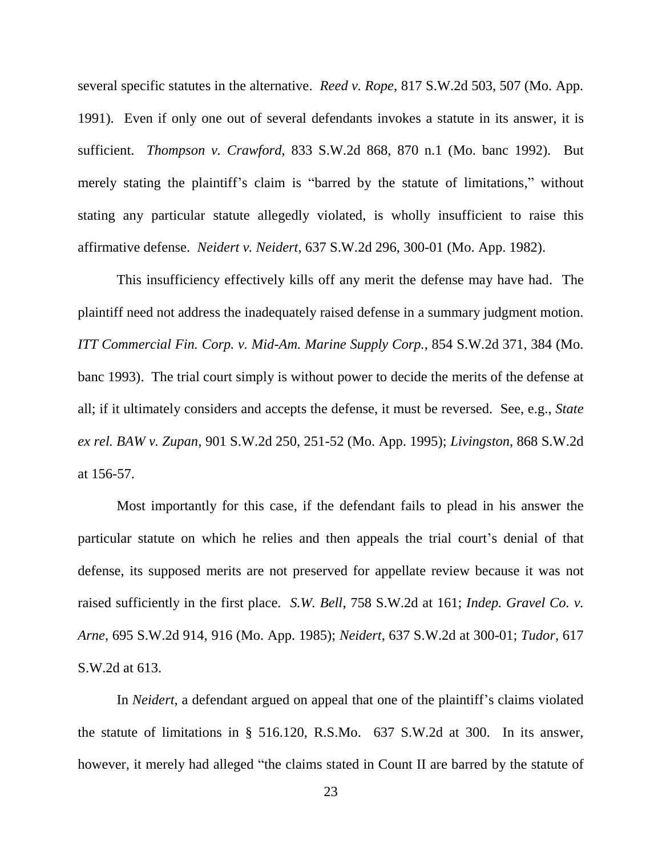several specific statutes in the alternative. *Reed v. Rope*, 817 S.W.2d 503, 507 (Mo. App. 1991). Even if only one out of several defendants invokes a statute in its answer, it is sufficient. *Thompson v. Crawford*, 833 S.W.2d 868, 870 n.1 (Mo. banc 1992). But merely stating the plaintiff's claim is "barred by the statute of limitations," without stating any particular statute allegedly violated, is wholly insufficient to raise this affirmative defense. *Neidert v. Neidert*, 637 S.W.2d 296, 300-01 (Mo. App. 1982).

This insufficiency effectively kills off any merit the defense may have had. The plaintiff need not address the inadequately raised defense in a summary judgment motion. *ITT Commercial Fin. Corp. v. Mid-Am. Marine Supply Corp.*, 854 S.W.2d 371, 384 (Mo. banc 1993). The trial court simply is without power to decide the merits of the defense at all; if it ultimately considers and accepts the defense, it must be reversed. See, e.g., *State ex rel. BAW v. Zupan*, 901 S.W.2d 250, 251-52 (Mo. App. 1995); *Livingston*, 868 S.W.2d at 156-57.

Most importantly for this case, if the defendant fails to plead in his answer the particular statute on which he relies and then appeals the trial court's denial of that defense, its supposed merits are not preserved for appellate review because it was not raised sufficiently in the first place. *S.W. Bell*, 758 S.W.2d at 161; *Indep. Gravel Co. v. Arne*, 695 S.W.2d 914, 916 (Mo. App. 1985); *Neidert*, 637 S.W.2d at 300-01; *Tudor*, 617 S.W.2d at 613.

In *Neidert*, a defendant argued on appeal that one of the plaintiff's claims violated the statute of limitations in § 516.120, R.S.Mo. 637 S.W.2d at 300. In its answer, however, it merely had alleged "the claims stated in Count II are barred by the statute of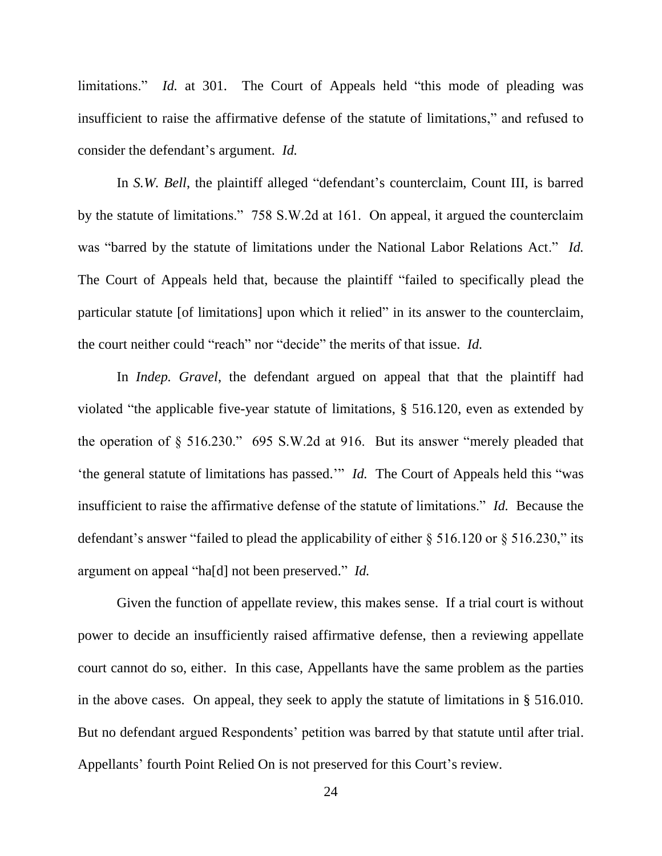limitations." *Id.* at 301. The Court of Appeals held "this mode of pleading was insufficient to raise the affirmative defense of the statute of limitations," and refused to consider the defendant's argument. *Id.*

In *S.W. Bell*, the plaintiff alleged "defendant's counterclaim, Count III, is barred by the statute of limitations." 758 S.W.2d at 161. On appeal, it argued the counterclaim was "barred by the statute of limitations under the National Labor Relations Act." *Id.* The Court of Appeals held that, because the plaintiff "failed to specifically plead the particular statute [of limitations] upon which it relied" in its answer to the counterclaim, the court neither could "reach" nor "decide" the merits of that issue. *Id.*

In *Indep. Gravel*, the defendant argued on appeal that that the plaintiff had violated "the applicable five-year statute of limitations, § 516.120, even as extended by the operation of § 516.230." 695 S.W.2d at 916. But its answer "merely pleaded that 'the general statute of limitations has passed.'" *Id.* The Court of Appeals held this "was insufficient to raise the affirmative defense of the statute of limitations." *Id.* Because the defendant's answer "failed to plead the applicability of either  $\S$  516.120 or  $\S$  516.230," its argument on appeal "ha[d] not been preserved." *Id.*

Given the function of appellate review, this makes sense. If a trial court is without power to decide an insufficiently raised affirmative defense, then a reviewing appellate court cannot do so, either. In this case, Appellants have the same problem as the parties in the above cases. On appeal, they seek to apply the statute of limitations in § 516.010. But no defendant argued Respondents' petition was barred by that statute until after trial. Appellants' fourth Point Relied On is not preserved for this Court's review.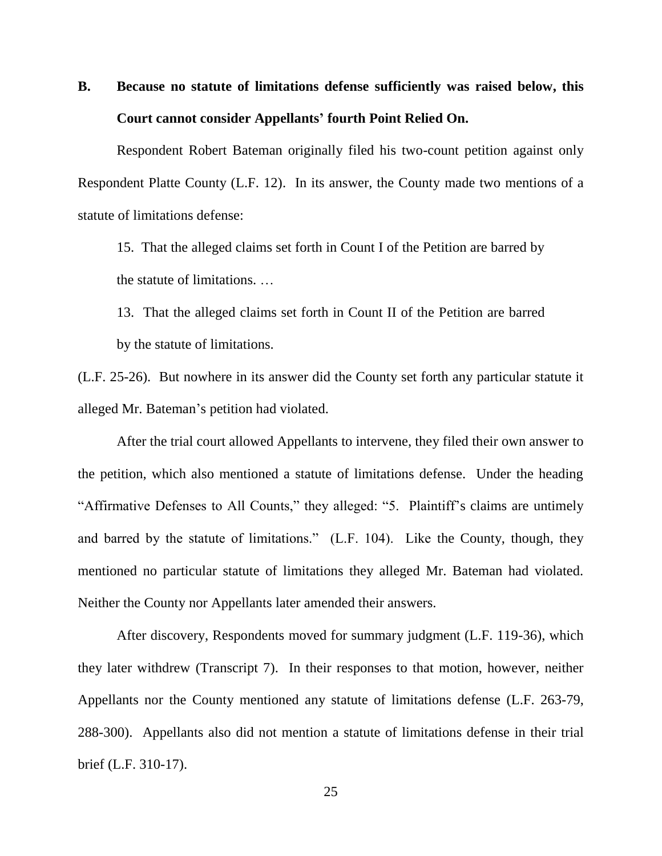# **B. Because no statute of limitations defense sufficiently was raised below, this Court cannot consider Appellants' fourth Point Relied On.**

Respondent Robert Bateman originally filed his two-count petition against only Respondent Platte County (L.F. 12). In its answer, the County made two mentions of a statute of limitations defense:

15. That the alleged claims set forth in Count I of the Petition are barred by the statute of limitations. …

13. That the alleged claims set forth in Count II of the Petition are barred by the statute of limitations.

(L.F. 25-26). But nowhere in its answer did the County set forth any particular statute it alleged Mr. Bateman's petition had violated.

After the trial court allowed Appellants to intervene, they filed their own answer to the petition, which also mentioned a statute of limitations defense. Under the heading "Affirmative Defenses to All Counts," they alleged: "5. Plaintiff's claims are untimely and barred by the statute of limitations." (L.F. 104). Like the County, though, they mentioned no particular statute of limitations they alleged Mr. Bateman had violated. Neither the County nor Appellants later amended their answers.

After discovery, Respondents moved for summary judgment (L.F. 119-36), which they later withdrew (Transcript 7). In their responses to that motion, however, neither Appellants nor the County mentioned any statute of limitations defense (L.F. 263-79, 288-300). Appellants also did not mention a statute of limitations defense in their trial brief (L.F. 310-17).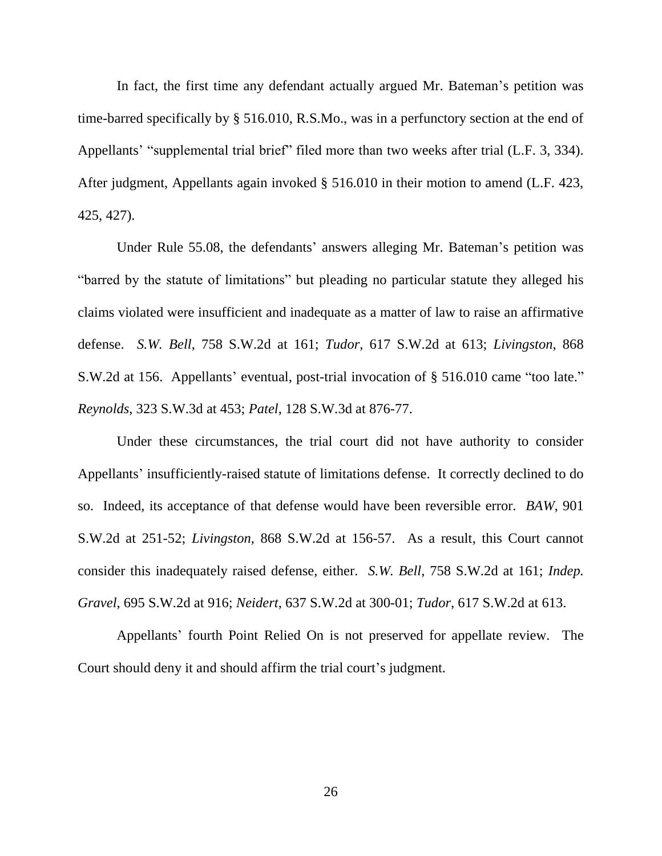In fact, the first time any defendant actually argued Mr. Bateman's petition was time-barred specifically by § 516.010, R.S.Mo., was in a perfunctory section at the end of Appellants' "supplemental trial brief" filed more than two weeks after trial (L.F. 3, 334). After judgment, Appellants again invoked § 516.010 in their motion to amend (L.F. 423, 425, 427).

Under Rule 55.08, the defendants' answers alleging Mr. Bateman's petition was "barred by the statute of limitations" but pleading no particular statute they alleged his claims violated were insufficient and inadequate as a matter of law to raise an affirmative defense. *S.W. Bell*, 758 S.W.2d at 161; *Tudor*, 617 S.W.2d at 613; *Livingston*, 868 S.W.2d at 156. Appellants' eventual, post-trial invocation of § 516.010 came "too late." *Reynolds*, 323 S.W.3d at 453; *Patel*, 128 S.W.3d at 876-77.

Under these circumstances, the trial court did not have authority to consider Appellants' insufficiently-raised statute of limitations defense. It correctly declined to do so. Indeed, its acceptance of that defense would have been reversible error. *BAW*, 901 S.W.2d at 251-52; *Livingston*, 868 S.W.2d at 156-57. As a result, this Court cannot consider this inadequately raised defense, either. *S.W. Bell*, 758 S.W.2d at 161; *Indep. Gravel*, 695 S.W.2d at 916; *Neidert*, 637 S.W.2d at 300-01; *Tudor*, 617 S.W.2d at 613.

Appellants' fourth Point Relied On is not preserved for appellate review. The Court should deny it and should affirm the trial court's judgment.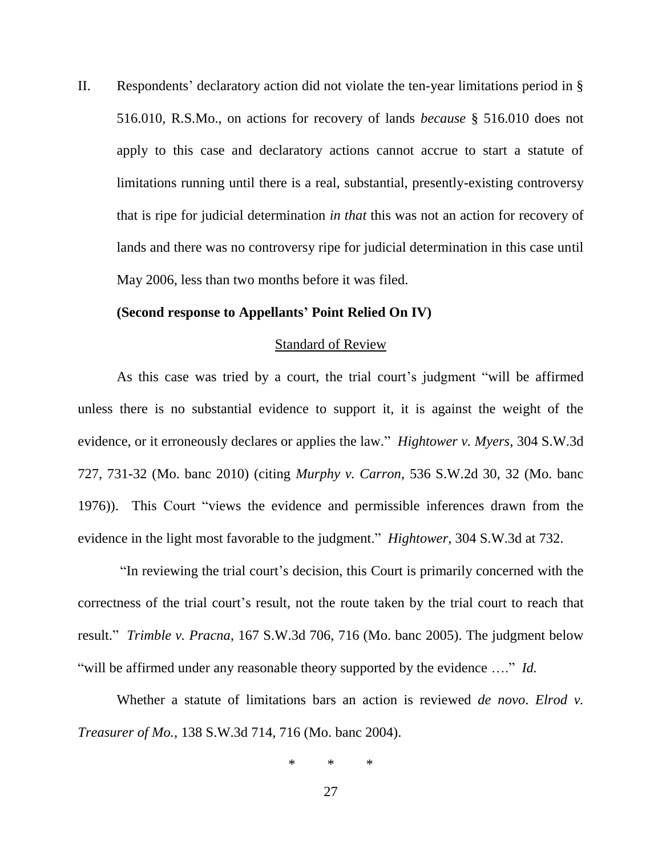II. Respondents' declaratory action did not violate the ten-year limitations period in § 516.010, R.S.Mo., on actions for recovery of lands *because* § 516.010 does not apply to this case and declaratory actions cannot accrue to start a statute of limitations running until there is a real, substantial, presently-existing controversy that is ripe for judicial determination *in that* this was not an action for recovery of lands and there was no controversy ripe for judicial determination in this case until May 2006, less than two months before it was filed.

#### **(Second response to Appellants' Point Relied On IV)**

### Standard of Review

As this case was tried by a court, the trial court's judgment "will be affirmed unless there is no substantial evidence to support it, it is against the weight of the evidence, or it erroneously declares or applies the law." *Hightower v. Myers*, 304 S.W.3d 727, 731-32 (Mo. banc 2010) (citing *Murphy v. Carron*, 536 S.W.2d 30, 32 (Mo. banc 1976)). This Court "views the evidence and permissible inferences drawn from the evidence in the light most favorable to the judgment." *Hightower*, 304 S.W.3d at 732.

"In reviewing the trial court's decision, this Court is primarily concerned with the correctness of the trial court's result, not the route taken by the trial court to reach that result." *Trimble v. Pracna*, 167 S.W.3d 706, 716 (Mo. banc 2005). The judgment below "will be affirmed under any reasonable theory supported by the evidence …." *Id.*

Whether a statute of limitations bars an action is reviewed *de novo*. *Elrod v. Treasurer of Mo.*, 138 S.W.3d 714, 716 (Mo. banc 2004).

\* \* \*

27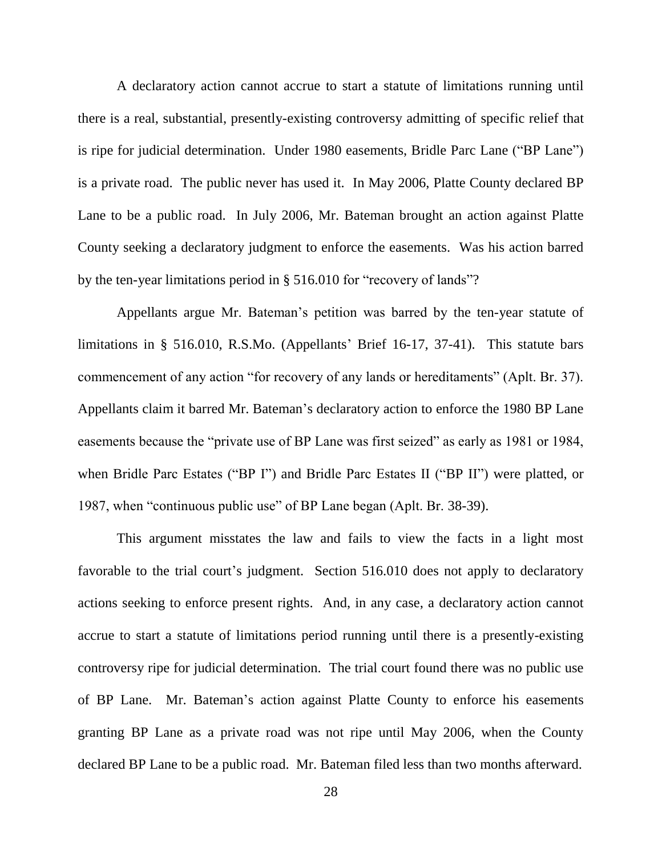A declaratory action cannot accrue to start a statute of limitations running until there is a real, substantial, presently-existing controversy admitting of specific relief that is ripe for judicial determination. Under 1980 easements, Bridle Parc Lane ("BP Lane") is a private road. The public never has used it. In May 2006, Platte County declared BP Lane to be a public road. In July 2006, Mr. Bateman brought an action against Platte County seeking a declaratory judgment to enforce the easements. Was his action barred by the ten-year limitations period in § 516.010 for "recovery of lands"?

Appellants argue Mr. Bateman's petition was barred by the ten-year statute of limitations in § 516.010, R.S.Mo. (Appellants' Brief 16-17, 37-41). This statute bars commencement of any action "for recovery of any lands or hereditaments" (Aplt. Br. 37). Appellants claim it barred Mr. Bateman's declaratory action to enforce the 1980 BP Lane easements because the "private use of BP Lane was first seized" as early as 1981 or 1984, when Bridle Parc Estates ("BP I") and Bridle Parc Estates II ("BP II") were platted, or 1987, when "continuous public use" of BP Lane began (Aplt. Br. 38-39).

This argument misstates the law and fails to view the facts in a light most favorable to the trial court's judgment. Section 516.010 does not apply to declaratory actions seeking to enforce present rights. And, in any case, a declaratory action cannot accrue to start a statute of limitations period running until there is a presently-existing controversy ripe for judicial determination. The trial court found there was no public use of BP Lane. Mr. Bateman's action against Platte County to enforce his easements granting BP Lane as a private road was not ripe until May 2006, when the County declared BP Lane to be a public road. Mr. Bateman filed less than two months afterward.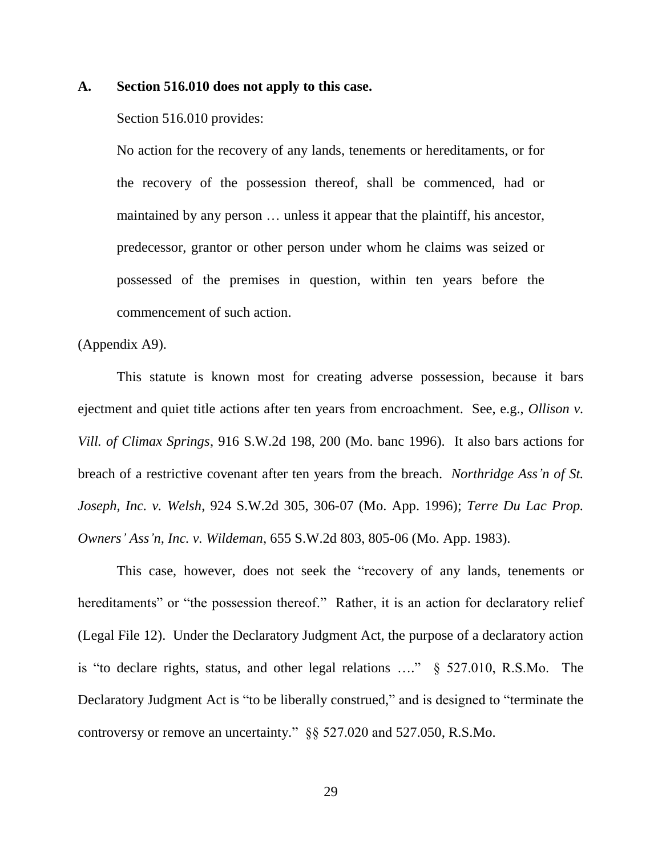### **A. Section 516.010 does not apply to this case.**

### Section 516.010 provides:

No action for the recovery of any lands, tenements or hereditaments, or for the recovery of the possession thereof, shall be commenced, had or maintained by any person … unless it appear that the plaintiff, his ancestor, predecessor, grantor or other person under whom he claims was seized or possessed of the premises in question, within ten years before the commencement of such action.

### (Appendix A9).

This statute is known most for creating adverse possession, because it bars ejectment and quiet title actions after ten years from encroachment. See, e.g., *Ollison v. Vill. of Climax Springs*, 916 S.W.2d 198, 200 (Mo. banc 1996). It also bars actions for breach of a restrictive covenant after ten years from the breach. *Northridge Ass'n of St. Joseph, Inc. v. Welsh*, 924 S.W.2d 305, 306-07 (Mo. App. 1996); *Terre Du Lac Prop. Owners' Ass'n, Inc. v. Wildeman*, 655 S.W.2d 803, 805-06 (Mo. App. 1983).

This case, however, does not seek the "recovery of any lands, tenements or hereditaments" or "the possession thereof." Rather, it is an action for declaratory relief (Legal File 12). Under the Declaratory Judgment Act, the purpose of a declaratory action is "to declare rights, status, and other legal relations …." § 527.010, R.S.Mo. The Declaratory Judgment Act is "to be liberally construed," and is designed to "terminate the controversy or remove an uncertainty." §§ 527.020 and 527.050, R.S.Mo.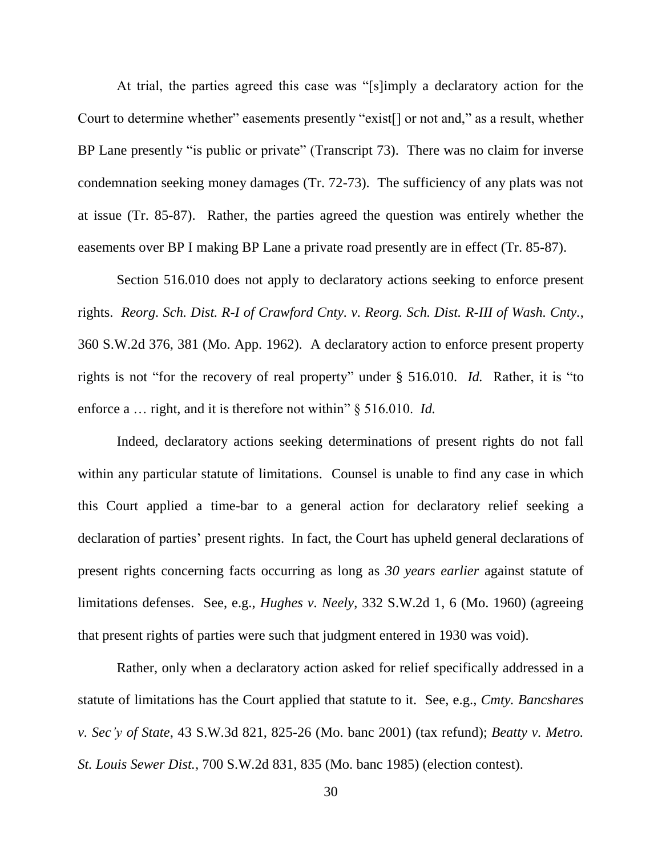At trial, the parties agreed this case was "[s]imply a declaratory action for the Court to determine whether" easements presently "exist[] or not and," as a result, whether BP Lane presently "is public or private" (Transcript 73). There was no claim for inverse condemnation seeking money damages (Tr. 72-73). The sufficiency of any plats was not at issue (Tr. 85-87). Rather, the parties agreed the question was entirely whether the easements over BP I making BP Lane a private road presently are in effect (Tr. 85-87).

Section 516.010 does not apply to declaratory actions seeking to enforce present rights. *Reorg. Sch. Dist. R-I of Crawford Cnty. v. Reorg. Sch. Dist. R-III of Wash. Cnty.*, 360 S.W.2d 376, 381 (Mo. App. 1962). A declaratory action to enforce present property rights is not "for the recovery of real property" under § 516.010. *Id.* Rather, it is "to enforce a ... right, and it is therefore not within" § 516.010. *Id.* 

Indeed, declaratory actions seeking determinations of present rights do not fall within any particular statute of limitations. Counsel is unable to find any case in which this Court applied a time-bar to a general action for declaratory relief seeking a declaration of parties' present rights. In fact, the Court has upheld general declarations of present rights concerning facts occurring as long as *30 years earlier* against statute of limitations defenses. See, e.g., *Hughes v. Neely*, 332 S.W.2d 1, 6 (Mo. 1960) (agreeing that present rights of parties were such that judgment entered in 1930 was void).

Rather, only when a declaratory action asked for relief specifically addressed in a statute of limitations has the Court applied that statute to it. See, e.g., *Cmty. Bancshares v. Sec'y of State*, 43 S.W.3d 821, 825-26 (Mo. banc 2001) (tax refund); *Beatty v. Metro. St. Louis Sewer Dist.,* 700 S.W.2d 831, 835 (Mo. banc 1985) (election contest).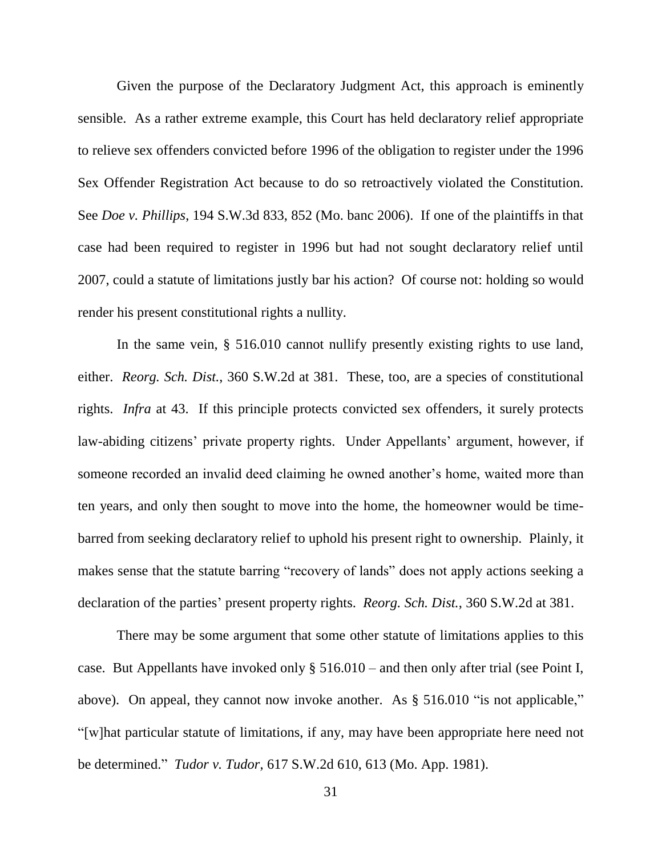Given the purpose of the Declaratory Judgment Act, this approach is eminently sensible. As a rather extreme example, this Court has held declaratory relief appropriate to relieve sex offenders convicted before 1996 of the obligation to register under the 1996 Sex Offender Registration Act because to do so retroactively violated the Constitution. See *Doe v. Phillips*, 194 S.W.3d 833, 852 (Mo. banc 2006). If one of the plaintiffs in that case had been required to register in 1996 but had not sought declaratory relief until 2007, could a statute of limitations justly bar his action? Of course not: holding so would render his present constitutional rights a nullity.

In the same vein, § 516.010 cannot nullify presently existing rights to use land, either. *Reorg. Sch. Dist.*, 360 S.W.2d at 381. These, too, are a species of constitutional rights. *Infra* at 43. If this principle protects convicted sex offenders, it surely protects law-abiding citizens' private property rights. Under Appellants' argument, however, if someone recorded an invalid deed claiming he owned another's home, waited more than ten years, and only then sought to move into the home, the homeowner would be timebarred from seeking declaratory relief to uphold his present right to ownership. Plainly, it makes sense that the statute barring "recovery of lands" does not apply actions seeking a declaration of the parties' present property rights. *Reorg. Sch. Dist.*, 360 S.W.2d at 381.

There may be some argument that some other statute of limitations applies to this case. But Appellants have invoked only § 516.010 – and then only after trial (see Point I, above). On appeal, they cannot now invoke another. As § 516.010 "is not applicable," "[w]hat particular statute of limitations, if any, may have been appropriate here need not be determined." *Tudor v. Tudor*, 617 S.W.2d 610, 613 (Mo. App. 1981).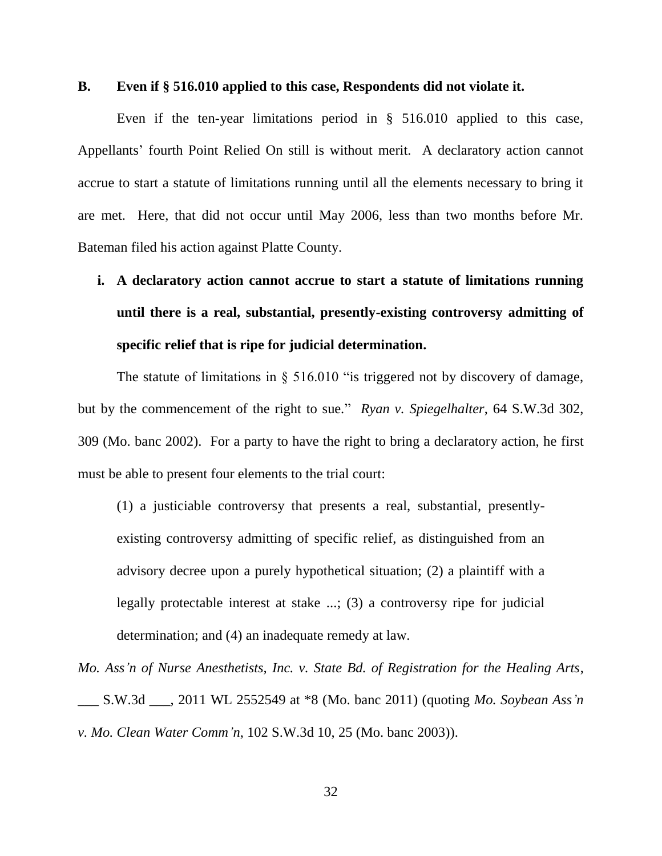### **B. Even if § 516.010 applied to this case, Respondents did not violate it.**

Even if the ten-year limitations period in § 516.010 applied to this case, Appellants' fourth Point Relied On still is without merit. A declaratory action cannot accrue to start a statute of limitations running until all the elements necessary to bring it are met. Here, that did not occur until May 2006, less than two months before Mr. Bateman filed his action against Platte County.

**i. A declaratory action cannot accrue to start a statute of limitations running until there is a real, substantial, presently-existing controversy admitting of specific relief that is ripe for judicial determination.**

The statute of limitations in  $\S$  516.010 "is triggered not by discovery of damage, but by the commencement of the right to sue." *Ryan v. Spiegelhalter*, 64 S.W.3d 302, 309 (Mo. banc 2002). For a party to have the right to bring a declaratory action, he first must be able to present four elements to the trial court:

(1) a justiciable controversy that presents a real, substantial, presentlyexisting controversy admitting of specific relief, as distinguished from an advisory decree upon a purely hypothetical situation; (2) a plaintiff with a legally protectable interest at stake ...; (3) a controversy ripe for judicial determination; and (4) an inadequate remedy at law.

*Mo. Ass'n of Nurse Anesthetists, Inc. v. State Bd. of Registration for the Healing Arts*, \_\_\_ S.W.3d \_\_\_, 2011 WL 2552549 at \*8 (Mo. banc 2011) (quoting *Mo. Soybean Ass'n v. Mo. Clean Water Comm'n*, 102 S.W.3d 10, 25 (Mo. banc 2003)).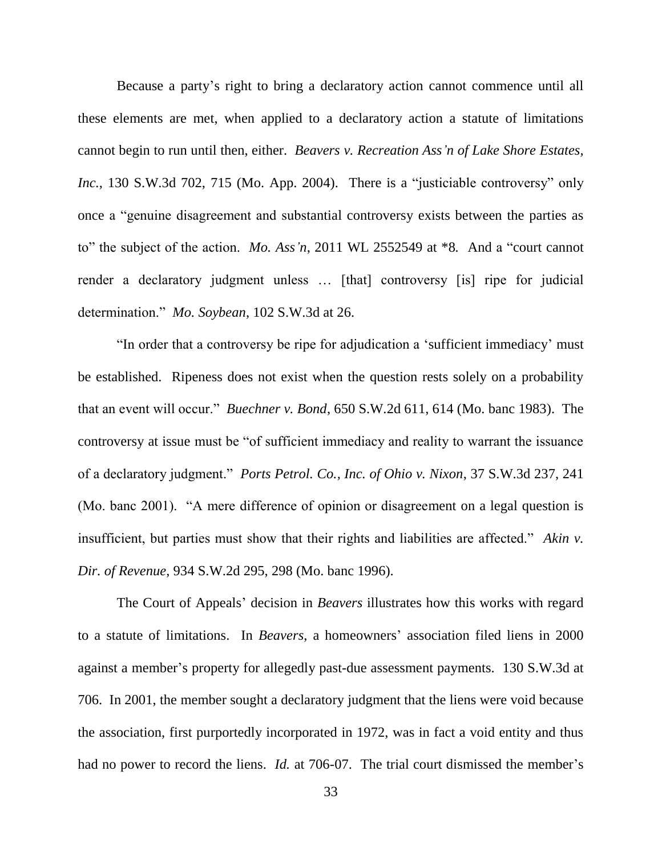Because a party's right to bring a declaratory action cannot commence until all these elements are met, when applied to a declaratory action a statute of limitations cannot begin to run until then, either. *Beavers v. Recreation Ass'n of Lake Shore Estates, Inc.*, 130 S.W.3d 702, 715 (Mo. App. 2004). There is a "justiciable controversy" only once a "genuine disagreement and substantial controversy exists between the parties as to" the subject of the action. *Mo. Ass'n*, 2011 WL 2552549 at \*8*.* And a "court cannot render a declaratory judgment unless … [that] controversy [is] ripe for judicial determination." *Mo. Soybean*, 102 S.W.3d at 26.

"In order that a controversy be ripe for adjudication a 'sufficient immediacy' must be established. Ripeness does not exist when the question rests solely on a probability that an event will occur." *Buechner v. Bond*, 650 S.W.2d 611, 614 (Mo. banc 1983). The controversy at issue must be "of sufficient immediacy and reality to warrant the issuance of a declaratory judgment." *Ports Petrol. Co., Inc. of Ohio v. Nixon*, 37 S.W.3d 237, 241 (Mo. banc 2001). "A mere difference of opinion or disagreement on a legal question is insufficient, but parties must show that their rights and liabilities are affected." *Akin v. Dir. of Revenue*, 934 S.W.2d 295, 298 (Mo. banc 1996).

The Court of Appeals' decision in *Beavers* illustrates how this works with regard to a statute of limitations. In *Beavers*, a homeowners' association filed liens in 2000 against a member's property for allegedly past-due assessment payments. 130 S.W.3d at 706. In 2001, the member sought a declaratory judgment that the liens were void because the association, first purportedly incorporated in 1972, was in fact a void entity and thus had no power to record the liens. *Id.* at 706-07. The trial court dismissed the member's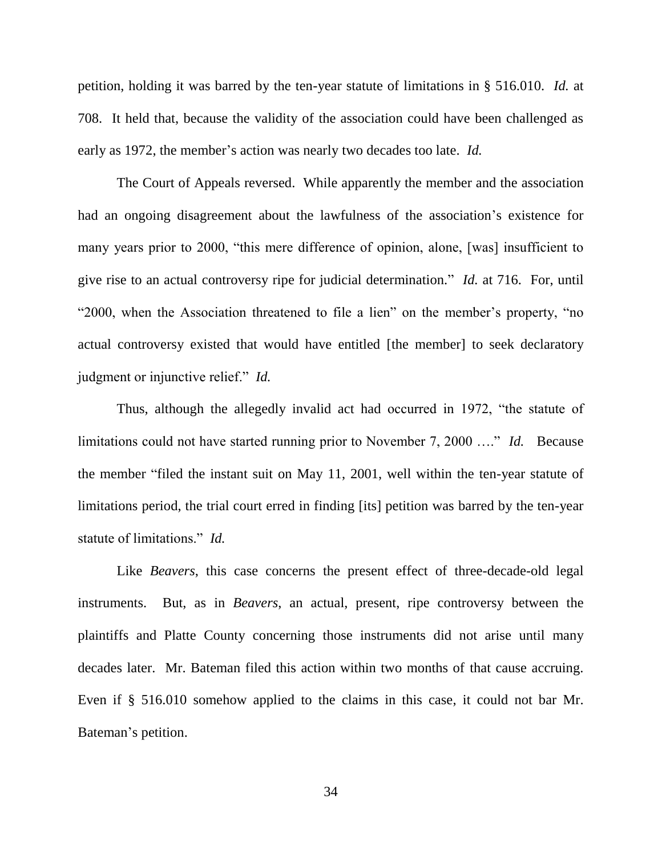petition, holding it was barred by the ten-year statute of limitations in § 516.010. *Id.* at 708. It held that, because the validity of the association could have been challenged as early as 1972, the member's action was nearly two decades too late. *Id.*

The Court of Appeals reversed. While apparently the member and the association had an ongoing disagreement about the lawfulness of the association's existence for many years prior to 2000, "this mere difference of opinion, alone, [was] insufficient to give rise to an actual controversy ripe for judicial determination." *Id.* at 716. For, until "2000, when the Association threatened to file a lien" on the member's property, "no actual controversy existed that would have entitled [the member] to seek declaratory judgment or injunctive relief." *Id.*

Thus, although the allegedly invalid act had occurred in 1972, "the statute of limitations could not have started running prior to November 7, 2000 …." *Id.* Because the member "filed the instant suit on May 11, 2001, well within the ten-year statute of limitations period, the trial court erred in finding [its] petition was barred by the ten-year statute of limitations." *Id.*

Like *Beavers*, this case concerns the present effect of three-decade-old legal instruments. But, as in *Beavers*, an actual, present, ripe controversy between the plaintiffs and Platte County concerning those instruments did not arise until many decades later. Mr. Bateman filed this action within two months of that cause accruing. Even if § 516.010 somehow applied to the claims in this case, it could not bar Mr. Bateman's petition.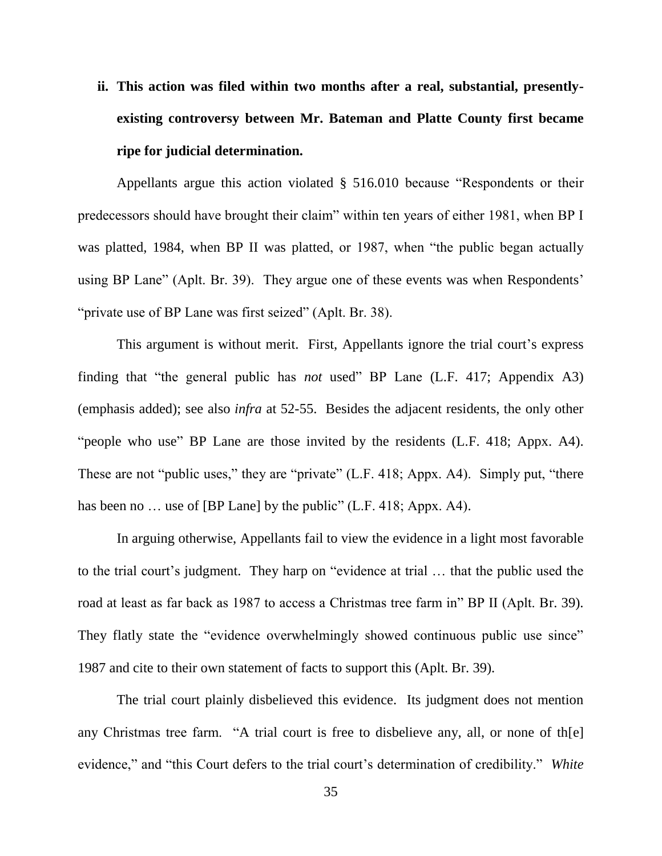**ii. This action was filed within two months after a real, substantial, presentlyexisting controversy between Mr. Bateman and Platte County first became ripe for judicial determination.**

Appellants argue this action violated § 516.010 because "Respondents or their predecessors should have brought their claim" within ten years of either 1981, when BP I was platted, 1984, when BP II was platted, or 1987, when "the public began actually using BP Lane" (Aplt. Br. 39). They argue one of these events was when Respondents' "private use of BP Lane was first seized" (Aplt. Br. 38).

This argument is without merit. First, Appellants ignore the trial court's express finding that "the general public has *not* used" BP Lane (L.F. 417; Appendix A3) (emphasis added); see also *infra* at 52-55. Besides the adjacent residents, the only other "people who use" BP Lane are those invited by the residents (L.F. 418; Appx. A4). These are not "public uses," they are "private" (L.F. 418; Appx. A4). Simply put, "there has been no ... use of [BP Lane] by the public" (L.F. 418; Appx. A4).

In arguing otherwise, Appellants fail to view the evidence in a light most favorable to the trial court's judgment. They harp on "evidence at trial … that the public used the road at least as far back as 1987 to access a Christmas tree farm in" BP II (Aplt. Br. 39). They flatly state the "evidence overwhelmingly showed continuous public use since" 1987 and cite to their own statement of facts to support this (Aplt. Br. 39).

The trial court plainly disbelieved this evidence. Its judgment does not mention any Christmas tree farm. "A trial court is free to disbelieve any, all, or none of th[e] evidence," and "this Court defers to the trial court's determination of credibility." *White*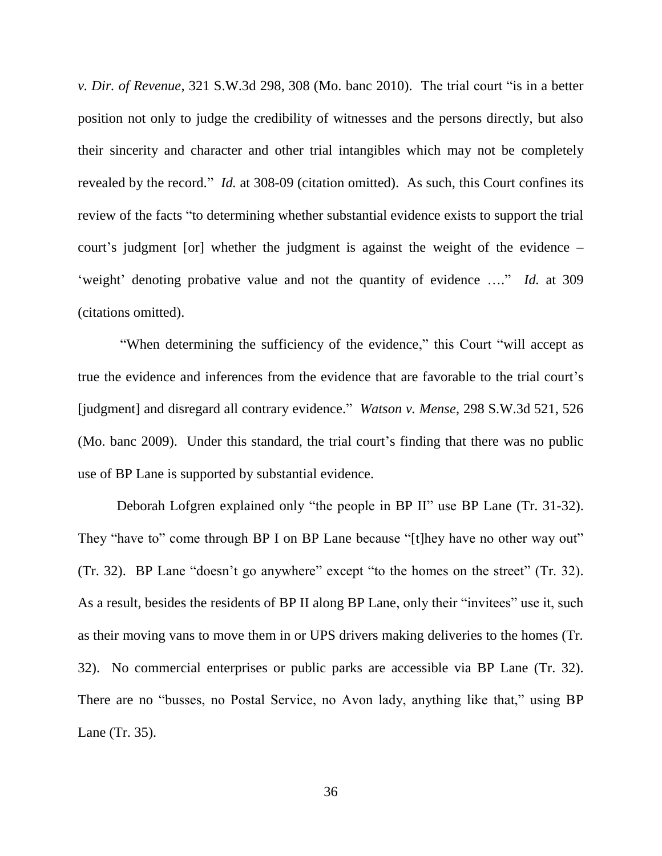*v. Dir. of Revenue*, 321 S.W.3d 298, 308 (Mo. banc 2010). The trial court "is in a better position not only to judge the credibility of witnesses and the persons directly, but also their sincerity and character and other trial intangibles which may not be completely revealed by the record." *Id.* at 308-09 (citation omitted). As such, this Court confines its review of the facts "to determining whether substantial evidence exists to support the trial court's judgment [or] whether the judgment is against the weight of the evidence – 'weight' denoting probative value and not the quantity of evidence …." *Id.* at 309 (citations omitted).

"When determining the sufficiency of the evidence," this Court "will accept as true the evidence and inferences from the evidence that are favorable to the trial court's [judgment] and disregard all contrary evidence." *Watson v. Mense*, 298 S.W.3d 521, 526 (Mo. banc 2009). Under this standard, the trial court's finding that there was no public use of BP Lane is supported by substantial evidence.

Deborah Lofgren explained only "the people in BP II" use BP Lane (Tr. 31-32). They "have to" come through BP I on BP Lane because "[t]hey have no other way out" (Tr. 32). BP Lane "doesn't go anywhere" except "to the homes on the street" (Tr. 32). As a result, besides the residents of BP II along BP Lane, only their "invitees" use it, such as their moving vans to move them in or UPS drivers making deliveries to the homes (Tr. 32). No commercial enterprises or public parks are accessible via BP Lane (Tr. 32). There are no "busses, no Postal Service, no Avon lady, anything like that," using BP Lane (Tr. 35).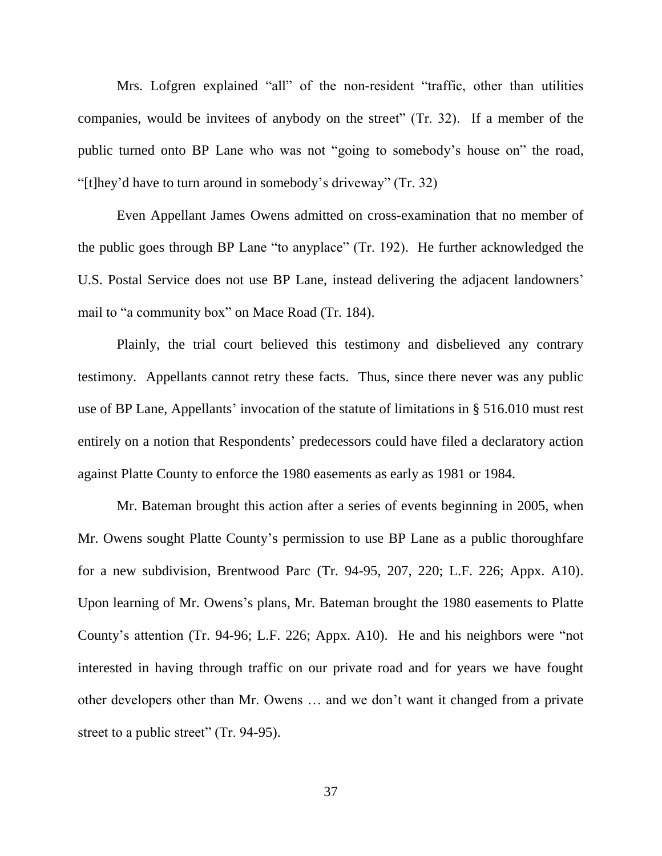Mrs. Lofgren explained "all" of the non-resident "traffic, other than utilities companies, would be invitees of anybody on the street" (Tr. 32). If a member of the public turned onto BP Lane who was not "going to somebody's house on" the road, "[t]hey'd have to turn around in somebody's driveway" (Tr. 32)

Even Appellant James Owens admitted on cross-examination that no member of the public goes through BP Lane "to anyplace" (Tr. 192). He further acknowledged the U.S. Postal Service does not use BP Lane, instead delivering the adjacent landowners' mail to "a community box" on Mace Road (Tr. 184).

Plainly, the trial court believed this testimony and disbelieved any contrary testimony. Appellants cannot retry these facts. Thus, since there never was any public use of BP Lane, Appellants' invocation of the statute of limitations in § 516.010 must rest entirely on a notion that Respondents' predecessors could have filed a declaratory action against Platte County to enforce the 1980 easements as early as 1981 or 1984.

Mr. Bateman brought this action after a series of events beginning in 2005, when Mr. Owens sought Platte County's permission to use BP Lane as a public thoroughfare for a new subdivision, Brentwood Parc (Tr. 94-95, 207, 220; L.F. 226; Appx. A10). Upon learning of Mr. Owens's plans, Mr. Bateman brought the 1980 easements to Platte County's attention (Tr. 94-96; L.F. 226; Appx. A10). He and his neighbors were "not interested in having through traffic on our private road and for years we have fought other developers other than Mr. Owens … and we don't want it changed from a private street to a public street" (Tr. 94-95).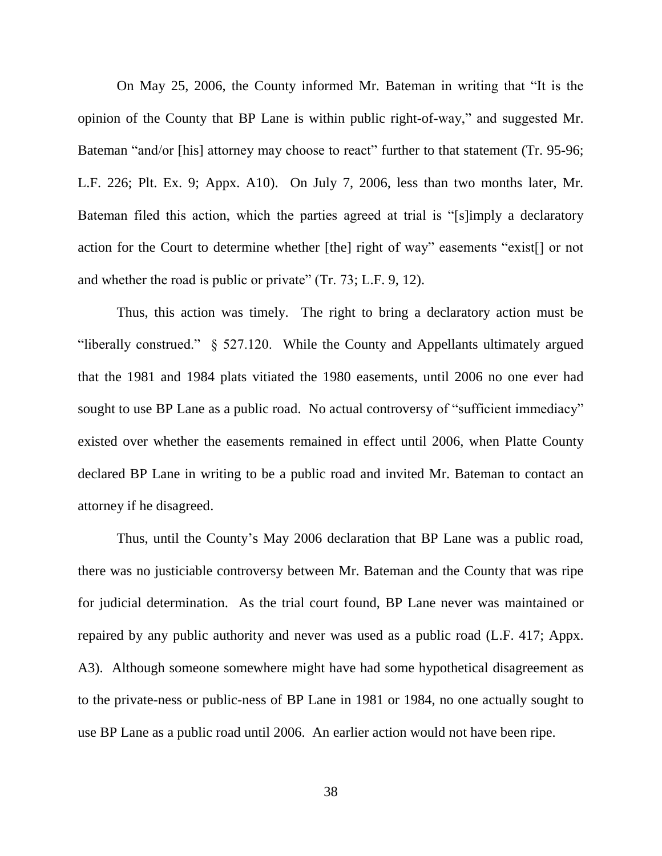On May 25, 2006, the County informed Mr. Bateman in writing that "It is the opinion of the County that BP Lane is within public right-of-way," and suggested Mr. Bateman "and/or [his] attorney may choose to react" further to that statement (Tr. 95-96; L.F. 226; Plt. Ex. 9; Appx. A10). On July 7, 2006, less than two months later, Mr. Bateman filed this action, which the parties agreed at trial is "[s]imply a declaratory action for the Court to determine whether [the] right of way" easements "exist[] or not and whether the road is public or private" (Tr. 73; L.F. 9, 12).

Thus, this action was timely. The right to bring a declaratory action must be "liberally construed." § 527.120. While the County and Appellants ultimately argued that the 1981 and 1984 plats vitiated the 1980 easements, until 2006 no one ever had sought to use BP Lane as a public road. No actual controversy of "sufficient immediacy" existed over whether the easements remained in effect until 2006, when Platte County declared BP Lane in writing to be a public road and invited Mr. Bateman to contact an attorney if he disagreed.

Thus, until the County's May 2006 declaration that BP Lane was a public road, there was no justiciable controversy between Mr. Bateman and the County that was ripe for judicial determination. As the trial court found, BP Lane never was maintained or repaired by any public authority and never was used as a public road (L.F. 417; Appx. A3). Although someone somewhere might have had some hypothetical disagreement as to the private-ness or public-ness of BP Lane in 1981 or 1984, no one actually sought to use BP Lane as a public road until 2006. An earlier action would not have been ripe.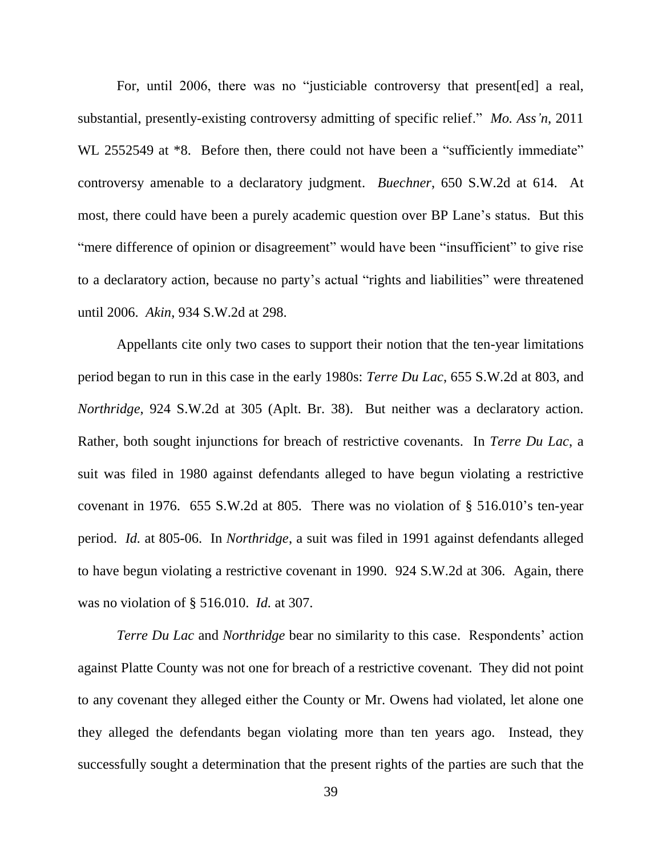For, until 2006, there was no "justiciable controversy that present[ed] a real, substantial, presently-existing controversy admitting of specific relief." *Mo. Ass'n*, 2011 WL 2552549 at  $*8$ . Before then, there could not have been a "sufficiently immediate" controversy amenable to a declaratory judgment. *Buechner*, 650 S.W.2d at 614. At most, there could have been a purely academic question over BP Lane's status. But this "mere difference of opinion or disagreement" would have been "insufficient" to give rise to a declaratory action, because no party's actual "rights and liabilities" were threatened until 2006. *Akin*, 934 S.W.2d at 298.

Appellants cite only two cases to support their notion that the ten-year limitations period began to run in this case in the early 1980s: *Terre Du Lac*, 655 S.W.2d at 803, and *Northridge*, 924 S.W.2d at 305 (Aplt. Br. 38). But neither was a declaratory action. Rather, both sought injunctions for breach of restrictive covenants. In *Terre Du Lac*, a suit was filed in 1980 against defendants alleged to have begun violating a restrictive covenant in 1976. 655 S.W.2d at 805. There was no violation of § 516.010's ten-year period. *Id.* at 805-06. In *Northridge*, a suit was filed in 1991 against defendants alleged to have begun violating a restrictive covenant in 1990. 924 S.W.2d at 306. Again, there was no violation of § 516.010. *Id.* at 307.

*Terre Du Lac* and *Northridge* bear no similarity to this case. Respondents' action against Platte County was not one for breach of a restrictive covenant. They did not point to any covenant they alleged either the County or Mr. Owens had violated, let alone one they alleged the defendants began violating more than ten years ago. Instead, they successfully sought a determination that the present rights of the parties are such that the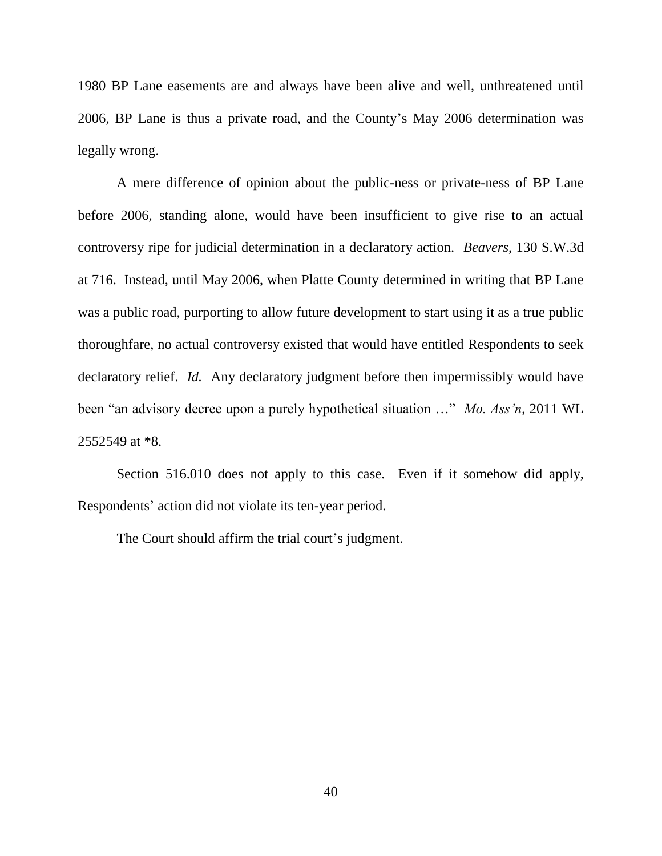1980 BP Lane easements are and always have been alive and well, unthreatened until 2006, BP Lane is thus a private road, and the County's May 2006 determination was legally wrong.

A mere difference of opinion about the public-ness or private-ness of BP Lane before 2006, standing alone, would have been insufficient to give rise to an actual controversy ripe for judicial determination in a declaratory action. *Beavers*, 130 S.W.3d at 716. Instead, until May 2006, when Platte County determined in writing that BP Lane was a public road, purporting to allow future development to start using it as a true public thoroughfare, no actual controversy existed that would have entitled Respondents to seek declaratory relief. *Id.* Any declaratory judgment before then impermissibly would have been "an advisory decree upon a purely hypothetical situation …" *Mo. Ass'n*, 2011 WL 2552549 at \*8.

Section 516.010 does not apply to this case. Even if it somehow did apply, Respondents' action did not violate its ten-year period.

The Court should affirm the trial court's judgment.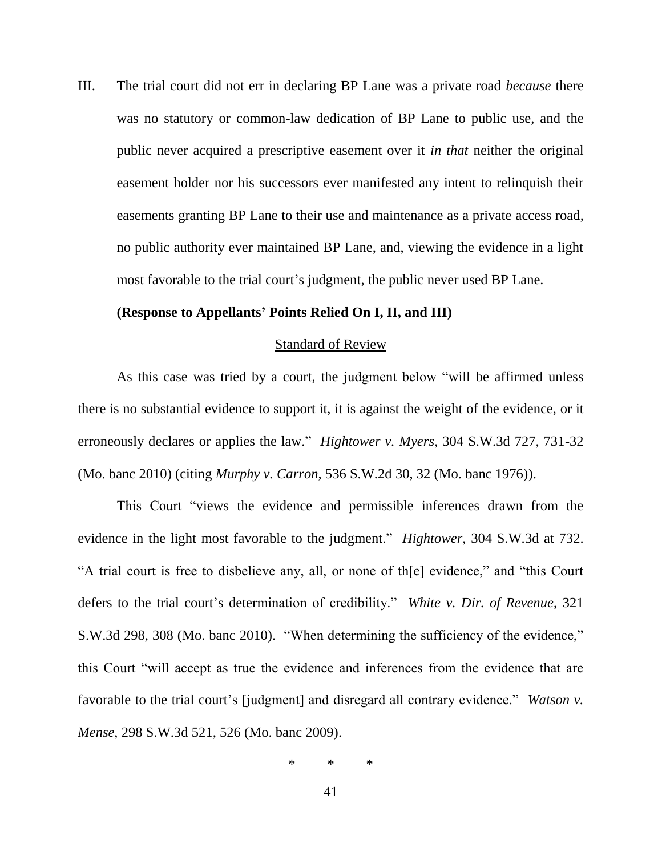III. The trial court did not err in declaring BP Lane was a private road *because* there was no statutory or common-law dedication of BP Lane to public use, and the public never acquired a prescriptive easement over it *in that* neither the original easement holder nor his successors ever manifested any intent to relinquish their easements granting BP Lane to their use and maintenance as a private access road, no public authority ever maintained BP Lane, and, viewing the evidence in a light most favorable to the trial court's judgment, the public never used BP Lane.

### **(Response to Appellants' Points Relied On I, II, and III)**

### Standard of Review

As this case was tried by a court, the judgment below "will be affirmed unless there is no substantial evidence to support it, it is against the weight of the evidence, or it erroneously declares or applies the law." *Hightower v. Myers*, 304 S.W.3d 727, 731-32 (Mo. banc 2010) (citing *Murphy v. Carron*, 536 S.W.2d 30, 32 (Mo. banc 1976)).

This Court "views the evidence and permissible inferences drawn from the evidence in the light most favorable to the judgment." *Hightower*, 304 S.W.3d at 732. "A trial court is free to disbelieve any, all, or none of th[e] evidence," and "this Court defers to the trial court's determination of credibility." *White v. Dir. of Revenue*, 321 S.W.3d 298, 308 (Mo. banc 2010). "When determining the sufficiency of the evidence," this Court "will accept as true the evidence and inferences from the evidence that are favorable to the trial court's [judgment] and disregard all contrary evidence." *Watson v. Mense*, 298 S.W.3d 521, 526 (Mo. banc 2009).

\* \* \*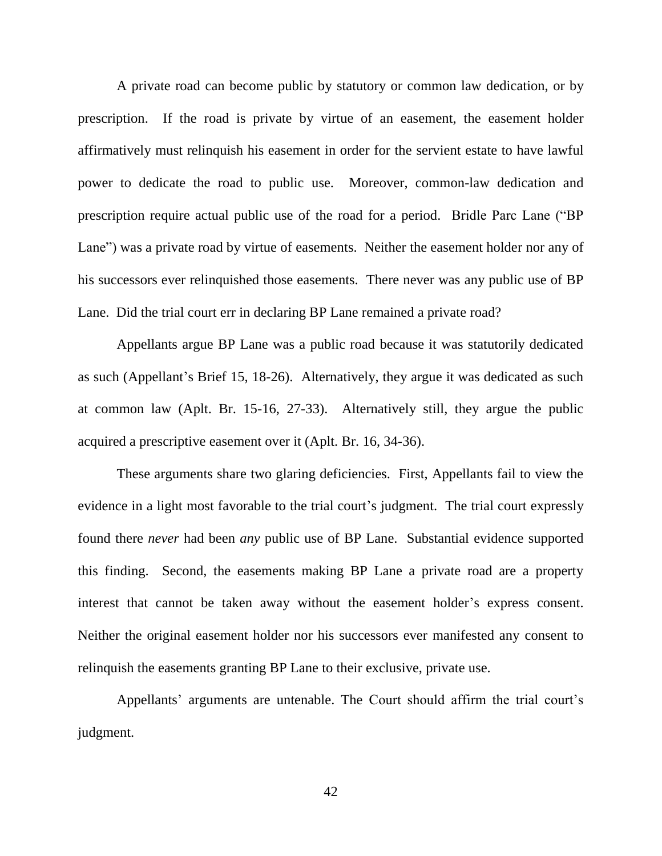A private road can become public by statutory or common law dedication, or by prescription. If the road is private by virtue of an easement, the easement holder affirmatively must relinquish his easement in order for the servient estate to have lawful power to dedicate the road to public use. Moreover, common-law dedication and prescription require actual public use of the road for a period. Bridle Parc Lane ("BP Lane") was a private road by virtue of easements. Neither the easement holder nor any of his successors ever relinquished those easements. There never was any public use of BP Lane. Did the trial court err in declaring BP Lane remained a private road?

Appellants argue BP Lane was a public road because it was statutorily dedicated as such (Appellant's Brief 15, 18-26). Alternatively, they argue it was dedicated as such at common law (Aplt. Br. 15-16, 27-33). Alternatively still, they argue the public acquired a prescriptive easement over it (Aplt. Br. 16, 34-36).

These arguments share two glaring deficiencies. First, Appellants fail to view the evidence in a light most favorable to the trial court's judgment. The trial court expressly found there *never* had been *any* public use of BP Lane. Substantial evidence supported this finding. Second, the easements making BP Lane a private road are a property interest that cannot be taken away without the easement holder's express consent. Neither the original easement holder nor his successors ever manifested any consent to relinquish the easements granting BP Lane to their exclusive, private use.

Appellants' arguments are untenable. The Court should affirm the trial court's judgment.

42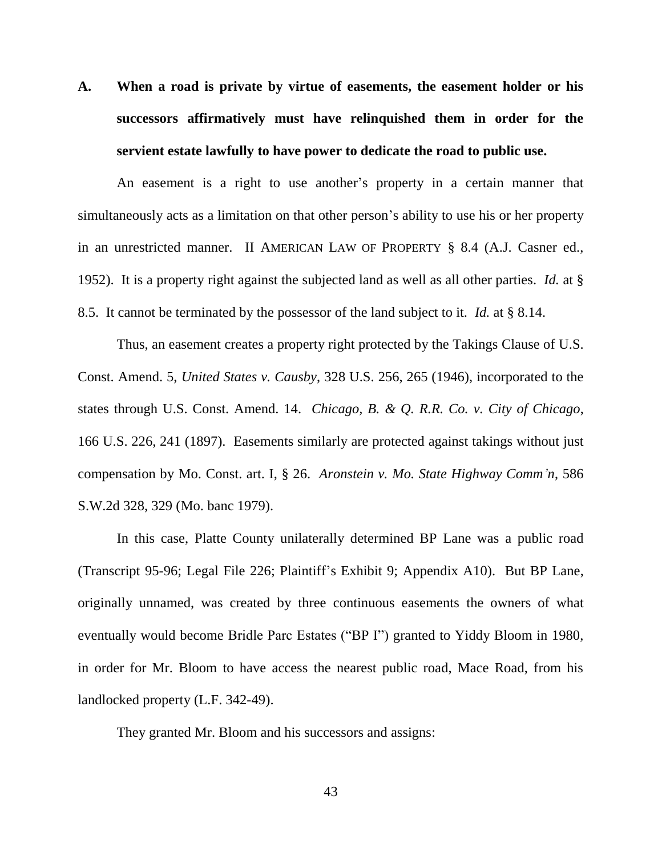**A. When a road is private by virtue of easements, the easement holder or his successors affirmatively must have relinquished them in order for the servient estate lawfully to have power to dedicate the road to public use.**

An easement is a right to use another's property in a certain manner that simultaneously acts as a limitation on that other person's ability to use his or her property in an unrestricted manner. II AMERICAN LAW OF PROPERTY § 8.4 (A.J. Casner ed., 1952). It is a property right against the subjected land as well as all other parties. *Id.* at § 8.5. It cannot be terminated by the possessor of the land subject to it. *Id.* at § 8.14.

Thus, an easement creates a property right protected by the Takings Clause of U.S. Const. Amend. 5, *United States v. Causby*, 328 U.S. 256, 265 (1946), incorporated to the states through U.S. Const. Amend. 14. *Chicago, B. & Q. R.R. Co. v. City of Chicago*, 166 U.S. 226, 241 (1897). Easements similarly are protected against takings without just compensation by Mo. Const. art. I, § 26. *Aronstein v. Mo. State Highway Comm'n*, 586 S.W.2d 328, 329 (Mo. banc 1979).

In this case, Platte County unilaterally determined BP Lane was a public road (Transcript 95-96; Legal File 226; Plaintiff's Exhibit 9; Appendix A10). But BP Lane, originally unnamed, was created by three continuous easements the owners of what eventually would become Bridle Parc Estates ("BP I") granted to Yiddy Bloom in 1980, in order for Mr. Bloom to have access the nearest public road, Mace Road, from his landlocked property (L.F. 342-49).

They granted Mr. Bloom and his successors and assigns: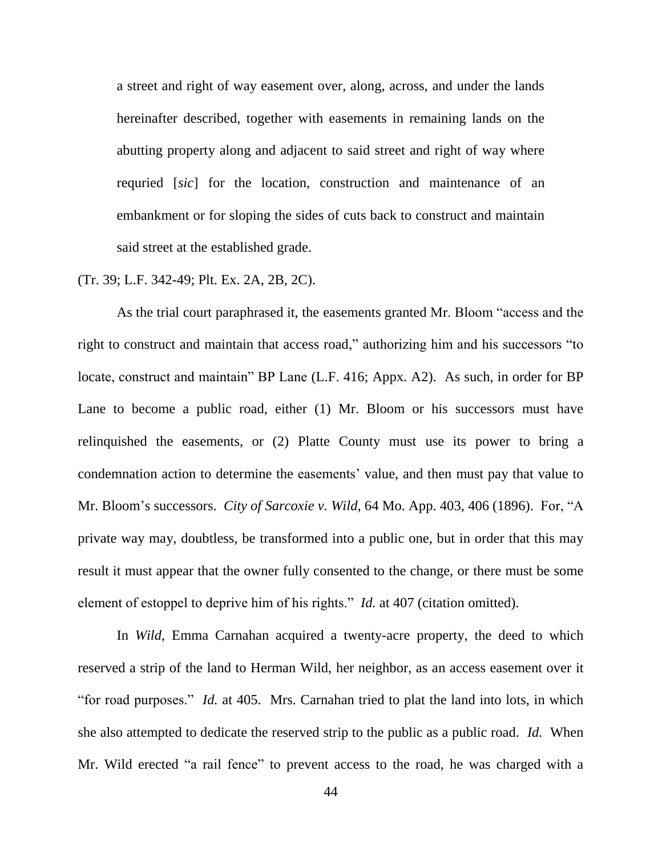a street and right of way easement over, along, across, and under the lands hereinafter described, together with easements in remaining lands on the abutting property along and adjacent to said street and right of way where requried [*sic*] for the location, construction and maintenance of an embankment or for sloping the sides of cuts back to construct and maintain said street at the established grade.

### (Tr. 39; L.F. 342-49; Plt. Ex. 2A, 2B, 2C).

As the trial court paraphrased it, the easements granted Mr. Bloom "access and the right to construct and maintain that access road," authorizing him and his successors "to locate, construct and maintain" BP Lane (L.F. 416; Appx. A2). As such, in order for BP Lane to become a public road, either (1) Mr. Bloom or his successors must have relinquished the easements, or (2) Platte County must use its power to bring a condemnation action to determine the easements' value, and then must pay that value to Mr. Bloom's successors. *City of Sarcoxie v. Wild*, 64 Mo. App. 403, 406 (1896). For, "A private way may, doubtless, be transformed into a public one, but in order that this may result it must appear that the owner fully consented to the change, or there must be some element of estoppel to deprive him of his rights." *Id.* at 407 (citation omitted).

In *Wild*, Emma Carnahan acquired a twenty-acre property, the deed to which reserved a strip of the land to Herman Wild, her neighbor, as an access easement over it "for road purposes." *Id.* at 405. Mrs. Carnahan tried to plat the land into lots, in which she also attempted to dedicate the reserved strip to the public as a public road. *Id.* When Mr. Wild erected "a rail fence" to prevent access to the road, he was charged with a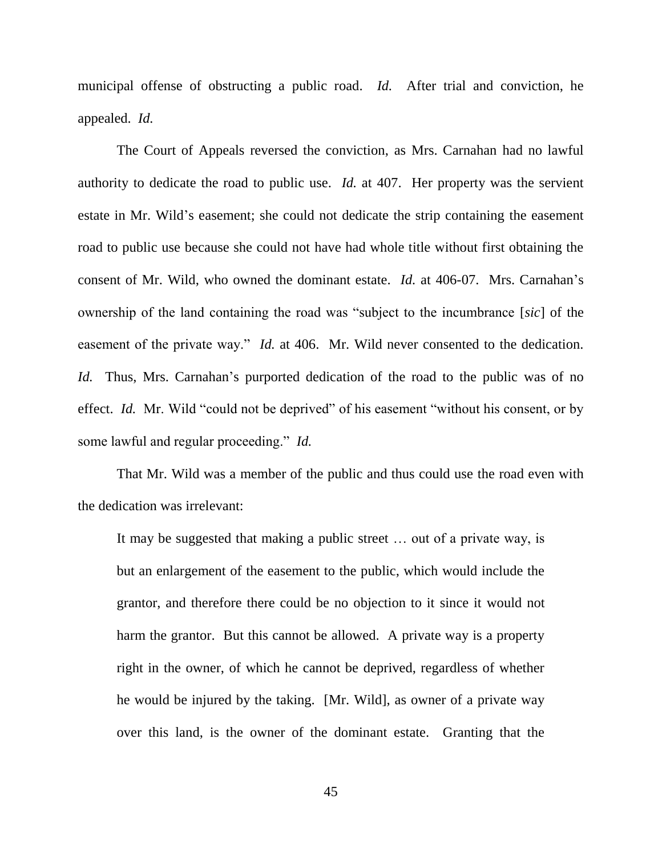municipal offense of obstructing a public road. *Id.* After trial and conviction, he appealed. *Id.*

The Court of Appeals reversed the conviction, as Mrs. Carnahan had no lawful authority to dedicate the road to public use. *Id.* at 407. Her property was the servient estate in Mr. Wild's easement; she could not dedicate the strip containing the easement road to public use because she could not have had whole title without first obtaining the consent of Mr. Wild, who owned the dominant estate. *Id.* at 406-07. Mrs. Carnahan's ownership of the land containing the road was "subject to the incumbrance [*sic*] of the easement of the private way." *Id.* at 406. Mr. Wild never consented to the dedication. *Id.* Thus, Mrs. Carnahan's purported dedication of the road to the public was of no effect. *Id.* Mr. Wild "could not be deprived" of his easement "without his consent, or by some lawful and regular proceeding." *Id.*

That Mr. Wild was a member of the public and thus could use the road even with the dedication was irrelevant:

It may be suggested that making a public street … out of a private way, is but an enlargement of the easement to the public, which would include the grantor, and therefore there could be no objection to it since it would not harm the grantor. But this cannot be allowed. A private way is a property right in the owner, of which he cannot be deprived, regardless of whether he would be injured by the taking. [Mr. Wild], as owner of a private way over this land, is the owner of the dominant estate. Granting that the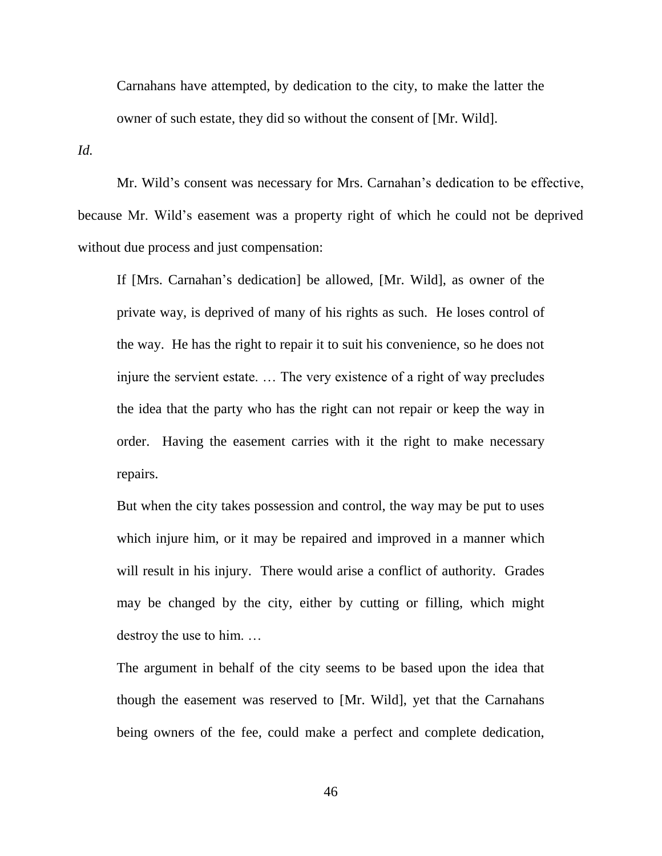Carnahans have attempted, by dedication to the city, to make the latter the owner of such estate, they did so without the consent of [Mr. Wild].

*Id.*

Mr. Wild's consent was necessary for Mrs. Carnahan's dedication to be effective, because Mr. Wild's easement was a property right of which he could not be deprived without due process and just compensation:

If [Mrs. Carnahan's dedication] be allowed, [Mr. Wild], as owner of the private way, is deprived of many of his rights as such. He loses control of the way. He has the right to repair it to suit his convenience, so he does not injure the servient estate. … The very existence of a right of way precludes the idea that the party who has the right can not repair or keep the way in order. Having the easement carries with it the right to make necessary repairs.

But when the city takes possession and control, the way may be put to uses which injure him, or it may be repaired and improved in a manner which will result in his injury. There would arise a conflict of authority. Grades may be changed by the city, either by cutting or filling, which might destroy the use to him. …

The argument in behalf of the city seems to be based upon the idea that though the easement was reserved to [Mr. Wild], yet that the Carnahans being owners of the fee, could make a perfect and complete dedication,

46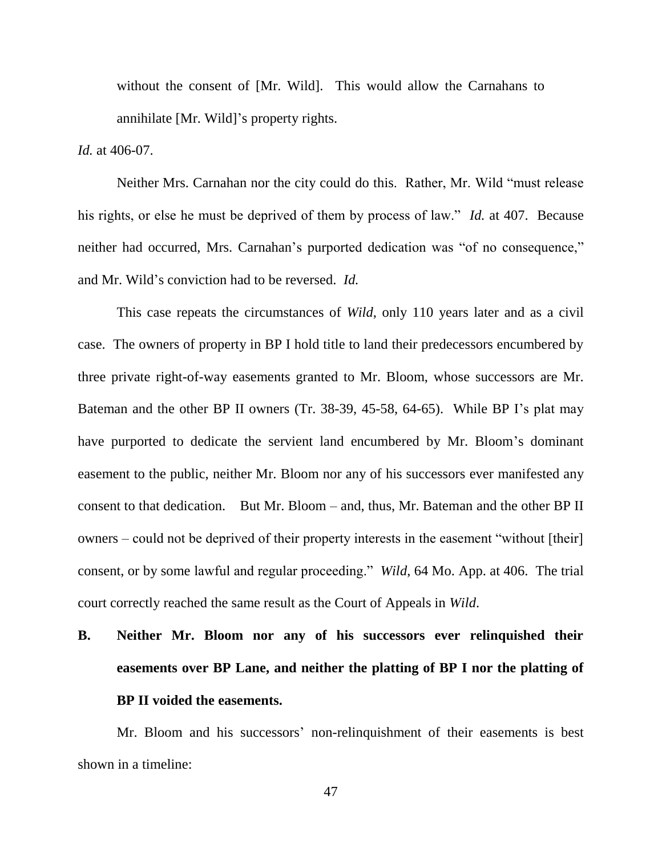without the consent of [Mr. Wild]. This would allow the Carnahans to annihilate [Mr. Wild]'s property rights.

*Id.* at 406-07.

Neither Mrs. Carnahan nor the city could do this. Rather, Mr. Wild "must release his rights, or else he must be deprived of them by process of law." *Id.* at 407. Because neither had occurred, Mrs. Carnahan's purported dedication was "of no consequence," and Mr. Wild's conviction had to be reversed. *Id.*

This case repeats the circumstances of *Wild*, only 110 years later and as a civil case. The owners of property in BP I hold title to land their predecessors encumbered by three private right-of-way easements granted to Mr. Bloom, whose successors are Mr. Bateman and the other BP II owners (Tr. 38-39, 45-58, 64-65). While BP I's plat may have purported to dedicate the servient land encumbered by Mr. Bloom's dominant easement to the public, neither Mr. Bloom nor any of his successors ever manifested any consent to that dedication. But Mr. Bloom – and, thus, Mr. Bateman and the other BP II owners – could not be deprived of their property interests in the easement "without [their] consent, or by some lawful and regular proceeding." *Wild*, 64 Mo. App. at 406. The trial court correctly reached the same result as the Court of Appeals in *Wild*.

# **B. Neither Mr. Bloom nor any of his successors ever relinquished their easements over BP Lane, and neither the platting of BP I nor the platting of BP II voided the easements.**

Mr. Bloom and his successors' non-relinquishment of their easements is best shown in a timeline: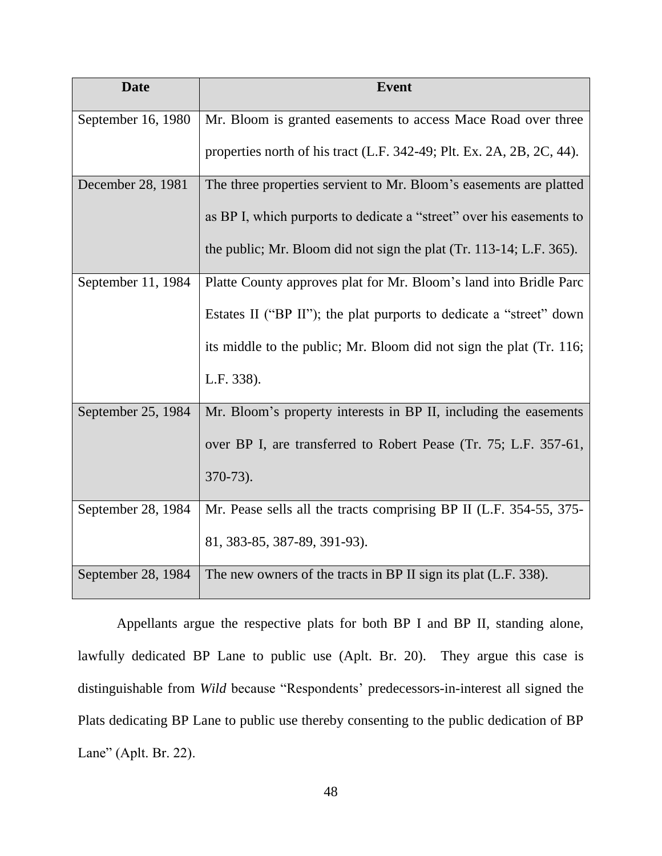| <b>Date</b>        | <b>Event</b>                                                          |
|--------------------|-----------------------------------------------------------------------|
| September 16, 1980 | Mr. Bloom is granted easements to access Mace Road over three         |
|                    | properties north of his tract (L.F. 342-49; Plt. Ex. 2A, 2B, 2C, 44). |
| December 28, 1981  | The three properties servient to Mr. Bloom's easements are platted    |
|                    | as BP I, which purports to dedicate a "street" over his easements to  |
|                    | the public; Mr. Bloom did not sign the plat (Tr. 113-14; L.F. 365).   |
| September 11, 1984 | Platte County approves plat for Mr. Bloom's land into Bridle Parc     |
|                    | Estates II ("BP II"); the plat purports to dedicate a "street" down   |
|                    | its middle to the public; Mr. Bloom did not sign the plat (Tr. 116;   |
|                    | L.F. 338).                                                            |
| September 25, 1984 | Mr. Bloom's property interests in BP II, including the easements      |
|                    | over BP I, are transferred to Robert Pease (Tr. 75; L.F. 357-61,      |
|                    | $370-73$ ).                                                           |
| September 28, 1984 | Mr. Pease sells all the tracts comprising BP II (L.F. 354-55, 375-    |
|                    | 81, 383-85, 387-89, 391-93).                                          |
| September 28, 1984 | The new owners of the tracts in BP II sign its plat (L.F. 338).       |

Appellants argue the respective plats for both BP I and BP II, standing alone, lawfully dedicated BP Lane to public use (Aplt. Br. 20). They argue this case is distinguishable from *Wild* because "Respondents' predecessors-in-interest all signed the Plats dedicating BP Lane to public use thereby consenting to the public dedication of BP Lane" (Aplt. Br. 22).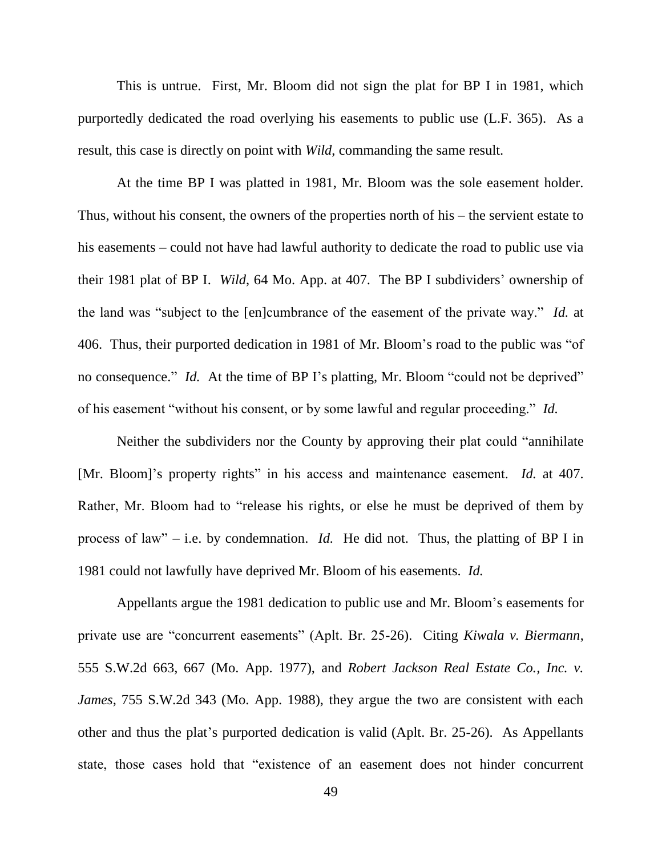This is untrue. First, Mr. Bloom did not sign the plat for BP I in 1981, which purportedly dedicated the road overlying his easements to public use (L.F. 365). As a result, this case is directly on point with *Wild*, commanding the same result.

At the time BP I was platted in 1981, Mr. Bloom was the sole easement holder. Thus, without his consent, the owners of the properties north of his – the servient estate to his easements – could not have had lawful authority to dedicate the road to public use via their 1981 plat of BP I. *Wild*, 64 Mo. App. at 407. The BP I subdividers' ownership of the land was "subject to the [en]cumbrance of the easement of the private way." *Id.* at 406. Thus, their purported dedication in 1981 of Mr. Bloom's road to the public was "of no consequence." *Id.* At the time of BP I's platting, Mr. Bloom "could not be deprived" of his easement "without his consent, or by some lawful and regular proceeding." *Id.*

Neither the subdividers nor the County by approving their plat could "annihilate [Mr. Bloom]'s property rights" in his access and maintenance easement. *Id.* at 407. Rather, Mr. Bloom had to "release his rights, or else he must be deprived of them by process of law" – i.e. by condemnation. *Id.* He did not. Thus, the platting of BP I in 1981 could not lawfully have deprived Mr. Bloom of his easements. *Id.*

Appellants argue the 1981 dedication to public use and Mr. Bloom's easements for private use are "concurrent easements" (Aplt. Br. 25-26). Citing *Kiwala v. Biermann*, 555 S.W.2d 663, 667 (Mo. App. 1977), and *Robert Jackson Real Estate Co., Inc. v. James*, 755 S.W.2d 343 (Mo. App. 1988), they argue the two are consistent with each other and thus the plat's purported dedication is valid (Aplt. Br. 25-26). As Appellants state, those cases hold that "existence of an easement does not hinder concurrent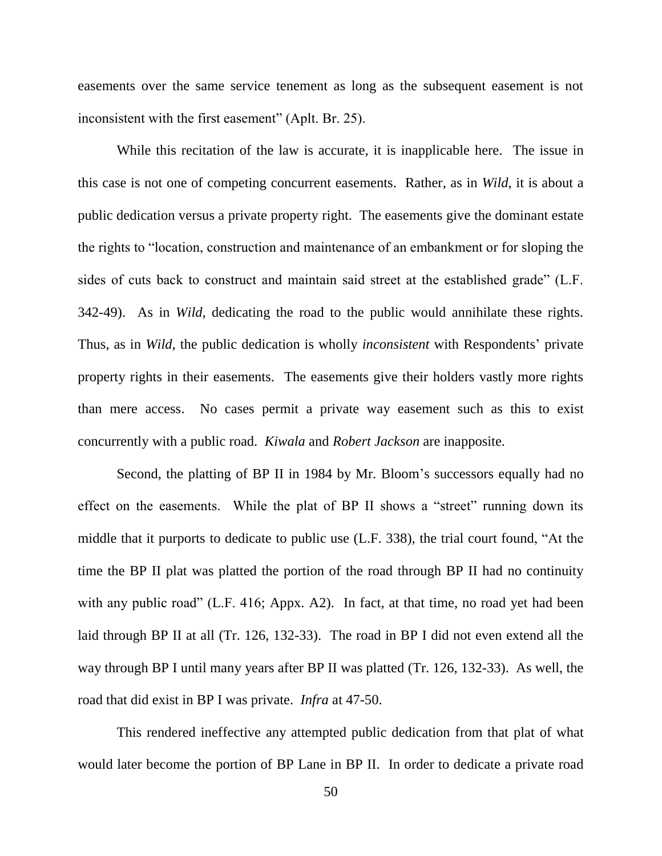easements over the same service tenement as long as the subsequent easement is not inconsistent with the first easement" (Aplt. Br. 25).

While this recitation of the law is accurate, it is inapplicable here. The issue in this case is not one of competing concurrent easements. Rather, as in *Wild*, it is about a public dedication versus a private property right. The easements give the dominant estate the rights to "location, construction and maintenance of an embankment or for sloping the sides of cuts back to construct and maintain said street at the established grade" (L.F. 342-49). As in *Wild*, dedicating the road to the public would annihilate these rights. Thus, as in *Wild*, the public dedication is wholly *inconsistent* with Respondents' private property rights in their easements. The easements give their holders vastly more rights than mere access. No cases permit a private way easement such as this to exist concurrently with a public road. *Kiwala* and *Robert Jackson* are inapposite.

Second, the platting of BP II in 1984 by Mr. Bloom's successors equally had no effect on the easements. While the plat of BP II shows a "street" running down its middle that it purports to dedicate to public use (L.F. 338), the trial court found, "At the time the BP II plat was platted the portion of the road through BP II had no continuity with any public road" (L.F. 416; Appx. A2). In fact, at that time, no road yet had been laid through BP II at all (Tr. 126, 132-33). The road in BP I did not even extend all the way through BP I until many years after BP II was platted (Tr. 126, 132-33). As well, the road that did exist in BP I was private. *Infra* at 47-50.

This rendered ineffective any attempted public dedication from that plat of what would later become the portion of BP Lane in BP II. In order to dedicate a private road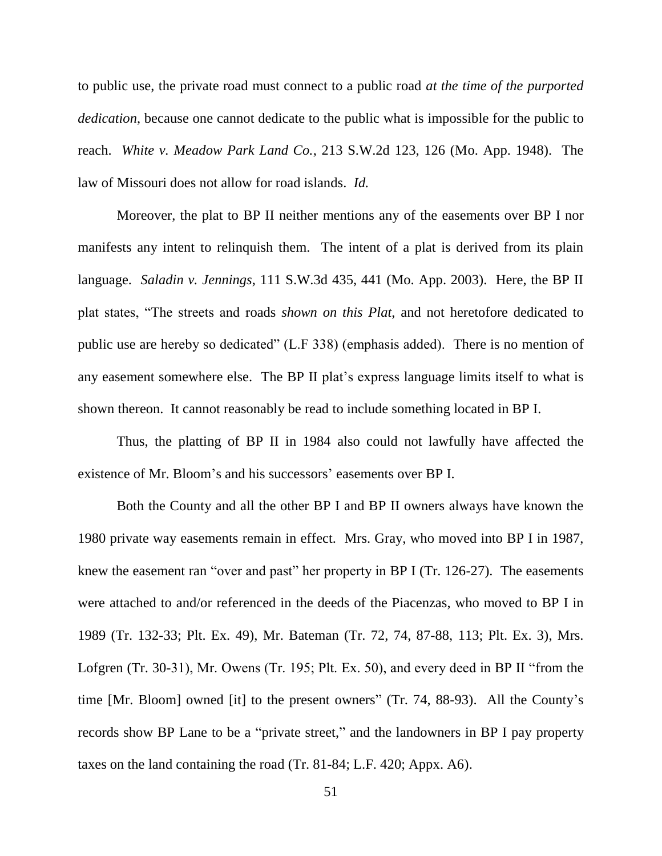to public use, the private road must connect to a public road *at the time of the purported dedication*, because one cannot dedicate to the public what is impossible for the public to reach. *White v. Meadow Park Land Co.*, 213 S.W.2d 123, 126 (Mo. App. 1948). The law of Missouri does not allow for road islands. *Id.*

Moreover, the plat to BP II neither mentions any of the easements over BP I nor manifests any intent to relinquish them. The intent of a plat is derived from its plain language. *Saladin v. Jennings*, 111 S.W.3d 435, 441 (Mo. App. 2003). Here, the BP II plat states, "The streets and roads *shown on this Plat*, and not heretofore dedicated to public use are hereby so dedicated" (L.F 338) (emphasis added). There is no mention of any easement somewhere else. The BP II plat's express language limits itself to what is shown thereon. It cannot reasonably be read to include something located in BP I.

Thus, the platting of BP II in 1984 also could not lawfully have affected the existence of Mr. Bloom's and his successors' easements over BP I.

Both the County and all the other BP I and BP II owners always have known the 1980 private way easements remain in effect. Mrs. Gray, who moved into BP I in 1987, knew the easement ran "over and past" her property in BP I (Tr. 126-27). The easements were attached to and/or referenced in the deeds of the Piacenzas, who moved to BP I in 1989 (Tr. 132-33; Plt. Ex. 49), Mr. Bateman (Tr. 72, 74, 87-88, 113; Plt. Ex. 3), Mrs. Lofgren (Tr. 30-31), Mr. Owens (Tr. 195; Plt. Ex. 50), and every deed in BP II "from the time [Mr. Bloom] owned [it] to the present owners" (Tr. 74, 88-93). All the County's records show BP Lane to be a "private street," and the landowners in BP I pay property taxes on the land containing the road (Tr. 81-84; L.F. 420; Appx. A6).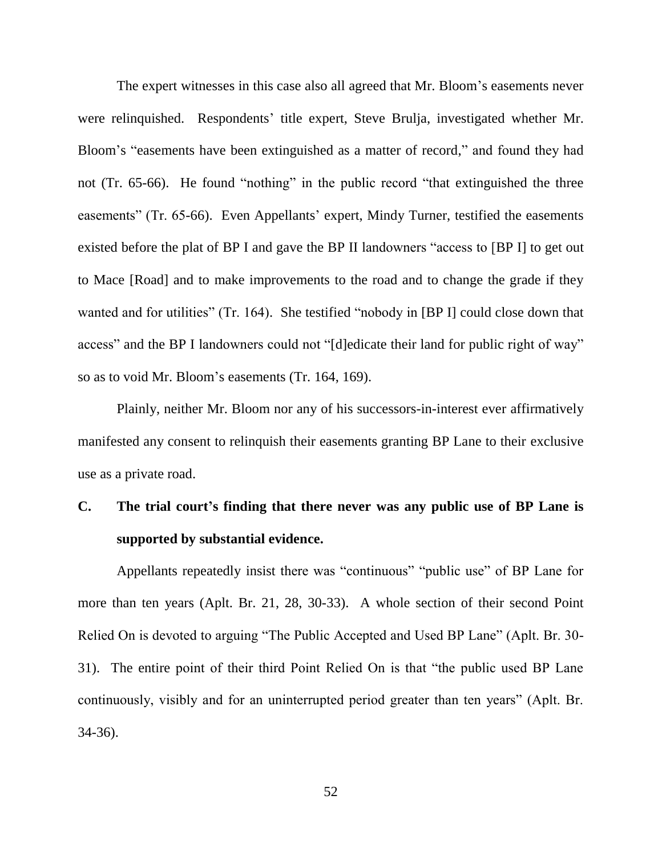The expert witnesses in this case also all agreed that Mr. Bloom's easements never were relinquished. Respondents' title expert, Steve Brulja, investigated whether Mr. Bloom's "easements have been extinguished as a matter of record," and found they had not (Tr. 65-66). He found "nothing" in the public record "that extinguished the three easements" (Tr. 65-66). Even Appellants' expert, Mindy Turner, testified the easements existed before the plat of BP I and gave the BP II landowners "access to [BP I] to get out to Mace [Road] and to make improvements to the road and to change the grade if they wanted and for utilities" (Tr. 164). She testified "nobody in [BP I] could close down that access" and the BP I landowners could not "[d]edicate their land for public right of way" so as to void Mr. Bloom's easements (Tr. 164, 169).

Plainly, neither Mr. Bloom nor any of his successors-in-interest ever affirmatively manifested any consent to relinquish their easements granting BP Lane to their exclusive use as a private road.

# **C. The trial court's finding that there never was any public use of BP Lane is supported by substantial evidence.**

Appellants repeatedly insist there was "continuous" "public use" of BP Lane for more than ten years (Aplt. Br. 21, 28, 30-33). A whole section of their second Point Relied On is devoted to arguing "The Public Accepted and Used BP Lane" (Aplt. Br. 30- 31). The entire point of their third Point Relied On is that "the public used BP Lane continuously, visibly and for an uninterrupted period greater than ten years" (Aplt. Br. 34-36).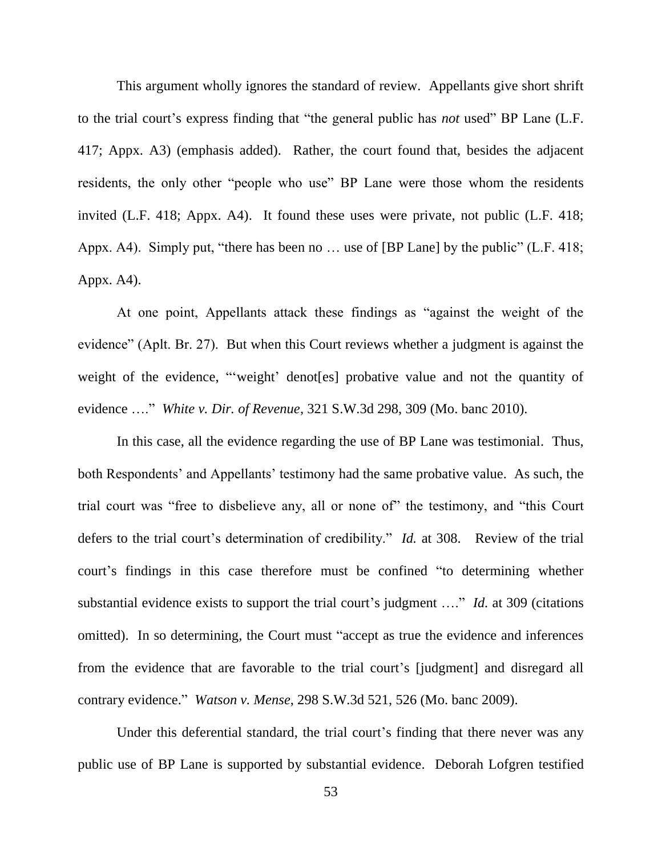This argument wholly ignores the standard of review. Appellants give short shrift to the trial court's express finding that "the general public has *not* used" BP Lane (L.F. 417; Appx. A3) (emphasis added). Rather, the court found that, besides the adjacent residents, the only other "people who use" BP Lane were those whom the residents invited (L.F. 418; Appx. A4). It found these uses were private, not public (L.F. 418; Appx. A4). Simply put, "there has been no … use of [BP Lane] by the public" (L.F. 418; Appx. A4).

At one point, Appellants attack these findings as "against the weight of the evidence" (Aplt. Br. 27). But when this Court reviews whether a judgment is against the weight of the evidence, "'weight' denot[es] probative value and not the quantity of evidence …." *White v. Dir. of Revenue*, 321 S.W.3d 298, 309 (Mo. banc 2010).

In this case, all the evidence regarding the use of BP Lane was testimonial. Thus, both Respondents' and Appellants' testimony had the same probative value. As such, the trial court was "free to disbelieve any, all or none of" the testimony, and "this Court defers to the trial court's determination of credibility." *Id.* at 308. Review of the trial court's findings in this case therefore must be confined "to determining whether substantial evidence exists to support the trial court's judgment …." *Id.* at 309 (citations omitted). In so determining, the Court must "accept as true the evidence and inferences from the evidence that are favorable to the trial court's [judgment] and disregard all contrary evidence." *Watson v. Mense*, 298 S.W.3d 521, 526 (Mo. banc 2009).

Under this deferential standard, the trial court's finding that there never was any public use of BP Lane is supported by substantial evidence. Deborah Lofgren testified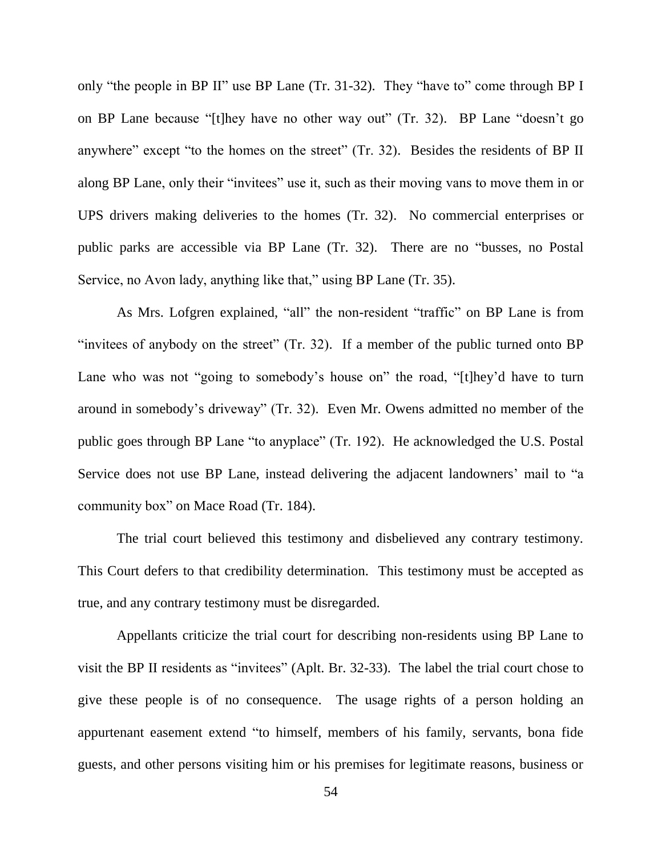only "the people in BP II" use BP Lane (Tr. 31-32). They "have to" come through BP I on BP Lane because "[t]hey have no other way out" (Tr. 32). BP Lane "doesn't go anywhere" except "to the homes on the street" (Tr. 32). Besides the residents of BP II along BP Lane, only their "invitees" use it, such as their moving vans to move them in or UPS drivers making deliveries to the homes (Tr. 32). No commercial enterprises or public parks are accessible via BP Lane (Tr. 32). There are no "busses, no Postal Service, no Avon lady, anything like that," using BP Lane (Tr. 35).

As Mrs. Lofgren explained, "all" the non-resident "traffic" on BP Lane is from "invitees of anybody on the street" (Tr. 32). If a member of the public turned onto BP Lane who was not "going to somebody's house on" the road, "[t]hey'd have to turn around in somebody's driveway" (Tr. 32). Even Mr. Owens admitted no member of the public goes through BP Lane "to anyplace" (Tr. 192). He acknowledged the U.S. Postal Service does not use BP Lane, instead delivering the adjacent landowners' mail to "a community box" on Mace Road (Tr. 184).

The trial court believed this testimony and disbelieved any contrary testimony. This Court defers to that credibility determination. This testimony must be accepted as true, and any contrary testimony must be disregarded.

Appellants criticize the trial court for describing non-residents using BP Lane to visit the BP II residents as "invitees" (Aplt. Br. 32-33). The label the trial court chose to give these people is of no consequence. The usage rights of a person holding an appurtenant easement extend "to himself, members of his family, servants, bona fide guests, and other persons visiting him or his premises for legitimate reasons, business or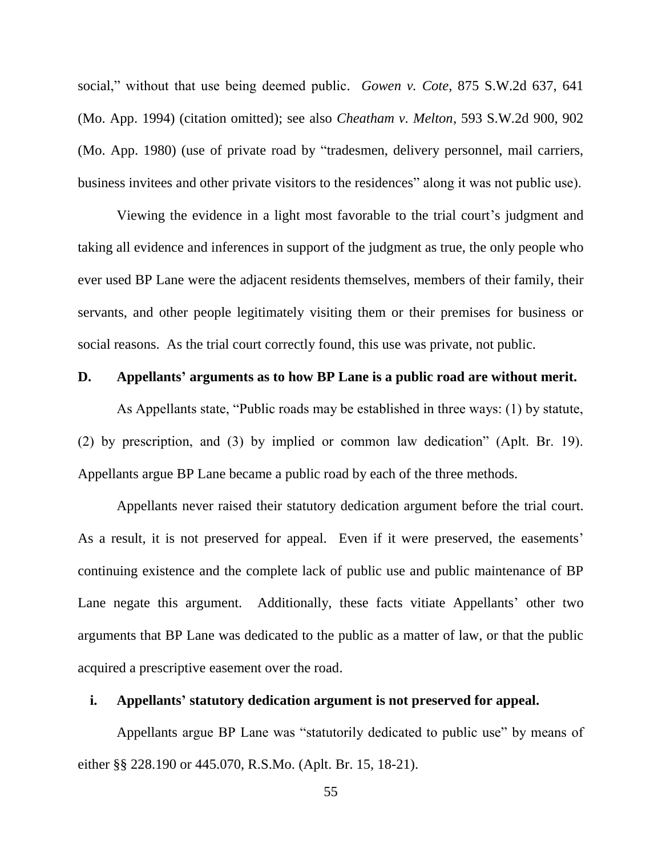social," without that use being deemed public. *Gowen v. Cote*, 875 S.W.2d 637, 641 (Mo. App. 1994) (citation omitted); see also *Cheatham v. Melton*, 593 S.W.2d 900, 902 (Mo. App. 1980) (use of private road by "tradesmen, delivery personnel, mail carriers, business invitees and other private visitors to the residences" along it was not public use).

Viewing the evidence in a light most favorable to the trial court's judgment and taking all evidence and inferences in support of the judgment as true, the only people who ever used BP Lane were the adjacent residents themselves, members of their family, their servants, and other people legitimately visiting them or their premises for business or social reasons. As the trial court correctly found, this use was private, not public.

### **D. Appellants' arguments as to how BP Lane is a public road are without merit.**

As Appellants state, "Public roads may be established in three ways: (1) by statute, (2) by prescription, and (3) by implied or common law dedication" (Aplt. Br. 19). Appellants argue BP Lane became a public road by each of the three methods.

Appellants never raised their statutory dedication argument before the trial court. As a result, it is not preserved for appeal. Even if it were preserved, the easements' continuing existence and the complete lack of public use and public maintenance of BP Lane negate this argument. Additionally, these facts vitiate Appellants' other two arguments that BP Lane was dedicated to the public as a matter of law, or that the public acquired a prescriptive easement over the road.

# **i. Appellants' statutory dedication argument is not preserved for appeal.**

Appellants argue BP Lane was "statutorily dedicated to public use" by means of either §§ 228.190 or 445.070, R.S.Mo. (Aplt. Br. 15, 18-21).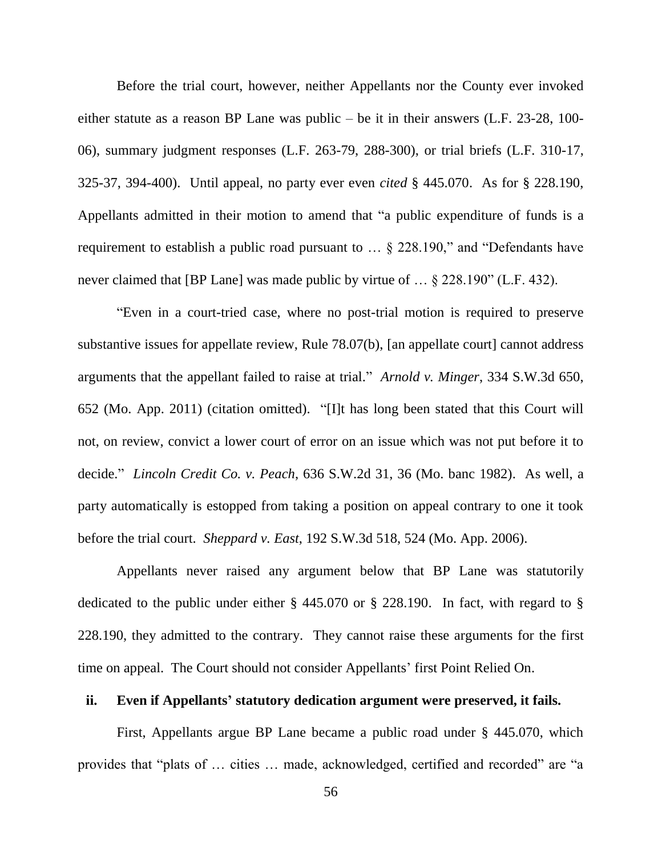Before the trial court, however, neither Appellants nor the County ever invoked either statute as a reason BP Lane was public – be it in their answers (L.F. 23-28, 100- 06), summary judgment responses (L.F. 263-79, 288-300), or trial briefs (L.F. 310-17, 325-37, 394-400). Until appeal, no party ever even *cited* § 445.070. As for § 228.190, Appellants admitted in their motion to amend that "a public expenditure of funds is a requirement to establish a public road pursuant to … § 228.190," and "Defendants have never claimed that [BP Lane] was made public by virtue of … § 228.190" (L.F. 432).

"Even in a court-tried case, where no post-trial motion is required to preserve substantive issues for appellate review, Rule 78.07(b), [an appellate court] cannot address arguments that the appellant failed to raise at trial." *Arnold v. Minger*, 334 S.W.3d 650, 652 (Mo. App. 2011) (citation omitted). "[I]t has long been stated that this Court will not, on review, convict a lower court of error on an issue which was not put before it to decide." *Lincoln Credit Co. v. Peach*, 636 S.W.2d 31, 36 (Mo. banc 1982). As well, a party automatically is estopped from taking a position on appeal contrary to one it took before the trial court. *Sheppard v. East*, 192 S.W.3d 518, 524 (Mo. App. 2006).

Appellants never raised any argument below that BP Lane was statutorily dedicated to the public under either § 445.070 or § 228.190. In fact, with regard to § 228.190, they admitted to the contrary. They cannot raise these arguments for the first time on appeal. The Court should not consider Appellants' first Point Relied On.

# **ii. Even if Appellants' statutory dedication argument were preserved, it fails.**

First, Appellants argue BP Lane became a public road under § 445.070, which provides that "plats of … cities … made, acknowledged, certified and recorded" are "a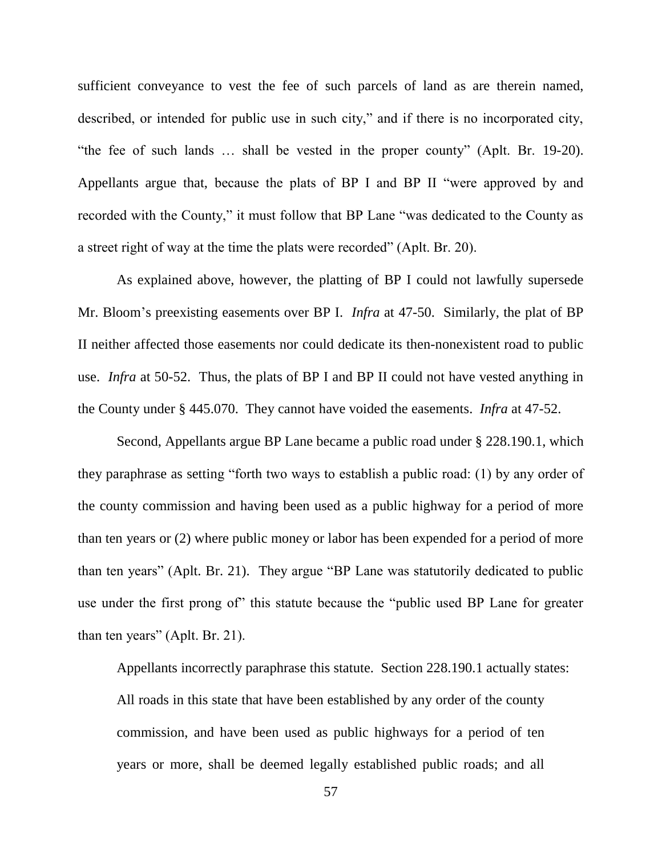sufficient conveyance to vest the fee of such parcels of land as are therein named, described, or intended for public use in such city," and if there is no incorporated city, "the fee of such lands … shall be vested in the proper county" (Aplt. Br. 19-20). Appellants argue that, because the plats of BP I and BP II "were approved by and recorded with the County," it must follow that BP Lane "was dedicated to the County as a street right of way at the time the plats were recorded" (Aplt. Br. 20).

As explained above, however, the platting of BP I could not lawfully supersede Mr. Bloom's preexisting easements over BP I. *Infra* at 47-50. Similarly, the plat of BP II neither affected those easements nor could dedicate its then-nonexistent road to public use. *Infra* at 50-52. Thus, the plats of BP I and BP II could not have vested anything in the County under § 445.070. They cannot have voided the easements. *Infra* at 47-52.

Second, Appellants argue BP Lane became a public road under § 228.190.1, which they paraphrase as setting "forth two ways to establish a public road: (1) by any order of the county commission and having been used as a public highway for a period of more than ten years or (2) where public money or labor has been expended for a period of more than ten years" (Aplt. Br. 21). They argue "BP Lane was statutorily dedicated to public use under the first prong of" this statute because the "public used BP Lane for greater than ten years" (Aplt. Br. 21).

Appellants incorrectly paraphrase this statute. Section 228.190.1 actually states: All roads in this state that have been established by any order of the county commission, and have been used as public highways for a period of ten years or more, shall be deemed legally established public roads; and all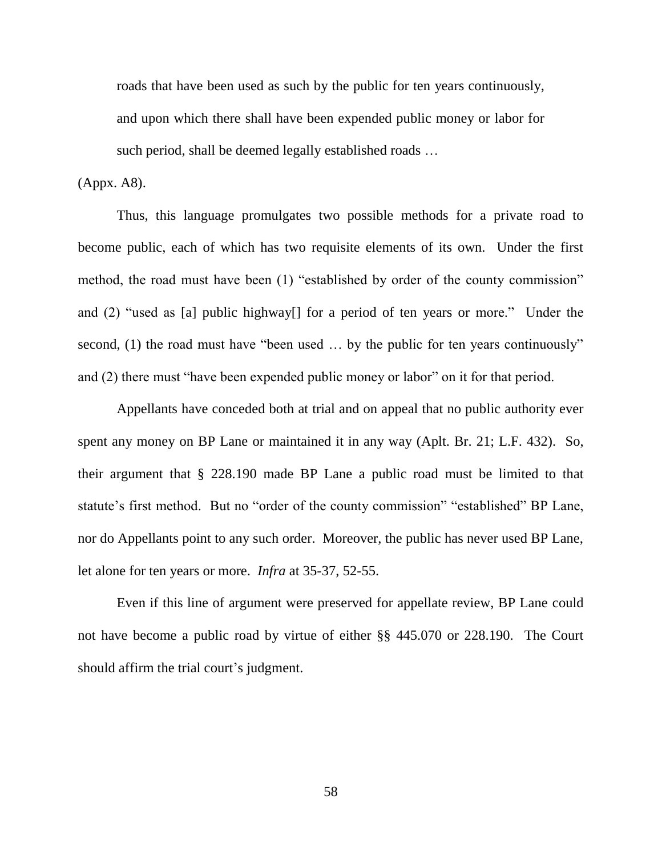roads that have been used as such by the public for ten years continuously, and upon which there shall have been expended public money or labor for such period, shall be deemed legally established roads …

### (Appx. A8).

Thus, this language promulgates two possible methods for a private road to become public, each of which has two requisite elements of its own. Under the first method, the road must have been (1) "established by order of the county commission" and (2) "used as [a] public highway[] for a period of ten years or more." Under the second, (1) the road must have "been used ... by the public for ten years continuously" and (2) there must "have been expended public money or labor" on it for that period.

Appellants have conceded both at trial and on appeal that no public authority ever spent any money on BP Lane or maintained it in any way (Aplt. Br. 21; L.F. 432). So, their argument that § 228.190 made BP Lane a public road must be limited to that statute's first method. But no "order of the county commission" "established" BP Lane, nor do Appellants point to any such order. Moreover, the public has never used BP Lane, let alone for ten years or more. *Infra* at 35-37, 52-55.

Even if this line of argument were preserved for appellate review, BP Lane could not have become a public road by virtue of either §§ 445.070 or 228.190. The Court should affirm the trial court's judgment.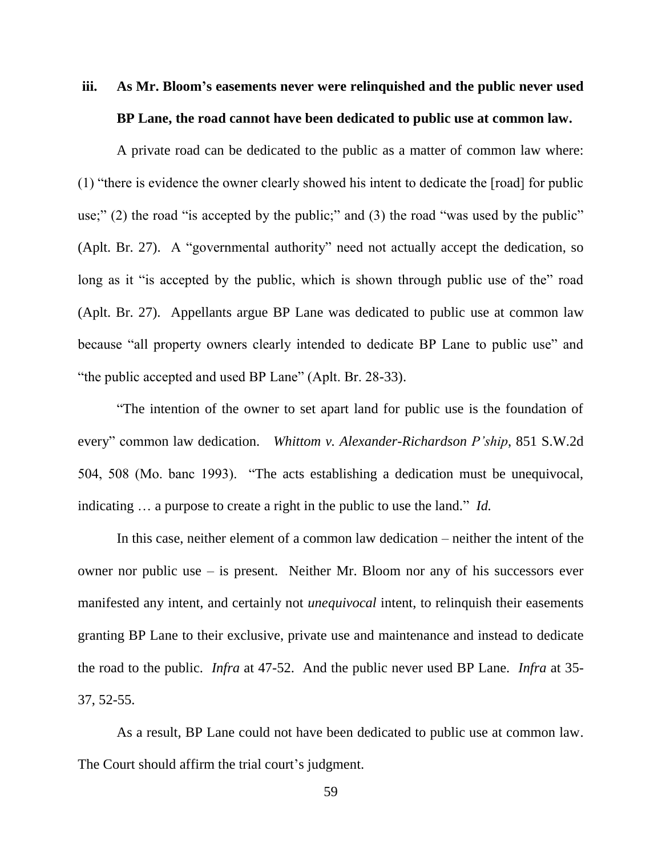# **iii. As Mr. Bloom's easements never were relinquished and the public never used BP Lane, the road cannot have been dedicated to public use at common law.**

A private road can be dedicated to the public as a matter of common law where: (1) "there is evidence the owner clearly showed his intent to dedicate the [road] for public use;" (2) the road "is accepted by the public;" and (3) the road "was used by the public" (Aplt. Br. 27). A "governmental authority" need not actually accept the dedication, so long as it "is accepted by the public, which is shown through public use of the" road (Aplt. Br. 27). Appellants argue BP Lane was dedicated to public use at common law because "all property owners clearly intended to dedicate BP Lane to public use" and "the public accepted and used BP Lane" (Aplt. Br. 28-33).

"The intention of the owner to set apart land for public use is the foundation of every" common law dedication. *Whittom v. Alexander-Richardson P'ship*, 851 S.W.2d 504, 508 (Mo. banc 1993). "The acts establishing a dedication must be unequivocal, indicating … a purpose to create a right in the public to use the land." *Id.*

In this case, neither element of a common law dedication – neither the intent of the owner nor public use – is present. Neither Mr. Bloom nor any of his successors ever manifested any intent, and certainly not *unequivocal* intent, to relinquish their easements granting BP Lane to their exclusive, private use and maintenance and instead to dedicate the road to the public. *Infra* at 47-52. And the public never used BP Lane. *Infra* at 35- 37, 52-55.

As a result, BP Lane could not have been dedicated to public use at common law. The Court should affirm the trial court's judgment.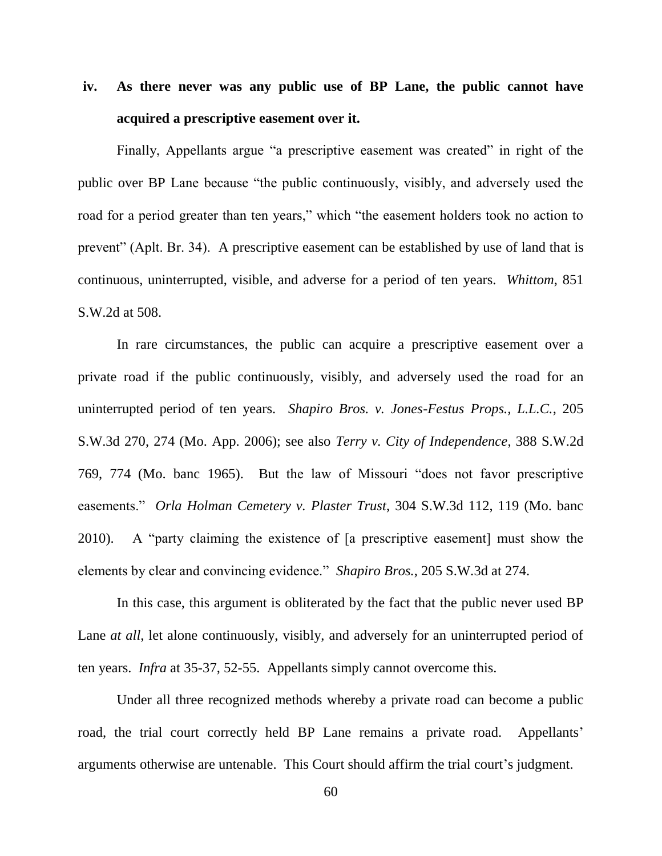# **iv. As there never was any public use of BP Lane, the public cannot have acquired a prescriptive easement over it.**

Finally, Appellants argue "a prescriptive easement was created" in right of the public over BP Lane because "the public continuously, visibly, and adversely used the road for a period greater than ten years," which "the easement holders took no action to prevent" (Aplt. Br. 34). A prescriptive easement can be established by use of land that is continuous, uninterrupted, visible, and adverse for a period of ten years. *Whittom*, 851 S.W.2d at 508.

In rare circumstances, the public can acquire a prescriptive easement over a private road if the public continuously, visibly, and adversely used the road for an uninterrupted period of ten years. *Shapiro Bros. v. Jones-Festus Props., L.L.C.*, 205 S.W.3d 270, 274 (Mo. App. 2006); see also *Terry v. City of Independence*, 388 S.W.2d 769, 774 (Mo. banc 1965). But the law of Missouri "does not favor prescriptive easements." *Orla Holman Cemetery v. Plaster Trust*, 304 S.W.3d 112, 119 (Mo. banc 2010). A "party claiming the existence of [a prescriptive easement] must show the elements by clear and convincing evidence." *Shapiro Bros.*, 205 S.W.3d at 274.

In this case, this argument is obliterated by the fact that the public never used BP Lane *at all*, let alone continuously, visibly, and adversely for an uninterrupted period of ten years. *Infra* at 35-37, 52-55. Appellants simply cannot overcome this.

Under all three recognized methods whereby a private road can become a public road, the trial court correctly held BP Lane remains a private road. Appellants' arguments otherwise are untenable. This Court should affirm the trial court's judgment.

60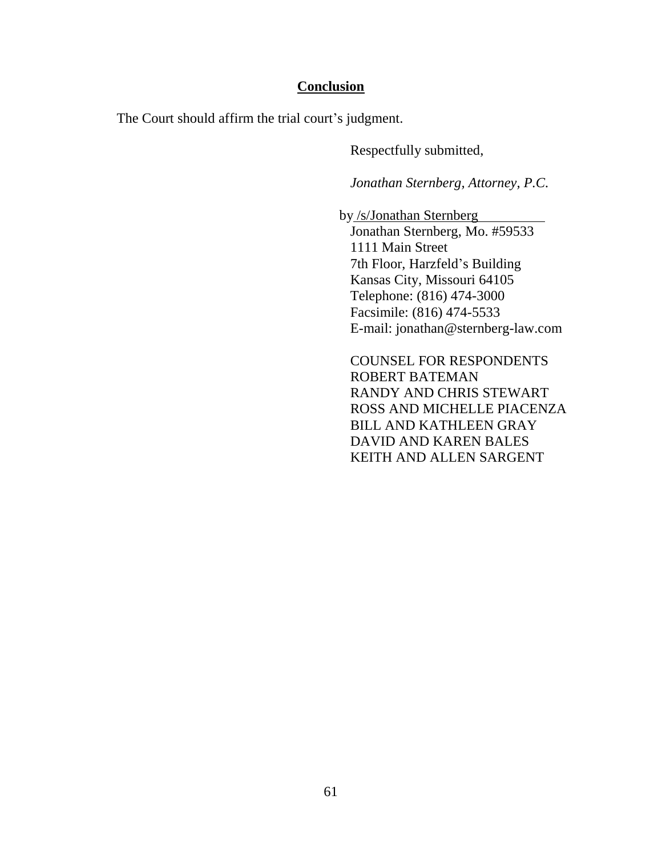# **Conclusion**

The Court should affirm the trial court's judgment.

Respectfully submitted,

*Jonathan Sternberg, Attorney, P.C.*

 by /s/Jonathan Sternberg Jonathan Sternberg, Mo. #59533 1111 Main Street 7th Floor, Harzfeld's Building Kansas City, Missouri 64105 Telephone: (816) 474-3000 Facsimile: (816) 474-5533 E-mail: jonathan@sternberg-law.com

COUNSEL FOR RESPONDENTS ROBERT BATEMAN RANDY AND CHRIS STEWART ROSS AND MICHELLE PIACENZA BILL AND KATHLEEN GRAY DAVID AND KAREN BALES KEITH AND ALLEN SARGENT